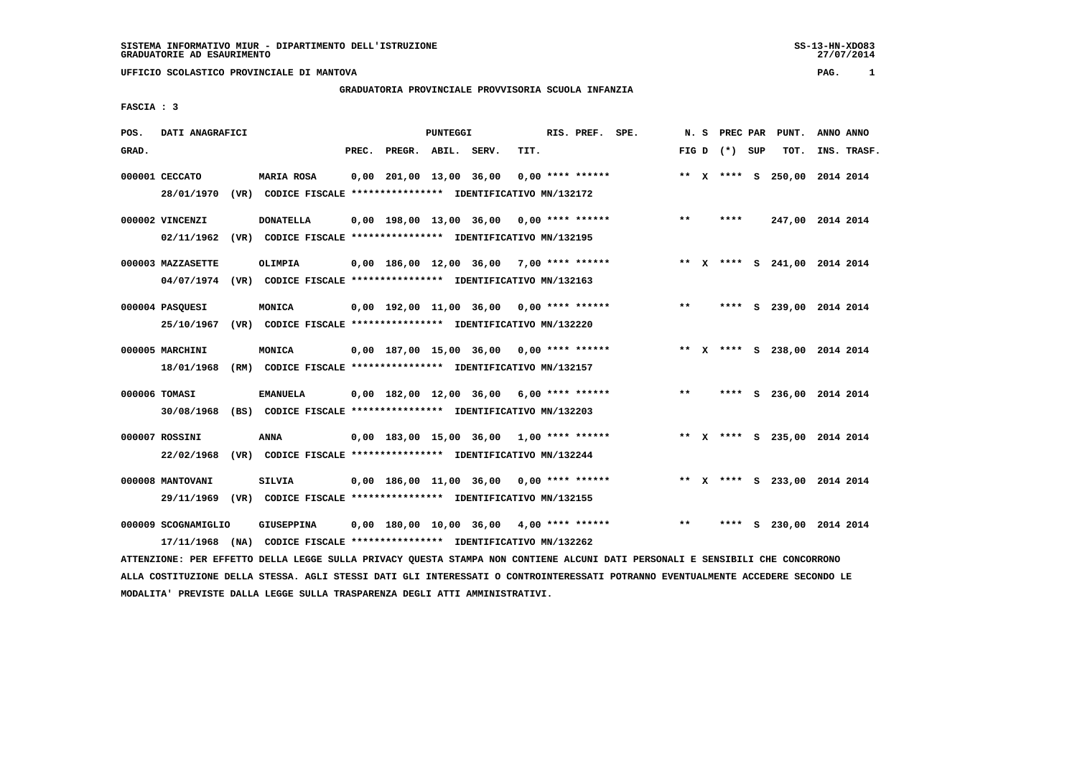# **GRADUATORIA PROVINCIALE PROVVISORIA SCUOLA INFANZIA**

 **FASCIA : 3**

| POS.  | DATI ANAGRAFICI     |      |                                                                         |       |                         | PUNTEGGI |                                            |      | RIS. PREF. SPE.    |       |                 | N. S PREC PAR PUNT.          |           | ANNO ANNO   |
|-------|---------------------|------|-------------------------------------------------------------------------|-------|-------------------------|----------|--------------------------------------------|------|--------------------|-------|-----------------|------------------------------|-----------|-------------|
| GRAD. |                     |      |                                                                         | PREC. | PREGR. ABIL. SERV.      |          |                                            | TIT. |                    |       | FIG D $(*)$ SUP | TOT.                         |           | INS. TRASF. |
|       | 000001 CECCATO      |      | MARIA ROSA                                                              |       | 0,00 201,00 13,00 36,00 |          |                                            |      | $0.00$ **** ****** |       |                 | ** X **** S 250,00 2014 2014 |           |             |
|       | 28/01/1970          |      | (VR) CODICE FISCALE **************** IDENTIFICATIVO MN/132172           |       |                         |          |                                            |      |                    |       |                 |                              |           |             |
|       | 000002 VINCENZI     |      | <b>DONATELLA</b>                                                        |       |                         |          | $0,00$ 198,00 13,00 36,00 0,00 **** ****** |      |                    | $***$ | ****            | 247,00 2014 2014             |           |             |
|       | 02/11/1962          |      | (VR) CODICE FISCALE **************** IDENTIFICATIVO MN/132195           |       |                         |          |                                            |      |                    |       |                 |                              |           |             |
|       | 000003 MAZZASETTE   |      | <b>OLIMPIA</b>                                                          |       |                         |          | $0,00$ 186,00 12,00 36,00 7,00 **** ****** |      |                    |       |                 | ** X **** S 241,00 2014 2014 |           |             |
|       |                     |      | 04/07/1974 (VR) CODICE FISCALE *************** IDENTIFICATIVO MN/132163 |       |                         |          |                                            |      |                    |       |                 |                              |           |             |
|       | 000004 PASOUESI     |      | MONICA                                                                  |       |                         |          | $0.00$ 192.00 11.00 36.00 0.00 **** ****** |      |                    | $* *$ |                 | **** S 239,00                | 2014 2014 |             |
|       |                     |      | 25/10/1967 (VR) CODICE FISCALE *************** IDENTIFICATIVO MN/132220 |       |                         |          |                                            |      |                    |       |                 |                              |           |             |
|       | 000005 MARCHINI     |      | MONICA                                                                  |       |                         |          | $0.00$ 187.00 15.00 36.00 0.00 **** ****** |      |                    |       |                 | ** X **** S 238,00 2014 2014 |           |             |
|       | 18/01/1968          |      | (RM) CODICE FISCALE **************** IDENTIFICATIVO MN/132157           |       |                         |          |                                            |      |                    |       |                 |                              |           |             |
|       | 000006 TOMASI       |      | <b>EMANUELA</b>                                                         |       |                         |          | $0.00$ 182.00 12.00 36.00 6.00 **** ****** |      |                    | $* *$ |                 | **** S 236,00 2014 2014      |           |             |
|       | 30/08/1968          |      | (BS) CODICE FISCALE **************** IDENTIFICATIVO MN/132203           |       |                         |          |                                            |      |                    |       |                 |                              |           |             |
|       | 000007 ROSSINI      |      | <b>ANNA</b>                                                             |       |                         |          | $0,00$ 183,00 15,00 36,00 1,00 **** ****** |      |                    |       |                 | ** X **** S 235,00 2014 2014 |           |             |
|       | 22/02/1968          |      | (VR) CODICE FISCALE **************** IDENTIFICATIVO MN/132244           |       |                         |          |                                            |      |                    |       |                 |                              |           |             |
|       | 000008 MANTOVANI    |      | <b>SILVIA</b>                                                           |       |                         |          | $0,00$ 186,00 11,00 36,00 0,00 **** ****** |      |                    |       |                 | ** X **** S 233,00 2014 2014 |           |             |
|       | 29/11/1969          |      | (VR) CODICE FISCALE **************** IDENTIFICATIVO MN/132155           |       |                         |          |                                            |      |                    |       |                 |                              |           |             |
|       | 000009 SCOGNAMIGLIO |      | <b>GIUSEPPINA</b>                                                       |       |                         |          | $0,00$ 180,00 10,00 36,00 4,00 **** ****** |      |                    | $***$ |                 | **** S 230,00 2014 2014      |           |             |
|       | 17/11/1968          | (NA) | CODICE FISCALE **************** IDENTIFICATIVO MN/132262                |       |                         |          |                                            |      |                    |       |                 |                              |           |             |

 **ATTENZIONE: PER EFFETTO DELLA LEGGE SULLA PRIVACY QUESTA STAMPA NON CONTIENE ALCUNI DATI PERSONALI E SENSIBILI CHE CONCORRONO ALLA COSTITUZIONE DELLA STESSA. AGLI STESSI DATI GLI INTERESSATI O CONTROINTERESSATI POTRANNO EVENTUALMENTE ACCEDERE SECONDO LE MODALITA' PREVISTE DALLA LEGGE SULLA TRASPARENZA DEGLI ATTI AMMINISTRATIVI.**

SS-13-HN-XDO83<br>27/07/2014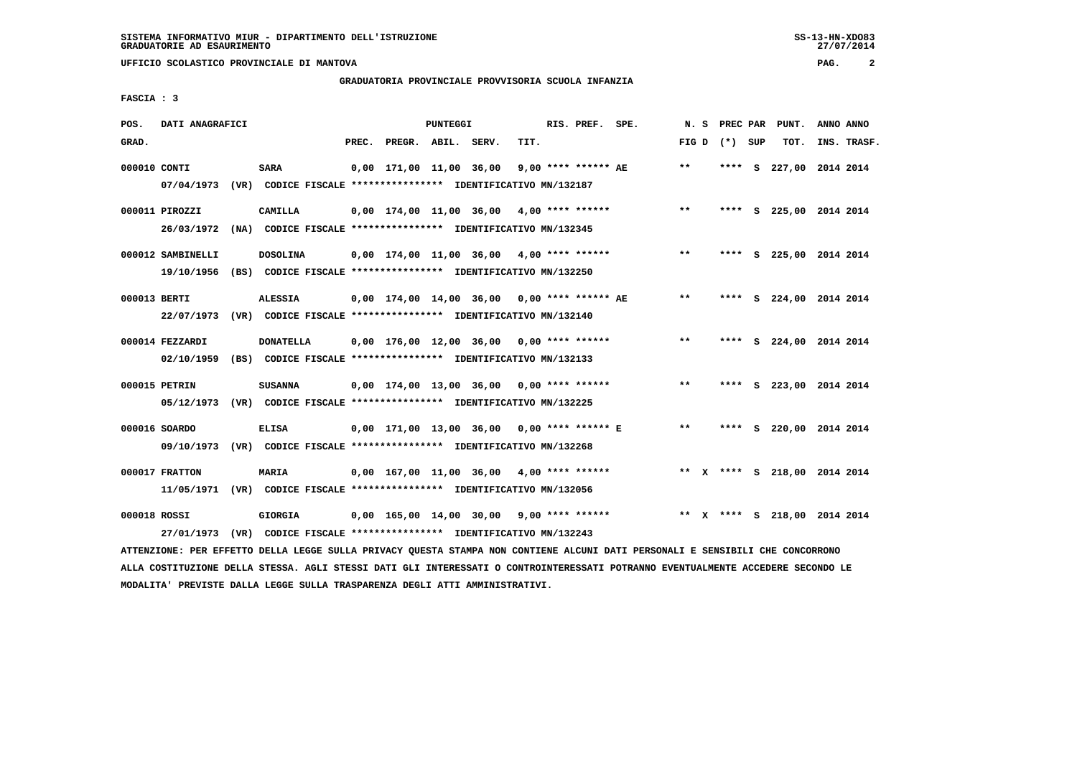# **GRADUATORIA PROVINCIALE PROVVISORIA SCUOLA INFANZIA**

 **FASCIA : 3**

| POS.         | DATI ANAGRAFICI                                                                           |                  |       |                         | <b>PUNTEGGI</b> |                                                                                                             |      | RIS. PREF. SPE.       | N.S          | <b>PREC PAR</b> | PUNT.                        | ANNO ANNO |             |
|--------------|-------------------------------------------------------------------------------------------|------------------|-------|-------------------------|-----------------|-------------------------------------------------------------------------------------------------------------|------|-----------------------|--------------|-----------------|------------------------------|-----------|-------------|
| GRAD.        |                                                                                           |                  | PREC. | PREGR. ABIL. SERV.      |                 |                                                                                                             | TIT. |                       |              | FIG D $(*)$ SUP | TOT.                         |           | INS. TRASF. |
| 000010 CONTI | 07/04/1973 (VR) CODICE FISCALE *************** IDENTIFICATIVO MN/132187                   | <b>SARA</b>      |       | 0,00 171,00 11,00 36,00 |                 |                                                                                                             |      | $9.00$ **** ****** AE | $\star\star$ |                 | **** S 227,00 2014 2014      |           |             |
|              | 000011 PIROZZI<br>26/03/1972                                                              | CAMILLA          |       |                         |                 | $0,00$ 174,00 11,00 36,00 4,00 **** ******<br>(NA) CODICE FISCALE **************** IDENTIFICATIVO MN/132345 |      |                       | $***$        |                 | **** S 225,00 2014 2014      |           |             |
|              | 000012 SAMBINELLI<br>19/10/1956                                                           | <b>DOSOLINA</b>  |       |                         |                 | $0.00$ 174.00 11.00 36.00 4.00 **** ******<br>(BS) CODICE FISCALE **************** IDENTIFICATIVO MN/132250 |      |                       | $* *$        |                 | **** S 225,00 2014 2014      |           |             |
| 000013 BERTI | 22/07/1973 (VR) CODICE FISCALE *************** IDENTIFICATIVO MN/132140                   | ALESSIA          |       |                         |                 | $0.00$ 174.00 14.00 36.00 0.00 **** ****** AE                                                               |      |                       | $* *$        |                 | **** S 224,00 2014 2014      |           |             |
|              | 000014 FEZZARDI<br>02/10/1959                                                             | <b>DONATELLA</b> |       |                         |                 | 0,00 176,00 12,00 36,00<br>(BS) CODICE FISCALE **************** IDENTIFICATIVO MN/132133                    |      | $0.00$ **** ******    | $**$         |                 | **** S 224,00 2014 2014      |           |             |
|              | 000015 PETRIN<br>05/12/1973 (VR) CODICE FISCALE *************** IDENTIFICATIVO MN/132225  | <b>SUSANNA</b>   |       |                         |                 | $0.00$ 174.00 13.00 36.00 0.00 **** ******                                                                  |      |                       | $* *$        |                 | **** S 223,00 2014 2014      |           |             |
|              | 000016 SOARDO<br>09/10/1973 (VR) CODICE FISCALE *************** IDENTIFICATIVO MN/132268  | <b>ELISA</b>     |       |                         |                 | 0,00 171,00 13,00 36,00 0,00 **** ****** E                                                                  |      |                       | $* *$        |                 | **** S 220,00 2014 2014      |           |             |
|              | 000017 FRATTON<br>11/05/1971 (VR) CODICE FISCALE *************** IDENTIFICATIVO MN/132056 | <b>MARIA</b>     |       |                         |                 | $0.00$ 167.00 11.00 36.00 4.00 **** ******                                                                  |      |                       |              |                 | ** X **** S 218,00 2014 2014 |           |             |
| 000018 ROSSI | 27/01/1973 (VR) CODICE FISCALE **************** IDENTIFICATIVO MN/132243                  | <b>GIORGIA</b>   |       |                         |                 | $0,00$ 165,00 14,00 30,00 9,00 **** ******                                                                  |      |                       |              |                 | ** X **** S 218,00 2014 2014 |           |             |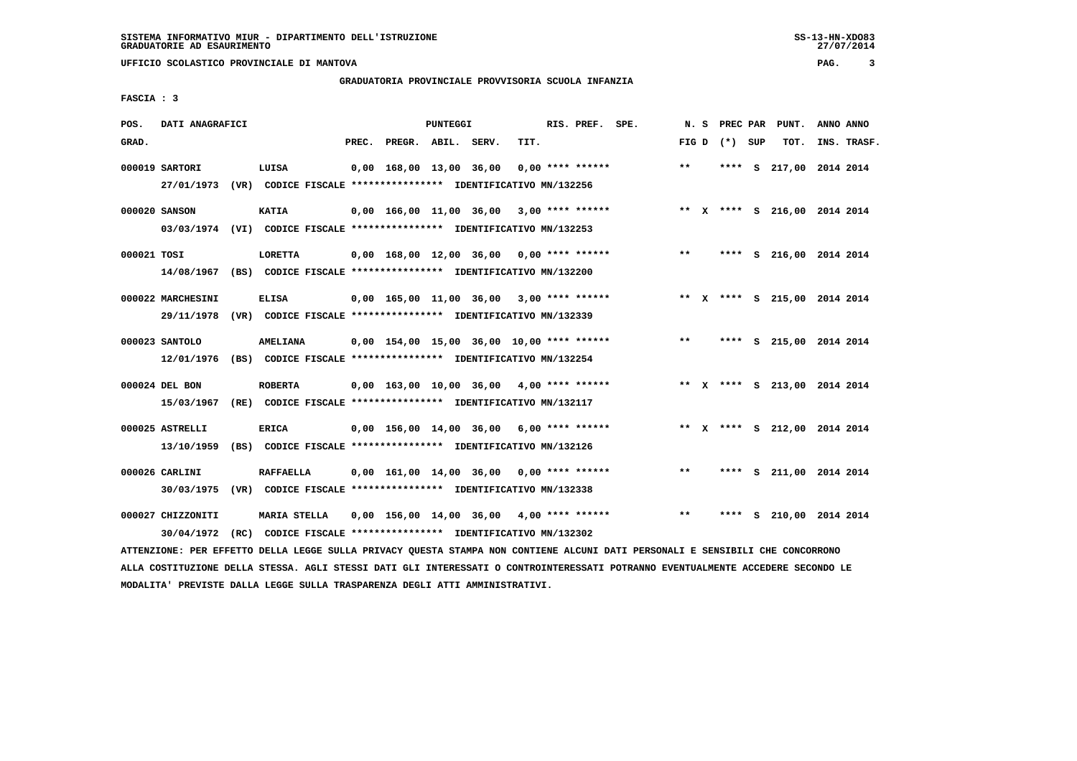# **GRADUATORIA PROVINCIALE PROVVISORIA SCUOLA INFANZIA**

 **FASCIA : 3**

| POS.        | DATI ANAGRAFICI                                                                              |                                                                              |       |                                            | PUNTEGGI |      | RIS. PREF. SPE.    |                                            |       |                 | N. S PREC PAR PUNT.          | ANNO ANNO |             |
|-------------|----------------------------------------------------------------------------------------------|------------------------------------------------------------------------------|-------|--------------------------------------------|----------|------|--------------------|--------------------------------------------|-------|-----------------|------------------------------|-----------|-------------|
| GRAD.       |                                                                                              |                                                                              | PREC. | PREGR. ABIL. SERV.                         |          | TIT. |                    |                                            |       | FIG D $(*)$ SUP | TOT.                         |           | INS. TRASF. |
|             | 000019 SARTORI<br>27/01/1973 (VR) CODICE FISCALE *************** IDENTIFICATIVO MN/132256    | LUISA                                                                        |       | 0,00 168,00 13,00 36,00                    |          |      | $0.00$ **** ****** |                                            | $***$ |                 | **** S 217,00 2014 2014      |           |             |
|             | 000020 SANSON<br>03/03/1974 (VI) CODICE FISCALE *************** IDENTIFICATIVO MN/132253     | <b>KATIA</b>                                                                 |       | $0,00$ 166,00 11,00 36,00 3,00 **** ****** |          |      |                    | ** X **** S 216,00 2014 2014               |       |                 |                              |           |             |
| 000021 TOSI | 14/08/1967 (BS) CODICE FISCALE **************** IDENTIFICATIVO MN/132200                     | <b>LORETTA</b>                                                               |       | $0,00$ 168,00 12,00 36,00 0,00 **** ****** |          |      |                    |                                            | $***$ |                 | **** S 216,00 2014 2014      |           |             |
|             | 000022 MARCHESINI<br>29/11/1978 (VR) CODICE FISCALE *************** IDENTIFICATIVO MN/132339 | <b>ELISA</b>                                                                 |       |                                            |          |      |                    | $0,00$ 165,00 11,00 36,00 3,00 **** ****** |       |                 | ** X **** S 215,00 2014 2014 |           |             |
|             | 000023 SANTOLO<br>12/01/1976 (BS) CODICE FISCALE **************** IDENTIFICATIVO MN/132254   | <b>AMELIANA</b>                                                              |       | 0,00 154,00 15,00 36,00 10,00 **** ******  |          |      |                    |                                            | $***$ |                 | **** S 215,00 2014 2014      |           |             |
|             | 000024 DEL BON<br>15/03/1967 (RE) CODICE FISCALE *************** IDENTIFICATIVO MN/132117    | <b>ROBERTA</b>                                                               |       | $0,00$ 163,00 10,00 36,00 4,00 **** ****** |          |      |                    |                                            |       |                 | ** X **** S 213,00 2014 2014 |           |             |
|             | 000025 ASTRELLI<br>13/10/1959                                                                | <b>ERICA</b><br>(BS) CODICE FISCALE *************** IDENTIFICATIVO MN/132126 |       | $0,00$ 156,00 14,00 36,00 6,00 **** ****** |          |      |                    |                                            |       |                 | ** X **** S 212,00 2014 2014 |           |             |
|             | 000026 CARLINI<br>30/03/1975 (VR) CODICE FISCALE *************** IDENTIFICATIVO MN/132338    | <b>RAFFAELLA</b>                                                             |       | $0.00$ 161.00 14.00 36.00 0.00 **** ****** |          |      |                    |                                            | $***$ |                 | **** S 211,00 2014 2014      |           |             |
|             | 000027 CHIZZONITI<br>30/04/1972 (RC) CODICE FISCALE *************** IDENTIFICATIVO MN/132302 | MARIA STELLA                                                                 |       | 0,00 156,00 14,00 36,00                    |          |      | $4,00$ **** ****** |                                            | **    | ****            | S 210,00 2014 2014           |           |             |

 **ATTENZIONE: PER EFFETTO DELLA LEGGE SULLA PRIVACY QUESTA STAMPA NON CONTIENE ALCUNI DATI PERSONALI E SENSIBILI CHE CONCORRONO ALLA COSTITUZIONE DELLA STESSA. AGLI STESSI DATI GLI INTERESSATI O CONTROINTERESSATI POTRANNO EVENTUALMENTE ACCEDERE SECONDO LE MODALITA' PREVISTE DALLA LEGGE SULLA TRASPARENZA DEGLI ATTI AMMINISTRATIVI.**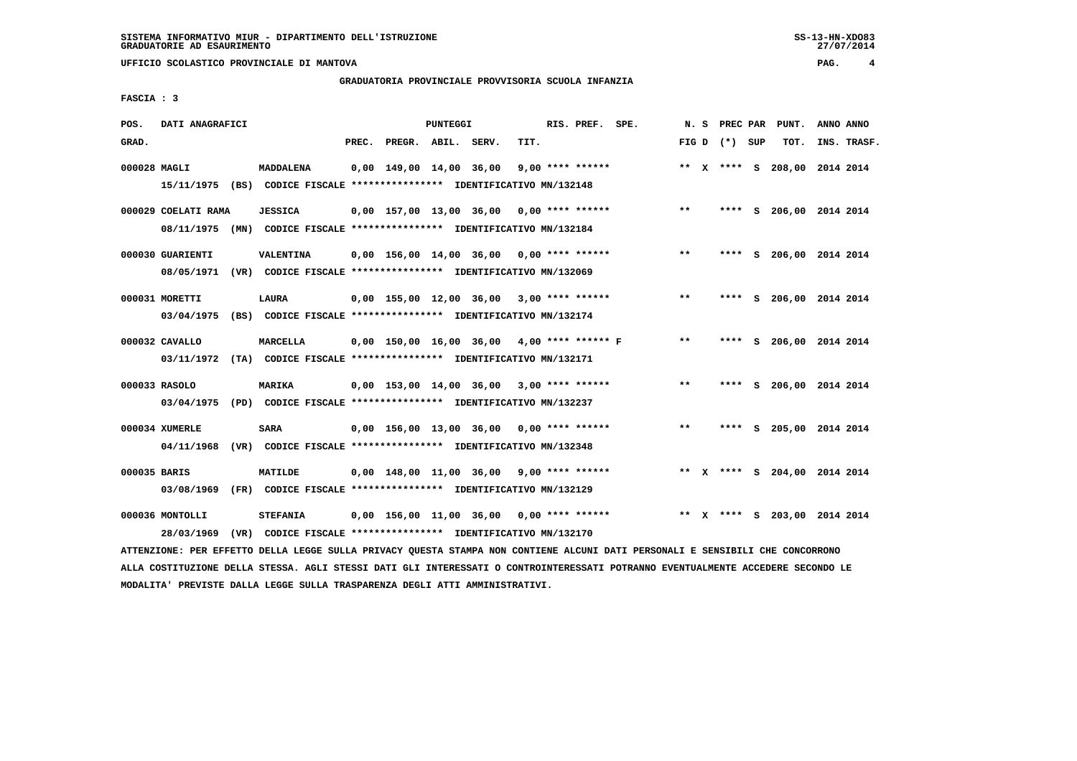# **GRADUATORIA PROVINCIALE PROVVISORIA SCUOLA INFANZIA**

27/07/2014

 **FASCIA : 3**

| POS.         | DATI ANAGRAFICI               |                                                                                                                               |                         | PUNTEGGI           |                                              | RIS. PREF. SPE.    |       | N. S PREC PAR   | PUNT. | ANNO ANNO                    |
|--------------|-------------------------------|-------------------------------------------------------------------------------------------------------------------------------|-------------------------|--------------------|----------------------------------------------|--------------------|-------|-----------------|-------|------------------------------|
| GRAD.        |                               | PREC.                                                                                                                         |                         | PREGR. ABIL. SERV. | TIT.                                         |                    |       | FIG D $(*)$ SUP | TOT.  | INS. TRASF.                  |
| 000028 MAGLI |                               | <b>MADDALENA</b><br>15/11/1975 (BS) CODICE FISCALE *************** IDENTIFICATIVO MN/132148                                   | 0,00 149,00 14,00 36,00 |                    |                                              | $9,00$ **** ****** |       |                 |       | ** X **** S 208,00 2014 2014 |
|              | 000029 COELATI RAMA           | <b>JESSICA</b><br>08/11/1975 (MN) CODICE FISCALE *************** IDENTIFICATIVO MN/132184                                     |                         |                    | $0,00$ 157,00 13,00 36,00 0,00 **** ******   |                    | $***$ |                 |       | **** S 206,00 2014 2014      |
|              | 000030 GUARIENTI              | VALENTINA<br>08/05/1971 (VR) CODICE FISCALE *************** IDENTIFICATIVO MN/132069                                          |                         |                    | $0.00$ 156.00 14.00 36.00 0.00 **** ******   |                    | $* *$ |                 |       | **** S 206,00 2014 2014      |
|              | 000031 MORETTI                | LAURA<br>03/04/1975 (BS) CODICE FISCALE *************** IDENTIFICATIVO MN/132174                                              |                         |                    | $0,00$ 155,00 12,00 36,00 3,00 **** ******   |                    | **    |                 |       | **** S 206,00 2014 2014      |
|              | 000032 CAVALLO                | MARCELLA<br>03/11/1972 (TA) CODICE FISCALE *************** IDENTIFICATIVO MN/132171                                           |                         |                    | $0,00$ 150,00 16,00 36,00 4,00 **** ****** F |                    | $***$ |                 |       | **** S 206,00 2014 2014      |
|              | 000033 RASOLO                 | <b>MARIKA</b><br>03/04/1975 (PD) CODICE FISCALE **************** IDENTIFICATIVO MN/132237                                     |                         |                    | $0,00$ 153,00 14,00 36,00 3,00 **** ******   |                    | $* *$ |                 |       | **** S 206,00 2014 2014      |
|              | 000034 XUMERLE                | SARA<br>04/11/1968 (VR) CODICE FISCALE *************** IDENTIFICATIVO MN/132348                                               |                         |                    | $0,00$ 156,00 13,00 36,00 0,00 **** ******   |                    | $***$ |                 |       | **** S 205,00 2014 2014      |
| 000035 BARIS |                               | MATILDE<br>03/08/1969 (FR) CODICE FISCALE *************** IDENTIFICATIVO MN/132129                                            |                         |                    | $0,00$ 148,00 11,00 36,00 9,00 **** ******   |                    |       |                 |       | ** X **** S 204,00 2014 2014 |
|              | 000036 MONTOLLI<br>28/03/1969 | <b>STEFANIA</b><br>(VR) CODICE FISCALE **************** IDENTIFICATIVO MN/132170                                              |                         |                    | 0,00 156,00 11,00 36,00 0,00 **** ******     |                    |       |                 |       | ** X **** S 203,00 2014 2014 |
|              |                               | ATTENZIONE: PER EFFETTO DELLA LEGGE SULLA PRIVACY QUESTA STAMPA NON CONTIENE ALCUNI DATI PERSONALI E SENSIBILI CHE CONCORRONO |                         |                    |                                              |                    |       |                 |       |                              |

 **ALLA COSTITUZIONE DELLA STESSA. AGLI STESSI DATI GLI INTERESSATI O CONTROINTERESSATI POTRANNO EVENTUALMENTE ACCEDERE SECONDO LE MODALITA' PREVISTE DALLA LEGGE SULLA TRASPARENZA DEGLI ATTI AMMINISTRATIVI.**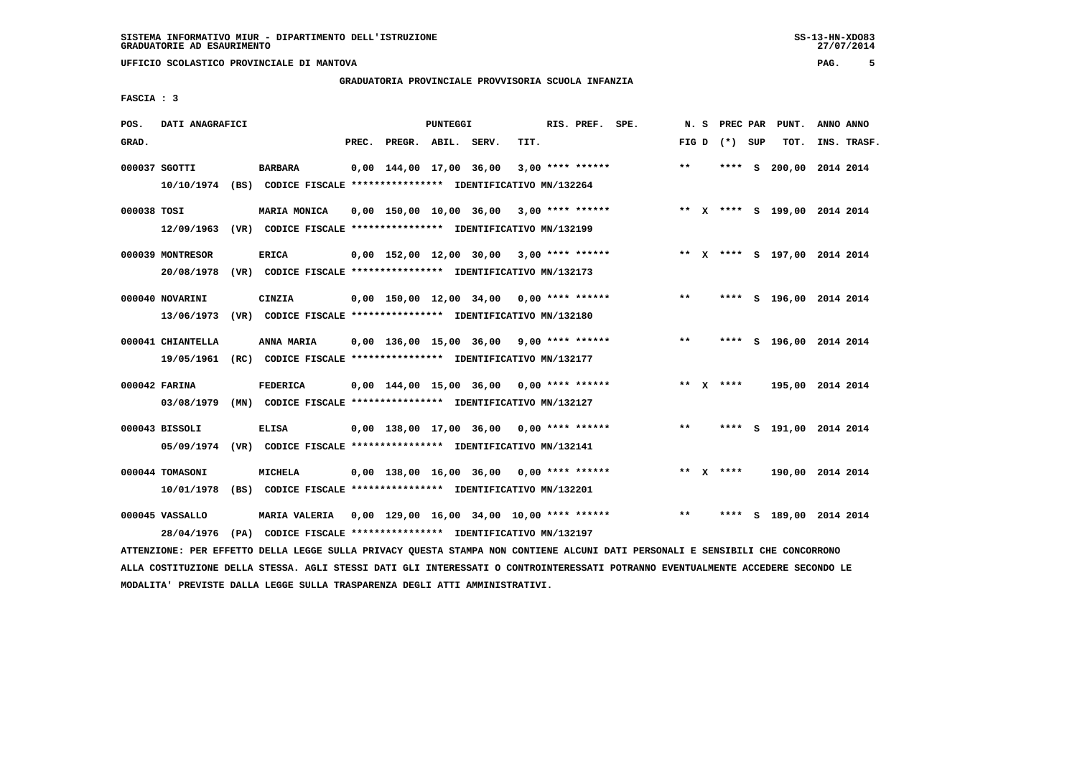# **GRADUATORIA PROVINCIALE PROVVISORIA SCUOLA INFANZIA**

 **FASCIA : 3**

| POS.        | DATI ANAGRAFICI   |                                                                         |       |                                             | PUNTEGGI |      | RIS. PREF. SPE.    | N. S  | PREC PAR        |    | PUNT.                        | ANNO ANNO |             |
|-------------|-------------------|-------------------------------------------------------------------------|-------|---------------------------------------------|----------|------|--------------------|-------|-----------------|----|------------------------------|-----------|-------------|
| GRAD.       |                   |                                                                         | PREC. | PREGR. ABIL. SERV.                          |          | TIT. |                    |       | FIG D $(*)$ SUP |    | TOT.                         |           | INS. TRASF. |
|             | 000037 SGOTTI     | <b>BARBARA</b>                                                          |       | 0,00 144,00 17,00 36,00                     |          |      | $3,00$ **** ****** | $***$ |                 |    | **** S 200,00 2014 2014      |           |             |
|             | 10/10/1974        | (BS) CODICE FISCALE **************** IDENTIFICATIVO MN/132264           |       |                                             |          |      |                    |       |                 |    |                              |           |             |
| 000038 TOSI |                   | <b>MARIA MONICA</b>                                                     |       | 0,00 150,00 10,00 36,00                     |          |      | 3,00 **** ******   |       |                 |    | ** X **** S 199,00 2014 2014 |           |             |
|             | 12/09/1963        | (VR) CODICE FISCALE **************** IDENTIFICATIVO MN/132199           |       |                                             |          |      |                    |       |                 |    |                              |           |             |
|             | 000039 MONTRESOR  | <b>ERICA</b>                                                            |       | 0,00 152,00 12,00 30,00                     |          |      | $3.00$ **** ****** |       |                 |    | ** X **** S 197,00 2014 2014 |           |             |
|             | 20/08/1978        | (VR) CODICE FISCALE **************** IDENTIFICATIVO MN/132173           |       |                                             |          |      |                    |       |                 |    |                              |           |             |
|             | 000040 NOVARINI   | CINZIA                                                                  |       | 0,00 150,00 12,00 34,00                     |          |      | $0.00$ **** ****** | $***$ |                 |    | **** S 196,00 2014 2014      |           |             |
|             | 13/06/1973        | (VR) CODICE FISCALE **************** IDENTIFICATIVO MN/132180           |       |                                             |          |      |                    |       |                 |    |                              |           |             |
|             | 000041 CHIANTELLA | ANNA MARIA                                                              |       | 0,00 136,00 15,00 36,00                     |          |      | $9.00$ **** ****** | $* *$ | ****            |    | S 196,00 2014 2014           |           |             |
|             | 19/05/1961        | (RC) CODICE FISCALE **************** IDENTIFICATIVO MN/132177           |       |                                             |          |      |                    |       |                 |    |                              |           |             |
|             | 000042 FARINA     | <b>FEDERICA</b>                                                         |       | $0,00$ 144,00 15,00 36,00 0,00 **** ******  |          |      |                    |       | ** $X$ ****     |    | 195,00 2014 2014             |           |             |
|             | 03/08/1979        | (MN) CODICE FISCALE **************** IDENTIFICATIVO MN/132127           |       |                                             |          |      |                    |       |                 |    |                              |           |             |
|             | 000043 BISSOLI    | <b>ELISA</b>                                                            |       | $0,00$ 138,00 17,00 36,00 0,00 **** ******  |          |      |                    | $***$ |                 |    | **** S 191,00 2014 2014      |           |             |
|             |                   | 05/09/1974 (VR) CODICE FISCALE *************** IDENTIFICATIVO MN/132141 |       |                                             |          |      |                    |       |                 |    |                              |           |             |
|             | 000044 TOMASONI   | <b>MICHELA</b>                                                          |       | 0,00 138,00 16,00 36,00                     |          |      | $0.00$ **** ****** | $* *$ | ****            |    | 190,00 2014 2014             |           |             |
|             | 10/01/1978        | (BS) CODICE FISCALE **************** IDENTIFICATIVO MN/132201           |       |                                             |          |      |                    |       |                 |    |                              |           |             |
|             | 000045 VASSALLO   | <b>MARIA VALERIA</b>                                                    |       | $0,00$ 129,00 16,00 34,00 10,00 **** ****** |          |      |                    | $***$ | ****            | S. | 189,00 2014 2014             |           |             |
|             | 28/04/1976        | (PA) CODICE FISCALE **************** IDENTIFICATIVO MN/132197           |       |                                             |          |      |                    |       |                 |    |                              |           |             |

 **ATTENZIONE: PER EFFETTO DELLA LEGGE SULLA PRIVACY QUESTA STAMPA NON CONTIENE ALCUNI DATI PERSONALI E SENSIBILI CHE CONCORRONO ALLA COSTITUZIONE DELLA STESSA. AGLI STESSI DATI GLI INTERESSATI O CONTROINTERESSATI POTRANNO EVENTUALMENTE ACCEDERE SECONDO LE MODALITA' PREVISTE DALLA LEGGE SULLA TRASPARENZA DEGLI ATTI AMMINISTRATIVI.**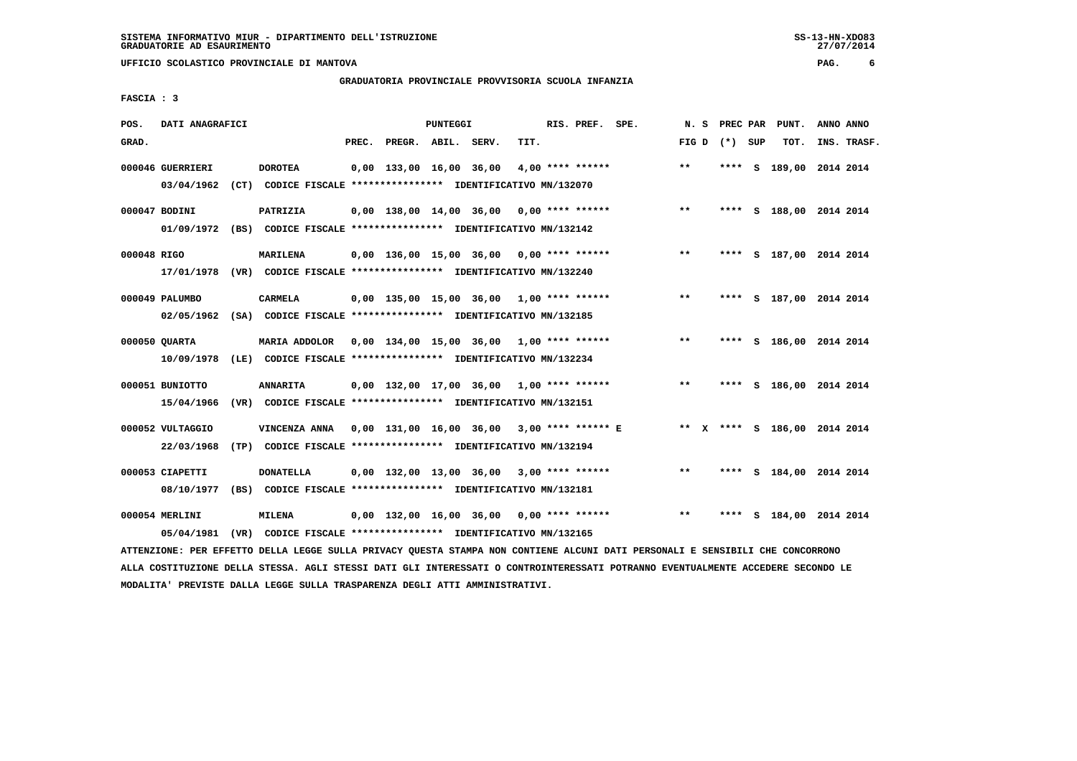# **GRADUATORIA PROVINCIALE PROVVISORIA SCUOLA INFANZIA**

27/07/2014

 **FASCIA : 3**

| POS.        | DATI ANAGRAFICI  |                                                                                                                               |       |                    | PUNTEGGI |                                            |      | RIS. PREF. SPE. |                                                     |              |                   | N. S PREC PAR PUNT.     | ANNO ANNO |             |
|-------------|------------------|-------------------------------------------------------------------------------------------------------------------------------|-------|--------------------|----------|--------------------------------------------|------|-----------------|-----------------------------------------------------|--------------|-------------------|-------------------------|-----------|-------------|
| GRAD.       |                  |                                                                                                                               | PREC. | PREGR. ABIL. SERV. |          |                                            | TIT. |                 |                                                     |              | FIG $D$ $(*)$ SUP | TOT.                    |           | INS. TRASF. |
|             | 000046 GUERRIERI | <b>DOROTEA</b>                                                                                                                |       |                    |          | $0,00$ 133,00 16,00 36,00 4,00 **** ****** |      |                 |                                                     | $***$        |                   | **** S 189,00 2014 2014 |           |             |
|             | 03/04/1962       | (CT) CODICE FISCALE **************** IDENTIFICATIVO MN/132070                                                                 |       |                    |          |                                            |      |                 |                                                     |              |                   |                         |           |             |
|             | 000047 BODINI    | PATRIZIA                                                                                                                      |       |                    |          | $0,00$ 138,00 14,00 36,00 0,00 **** ****** |      |                 |                                                     | $***$        |                   | **** S 188,00 2014 2014 |           |             |
|             |                  | 01/09/1972 (BS) CODICE FISCALE *************** IDENTIFICATIVO MN/132142                                                       |       |                    |          |                                            |      |                 |                                                     |              |                   |                         |           |             |
| 000048 RIGO |                  | <b>MARILENA</b>                                                                                                               |       |                    |          | 0,00 136,00 15,00 36,00 0,00 **** ******   |      |                 |                                                     | $***$        |                   | **** S 187,00 2014 2014 |           |             |
|             |                  | 17/01/1978 (VR) CODICE FISCALE *************** IDENTIFICATIVO MN/132240                                                       |       |                    |          |                                            |      |                 |                                                     |              |                   |                         |           |             |
|             | 000049 PALUMBO   | <b>CARMELA</b>                                                                                                                |       |                    |          | $0,00$ 135,00 15,00 36,00 1,00 **** ****** |      |                 |                                                     | $\star\star$ |                   | **** S 187,00 2014 2014 |           |             |
|             |                  | 02/05/1962 (SA) CODICE FISCALE *************** IDENTIFICATIVO MN/132185                                                       |       |                    |          |                                            |      |                 |                                                     |              |                   |                         |           |             |
|             | 000050 OUARTA    | MARIA ADDOLOR  0,00  134,00  15,00  36,00  1,00 **** ******                                                                   |       |                    |          |                                            |      |                 |                                                     | $***$        |                   | **** S 186,00 2014 2014 |           |             |
|             | 10/09/1978       | (LE) CODICE FISCALE **************** IDENTIFICATIVO MN/132234                                                                 |       |                    |          |                                            |      |                 |                                                     |              |                   |                         |           |             |
|             | 000051 BUNIOTTO  | <b>ANNARITA</b>                                                                                                               |       |                    |          | 0,00 132,00 17,00 36,00 1,00 **** ******   |      |                 |                                                     | $***$        |                   | **** S 186,00 2014 2014 |           |             |
|             | 15/04/1966       | (VR) CODICE FISCALE *************** IDENTIFICATIVO MN/132151                                                                  |       |                    |          |                                            |      |                 |                                                     |              |                   |                         |           |             |
|             | 000052 VULTAGGIO | VINCENZA ANNA 0,00 131,00 16,00 36,00 3,00 **** ****** E ** X **** S 186,00 2014 2014                                         |       |                    |          |                                            |      |                 |                                                     |              |                   |                         |           |             |
|             | 22/03/1968       | (TP) CODICE FISCALE **************** IDENTIFICATIVO MN/132194                                                                 |       |                    |          |                                            |      |                 |                                                     |              |                   |                         |           |             |
|             | 000053 CIAPETTI  | <b>DONATELLA</b>                                                                                                              |       |                    |          | $0,00$ 132,00 13,00 36,00 3,00 **** ****** |      |                 |                                                     | $***$        |                   | **** S 184,00 2014 2014 |           |             |
|             | 08/10/1977       | (BS) CODICE FISCALE **************** IDENTIFICATIVO MN/132181                                                                 |       |                    |          |                                            |      |                 |                                                     |              |                   |                         |           |             |
|             | 000054 MERLINI   | <b>MILENA</b>                                                                                                                 |       |                    |          |                                            |      |                 | $0,00$ 132,00 16,00 36,00 0,00 **** ****** **** *** |              |                   | **** S 184,00 2014 2014 |           |             |
|             | 05/04/1981       | (VR) CODICE FISCALE **************** IDENTIFICATIVO MN/132165                                                                 |       |                    |          |                                            |      |                 |                                                     |              |                   |                         |           |             |
|             |                  | ATTENZIONE: PER EFFETTO DELLA LEGGE SULLA PRIVACY QUESTA STAMPA NON CONTIENE ALCUNI DATI PERSONALI E SENSIBILI CHE CONCORRONO |       |                    |          |                                            |      |                 |                                                     |              |                   |                         |           |             |

 **ALLA COSTITUZIONE DELLA STESSA. AGLI STESSI DATI GLI INTERESSATI O CONTROINTERESSATI POTRANNO EVENTUALMENTE ACCEDERE SECONDO LE MODALITA' PREVISTE DALLA LEGGE SULLA TRASPARENZA DEGLI ATTI AMMINISTRATIVI.**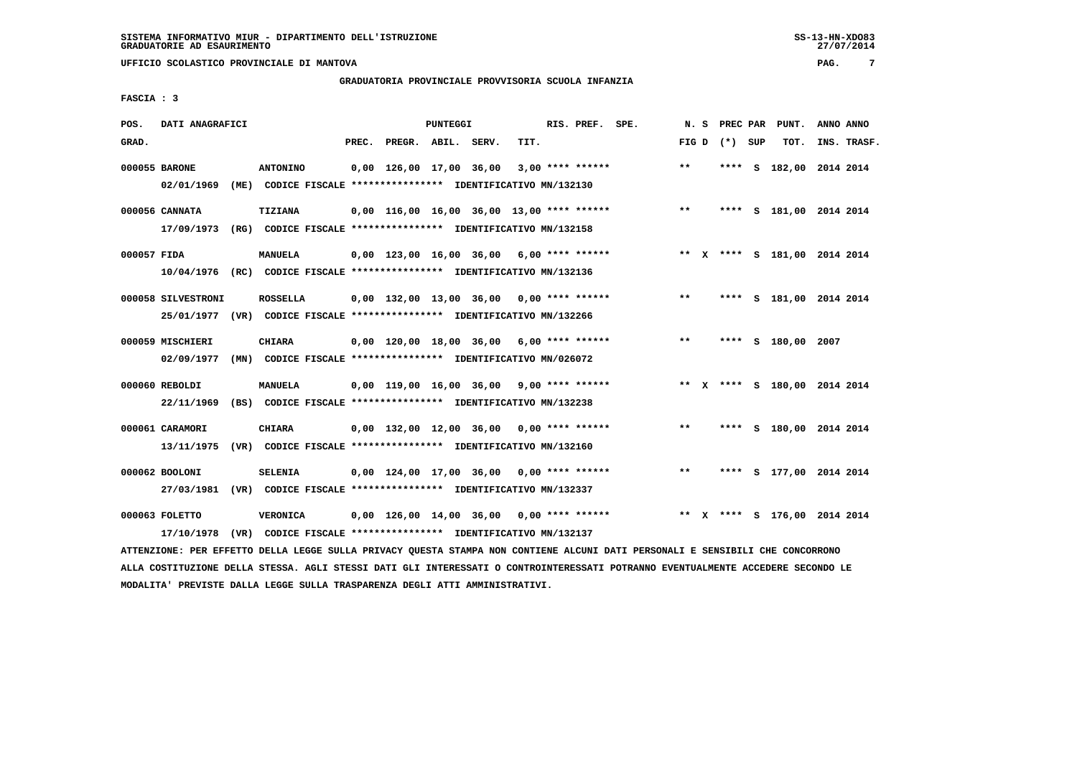# **GRADUATORIA PROVINCIALE PROVVISORIA SCUOLA INFANZIA**

 **FASCIA : 3**

| POS.        | DATI ANAGRAFICI    |                                                                         |       |                                            | PUNTEGGI |      | RIS. PREF. SPE.    |                                             | N.S   | PREC PAR        | PUNT.                        | ANNO ANNO |             |
|-------------|--------------------|-------------------------------------------------------------------------|-------|--------------------------------------------|----------|------|--------------------|---------------------------------------------|-------|-----------------|------------------------------|-----------|-------------|
| GRAD.       |                    |                                                                         | PREC. | PREGR. ABIL. SERV.                         |          | TIT. |                    |                                             |       | FIG D $(*)$ SUP | TOT.                         |           | INS. TRASF. |
|             | 000055 BARONE      | <b>ANTONINO</b>                                                         |       | 0,00 126,00 17,00 36,00                    |          |      | $3,00$ **** ****** |                                             | $***$ |                 | **** S 182,00 2014 2014      |           |             |
|             | 02/01/1969         | (ME) CODICE FISCALE **************** IDENTIFICATIVO MN/132130           |       |                                            |          |      |                    |                                             |       |                 |                              |           |             |
|             | 000056 CANNATA     | <b>TIZIANA</b>                                                          |       |                                            |          |      |                    | $0,00$ 116,00 16,00 36,00 13,00 **** ****** | $***$ |                 | **** S 181,00 2014 2014      |           |             |
|             | 17/09/1973         | (RG) CODICE FISCALE *************** IDENTIFICATIVO MN/132158            |       |                                            |          |      |                    |                                             |       |                 |                              |           |             |
| 000057 FIDA |                    | <b>MANUELA</b>                                                          |       | 0,00 123,00 16,00 36,00 6,00 **** ******   |          |      |                    |                                             |       |                 | ** X **** S 181,00 2014 2014 |           |             |
|             |                    | 10/04/1976 (RC) CODICE FISCALE *************** IDENTIFICATIVO MN/132136 |       |                                            |          |      |                    |                                             |       |                 |                              |           |             |
|             | 000058 SILVESTRONI | <b>ROSSELLA</b>                                                         |       | 0,00 132,00 13,00 36,00 0,00 **** ******   |          |      |                    |                                             | $***$ |                 | **** S 181,00 2014 2014      |           |             |
|             |                    | 25/01/1977 (VR) CODICE FISCALE *************** IDENTIFICATIVO MN/132266 |       |                                            |          |      |                    |                                             |       |                 |                              |           |             |
|             | 000059 MISCHIERI   | CHIARA                                                                  |       | $0.00$ 120.00 18.00 36.00 6.00 **** ****** |          |      |                    |                                             | $***$ |                 | **** S 180,00 2007           |           |             |
|             | 02/09/1977         | (MN) CODICE FISCALE **************** IDENTIFICATIVO MN/026072           |       |                                            |          |      |                    |                                             |       |                 |                              |           |             |
|             | 000060 REBOLDI     | <b>MANUELA</b>                                                          |       | $0,00$ 119,00 16,00 36,00 9,00 **** ****** |          |      |                    |                                             |       |                 | ** X **** S 180,00 2014 2014 |           |             |
|             | 22/11/1969         | (BS) CODICE FISCALE **************** IDENTIFICATIVO MN/132238           |       |                                            |          |      |                    |                                             |       |                 |                              |           |             |
|             | 000061 CARAMORI    | <b>CHIARA</b>                                                           |       | $0,00$ 132,00 12,00 36,00 0,00 **** ****** |          |      |                    |                                             | $***$ |                 | **** S 180,00 2014 2014      |           |             |
|             | 13/11/1975         | (VR) CODICE FISCALE **************** IDENTIFICATIVO MN/132160           |       |                                            |          |      |                    |                                             |       |                 |                              |           |             |
|             | 000062 BOOLONI     | <b>SELENIA</b>                                                          |       | $0.00$ 124.00 17.00 36.00 0.00 **** ****** |          |      |                    |                                             | $* *$ |                 | **** S 177,00 2014 2014      |           |             |
|             | 27/03/1981         | (VR) CODICE FISCALE *************** IDENTIFICATIVO MN/132337            |       |                                            |          |      |                    |                                             |       |                 |                              |           |             |
|             | 000063 FOLETTO     | VERONICA                                                                |       |                                            |          |      |                    | $0,00$ 126,00 14,00 36,00 0,00 **** ******  |       |                 | ** X **** S 176,00 2014 2014 |           |             |
|             | 17/10/1978         | (VR) CODICE FISCALE **************** IDENTIFICATIVO MN/132137           |       |                                            |          |      |                    |                                             |       |                 |                              |           |             |

 **ATTENZIONE: PER EFFETTO DELLA LEGGE SULLA PRIVACY QUESTA STAMPA NON CONTIENE ALCUNI DATI PERSONALI E SENSIBILI CHE CONCORRONO ALLA COSTITUZIONE DELLA STESSA. AGLI STESSI DATI GLI INTERESSATI O CONTROINTERESSATI POTRANNO EVENTUALMENTE ACCEDERE SECONDO LE MODALITA' PREVISTE DALLA LEGGE SULLA TRASPARENZA DEGLI ATTI AMMINISTRATIVI.**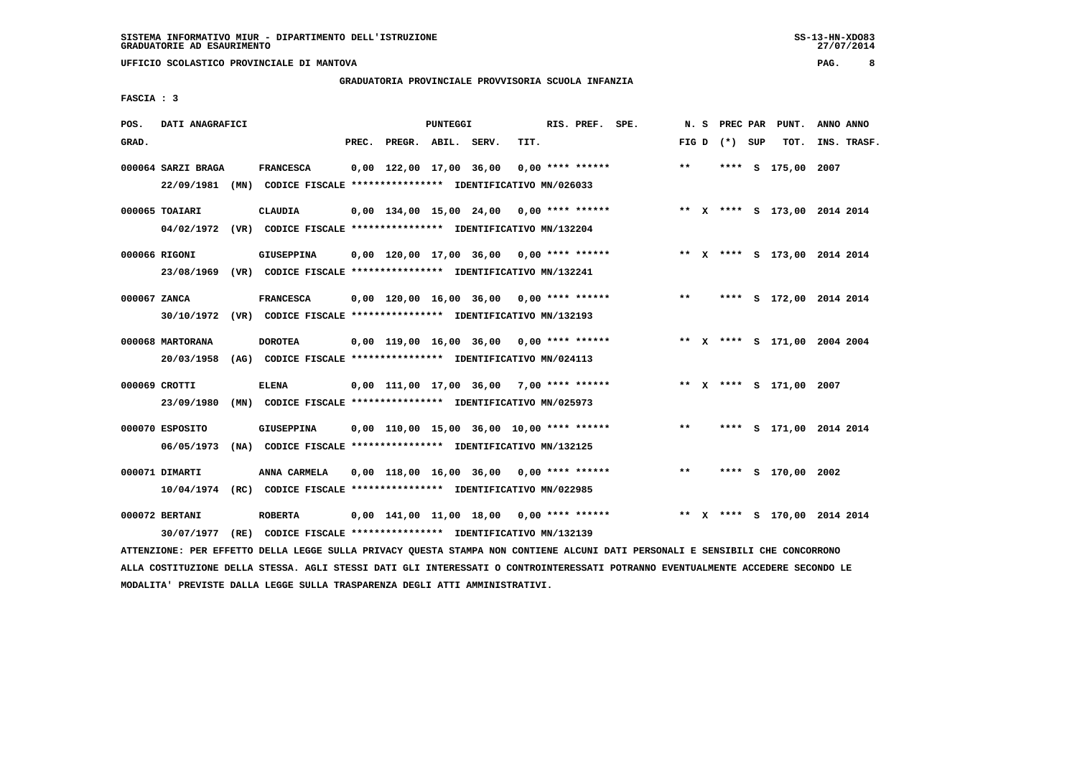# **GRADUATORIA PROVINCIALE PROVVISORIA SCUOLA INFANZIA**

27/07/2014

 **FASCIA : 3**

| POS.         | DATI ANAGRAFICI                |                                                                                             |       |                                             | PUNTEGGI |      | RIS. PREF. SPE. |                                                                               | N.S   |                 | PREC PAR PUNT.               | ANNO ANNO |             |
|--------------|--------------------------------|---------------------------------------------------------------------------------------------|-------|---------------------------------------------|----------|------|-----------------|-------------------------------------------------------------------------------|-------|-----------------|------------------------------|-----------|-------------|
| GRAD.        |                                |                                                                                             | PREC. | PREGR. ABIL. SERV.                          |          | TIT. |                 |                                                                               |       | FIG D $(*)$ SUP | TOT.                         |           | INS. TRASF. |
|              | 000064 SARZI BRAGA             | <b>FRANCESCA</b><br>22/09/1981 (MN) CODICE FISCALE *************** IDENTIFICATIVO MN/026033 |       | $0,00$ 122,00 17,00 36,00 0,00 **** ******  |          |      |                 |                                                                               | $***$ |                 | **** S 175,00 2007           |           |             |
|              | 000065 TOAIARI                 | <b>CLAUDIA</b><br>04/02/1972 (VR) CODICE FISCALE *************** IDENTIFICATIVO MN/132204   |       |                                             |          |      |                 | 0,00 134,00 15,00 24,00 0,00 **** ****** **** ** ** X **** S 173,00 2014 2014 |       |                 |                              |           |             |
|              | 000066 RIGONI                  | GIUSEPPINA<br>23/08/1969 (VR) CODICE FISCALE *************** IDENTIFICATIVO MN/132241       |       |                                             |          |      |                 | 0,00 120,00 17,00 36,00 0,00 **** ****** **** *** ** **** \$ 173,00 2014 2014 |       |                 |                              |           |             |
| 000067 ZANCA |                                | <b>FRANCESCA</b><br>30/10/1972 (VR) CODICE FISCALE *************** IDENTIFICATIVO MN/132193 |       |                                             |          |      |                 | $0,00$ 120,00 16,00 36,00 0,00 **** ******                                    | $***$ |                 | **** S 172,00 2014 2014      |           |             |
|              | 000068 MARTORANA<br>20/03/1958 | <b>DOROTEA</b><br>(AG) CODICE FISCALE **************** IDENTIFICATIVO MN/024113             |       |                                             |          |      |                 | $0,00$ 119,00 16,00 36,00 0,00 **** ******                                    |       |                 | ** X **** S 171,00 2004 2004 |           |             |
|              | 000069 CROTTI<br>23/09/1980    | <b>ELENA</b><br>(MN) CODICE FISCALE *************** IDENTIFICATIVO MN/025973                |       |                                             |          |      |                 | 0,00 111,00 17,00 36,00 7,00 **** ****** **** ** **** \$ 171,00 2007          |       |                 |                              |           |             |
|              | 000070 ESPOSITO<br>06/05/1973  | <b>GIUSEPPINA</b><br>(NA) CODICE FISCALE **************** IDENTIFICATIVO MN/132125          |       | $0.00$ 110.00 15.00 36.00 10.00 **** ****** |          |      |                 |                                                                               | $***$ |                 | **** S 171,00 2014 2014      |           |             |
|              | 000071 DIMARTI                 | ANNA CARMELA<br>10/04/1974 (RC) CODICE FISCALE *************** IDENTIFICATIVO MN/022985     |       | $0.00$ 118.00 16.00 36.00 0.00 **** ******  |          |      |                 |                                                                               | $***$ |                 | **** S 170,00 2002           |           |             |
|              | 000072 BERTANI<br>30/07/1977   | <b>ROBERTA</b><br>(RE) CODICE FISCALE **************** IDENTIFICATIVO MN/132139             |       |                                             |          |      |                 | 0,00 141,00 11,00 18,00 0,00 **** ******                                      |       |                 | ** X **** S 170,00 2014 2014 |           |             |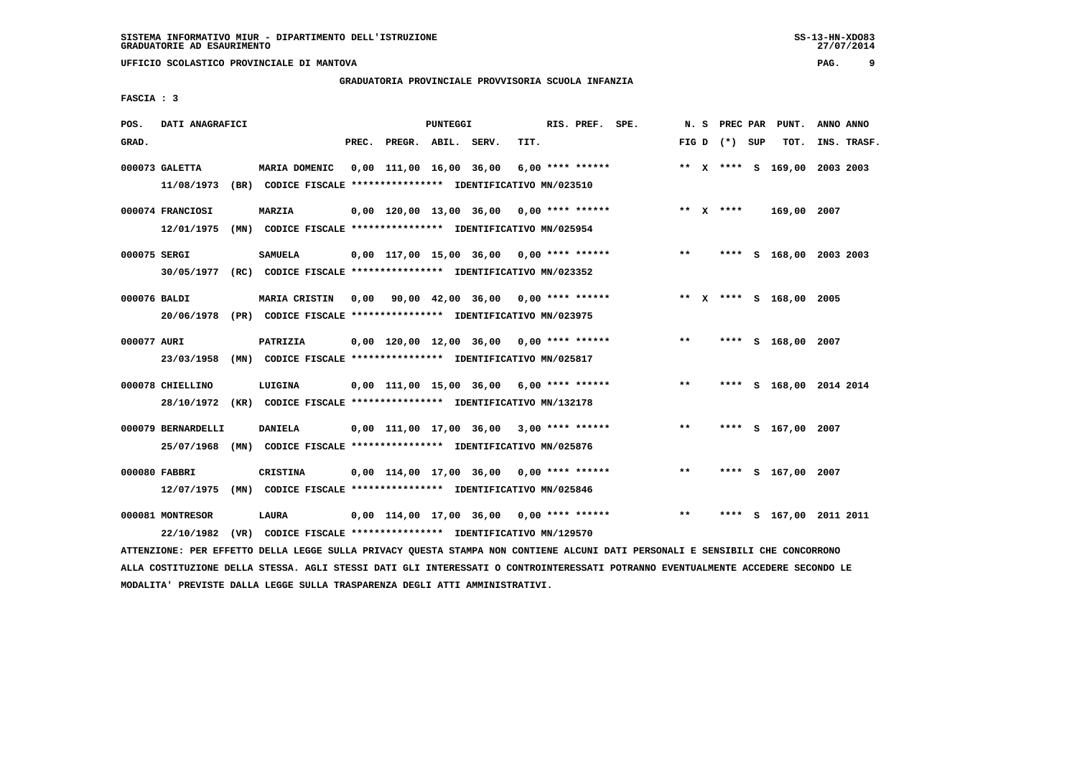# **GRADUATORIA PROVINCIALE PROVVISORIA SCUOLA INFANZIA**

27/07/2014

 **FASCIA : 3**

| POS.         | DATI ANAGRAFICI    |                                                                         |       |                                                         | PUNTEGGI |      | RIS. PREF. SPE.    | N. S  |                 | PREC PAR PUNT.               | ANNO ANNO |             |
|--------------|--------------------|-------------------------------------------------------------------------|-------|---------------------------------------------------------|----------|------|--------------------|-------|-----------------|------------------------------|-----------|-------------|
| GRAD.        |                    |                                                                         | PREC. | PREGR. ABIL. SERV.                                      |          | TIT. |                    |       | FIG D $(*)$ SUP | TOT.                         |           | INS. TRASF. |
|              | 000073 GALETTA     | MARIA DOMENIC                                                           |       | 0,00 111,00 16,00 36,00                                 |          |      | $6.00$ **** ****** |       |                 | ** X **** S 169,00 2003 2003 |           |             |
|              | 11/08/1973         | (BR) CODICE FISCALE **************** IDENTIFICATIVO MN/023510           |       |                                                         |          |      |                    |       |                 |                              |           |             |
|              | 000074 FRANCIOSI   | <b>MARZIA</b>                                                           |       | $0.00$ 120.00 13.00 36.00 0.00 **** ******              |          |      |                    |       | ** $X$ ****     | 169,00 2007                  |           |             |
|              | 12/01/1975         | (MN) CODICE FISCALE **************** IDENTIFICATIVO MN/025954           |       |                                                         |          |      |                    |       |                 |                              |           |             |
| 000075 SERGI |                    | <b>SAMUELA</b>                                                          |       | $0,00$ 117,00 15,00 36,00 0,00 **** ******              |          |      |                    | $**$  |                 | **** S 168,00 2003 2003      |           |             |
|              | 30/05/1977         | (RC) CODICE FISCALE **************** IDENTIFICATIVO MN/023352           |       |                                                         |          |      |                    |       |                 |                              |           |             |
| 000076 BALDI |                    | <b>MARIA CRISTIN</b>                                                    |       | $0,00$ $90,00$ $42,00$ $36,00$ $0,00$ $***$ **** ****** |          |      |                    |       |                 | ** X **** S 168,00 2005      |           |             |
|              | 20/06/1978         | (PR) CODICE FISCALE **************** IDENTIFICATIVO MN/023975           |       |                                                         |          |      |                    |       |                 |                              |           |             |
| 000077 AURI  |                    | PATRIZIA                                                                |       | $0,00$ 120,00 12,00 36,00 0,00 **** ******              |          |      |                    | $***$ |                 | **** S 168,00 2007           |           |             |
|              | 23/03/1958         | (MN) CODICE FISCALE **************** IDENTIFICATIVO MN/025817           |       |                                                         |          |      |                    |       |                 |                              |           |             |
|              | 000078 CHIELLINO   | LUIGINA                                                                 |       | $0.00$ 111.00 15.00 36.00 6.00 **** ******              |          |      |                    | $***$ |                 | **** S 168,00 2014 2014      |           |             |
|              |                    | 28/10/1972 (KR) CODICE FISCALE *************** IDENTIFICATIVO MN/132178 |       |                                                         |          |      |                    |       |                 |                              |           |             |
|              | 000079 BERNARDELLI | <b>DANIELA</b>                                                          |       | $0,00$ 111,00 17,00 36,00 3,00 **** ******              |          |      |                    | $* *$ |                 | **** S 167,00 2007           |           |             |
|              | 25/07/1968         | (MN) CODICE FISCALE **************** IDENTIFICATIVO MN/025876           |       |                                                         |          |      |                    |       |                 |                              |           |             |
|              | 000080 FABBRI      | <b>CRISTINA</b>                                                         |       | $0,00$ 114,00 17,00 36,00 0,00 **** ******              |          |      |                    | $***$ |                 | **** S 167,00 2007           |           |             |
|              | 12/07/1975         | (MN) CODICE FISCALE **************** IDENTIFICATIVO MN/025846           |       |                                                         |          |      |                    |       |                 |                              |           |             |
|              | 000081 MONTRESOR   | LAURA                                                                   |       | $0,00$ 114,00 17,00 36,00 0,00 **** ******              |          |      |                    | $***$ | ****            | S 167,00 2011 2011           |           |             |
|              | 22/10/1982         | (VR) CODICE FISCALE **************** IDENTIFICATIVO MN/129570           |       |                                                         |          |      |                    |       |                 |                              |           |             |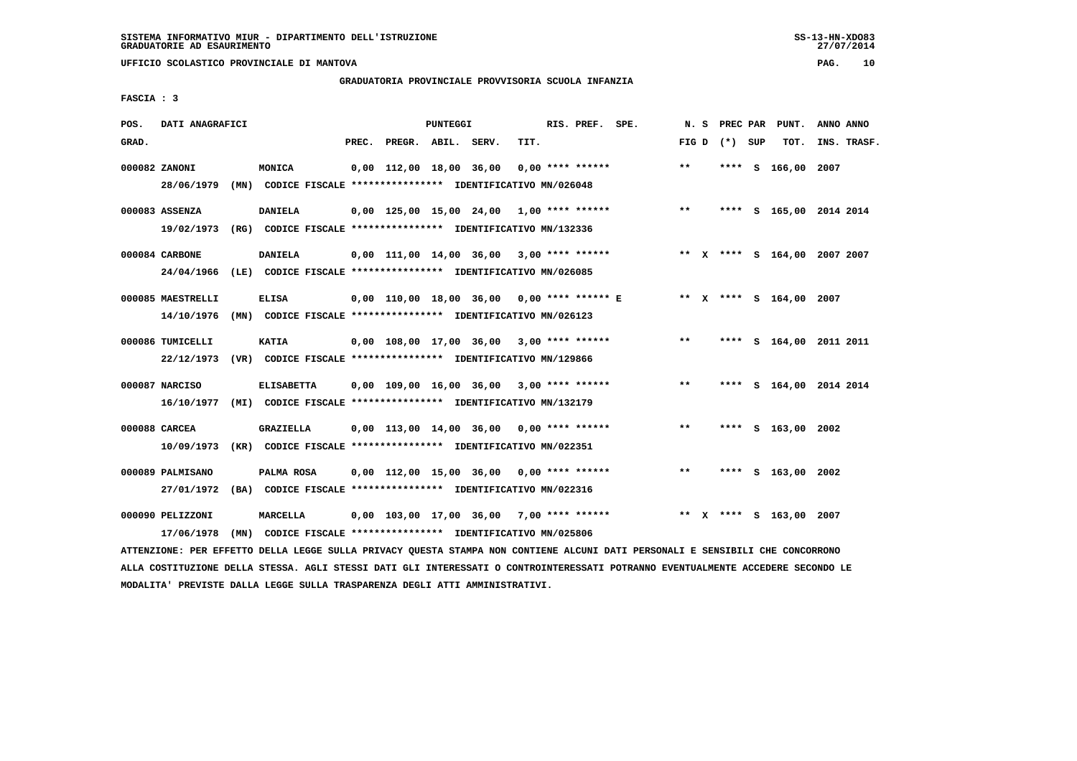**UFFICIO SCOLASTICO PROVINCIALE DI MANTOVA PAG. 10**

# **GRADUATORIA PROVINCIALE PROVVISORIA SCUOLA INFANZIA**

 **FASCIA : 3**

| POS.  | DATI ANAGRAFICI                                                         |      |                                                               |       |                         | PUNTEGGI |                                                          |      | RIS. PREF. SPE.    |       |                 | N. S PREC PAR PUNT.          | ANNO ANNO |             |
|-------|-------------------------------------------------------------------------|------|---------------------------------------------------------------|-------|-------------------------|----------|----------------------------------------------------------|------|--------------------|-------|-----------------|------------------------------|-----------|-------------|
| GRAD. |                                                                         |      |                                                               | PREC. | PREGR. ABIL. SERV.      |          |                                                          | TIT. |                    |       | FIG D $(*)$ SUP | тот.                         |           | INS. TRASF. |
|       | 000082 ZANONI                                                           |      | MONICA                                                        |       | 0,00 112,00 18,00 36,00 |          |                                                          |      | $0.00$ **** ****** | $**$  |                 | **** S 166,00 2007           |           |             |
|       | 28/06/1979                                                              |      | (MN) CODICE FISCALE **************** IDENTIFICATIVO MN/026048 |       |                         |          |                                                          |      |                    |       |                 |                              |           |             |
|       | 000083 ASSENZA                                                          |      | <b>DANIELA</b>                                                |       |                         |          | $0,00$ 125,00 15,00 24,00 1,00 **** ******               |      |                    | $***$ |                 | **** S 165,00 2014 2014      |           |             |
|       | 19/02/1973                                                              |      | (RG) CODICE FISCALE **************** IDENTIFICATIVO MN/132336 |       |                         |          |                                                          |      |                    |       |                 |                              |           |             |
|       | 000084 CARBONE                                                          |      | <b>DANIELA</b>                                                |       |                         |          | $0.00$ 111.00 14.00 36.00 3.00 **** ******               |      |                    |       |                 | ** X **** S 164,00 2007 2007 |           |             |
|       | 24/04/1966                                                              |      | (LE) CODICE FISCALE **************** IDENTIFICATIVO MN/026085 |       |                         |          |                                                          |      |                    |       |                 |                              |           |             |
|       | 000085 MAESTRELLI                                                       |      | <b>ELISA</b>                                                  |       |                         |          | 0,00 110,00 18,00 36,00 0,00 **** ****** E               |      |                    |       |                 | ** x **** s 164,00 2007      |           |             |
|       | 14/10/1976                                                              |      | (MN) CODICE FISCALE **************** IDENTIFICATIVO MN/026123 |       |                         |          |                                                          |      |                    |       |                 |                              |           |             |
|       | 000086 TUMICELLI                                                        |      | <b>KATIA</b>                                                  |       |                         |          | $0,00$ 108,00 17,00 36,00 3,00 **** ******               |      |                    | $* *$ |                 | **** S 164,00 2011 2011      |           |             |
|       | 22/12/1973 (VR) CODICE FISCALE *************** IDENTIFICATIVO MN/129866 |      |                                                               |       |                         |          |                                                          |      |                    |       |                 |                              |           |             |
|       | 000087 NARCISO                                                          |      | <b>ELISABETTA</b>                                             |       |                         |          | $0,00$ 109,00 16,00 36,00 3,00 **** ******               |      |                    | $***$ |                 | **** S 164,00 2014 2014      |           |             |
|       | 16/10/1977 (MI) CODICE FISCALE *************** IDENTIFICATIVO MN/132179 |      |                                                               |       |                         |          |                                                          |      |                    |       |                 |                              |           |             |
|       | 000088 CARCEA                                                           |      | <b>GRAZIELLA</b>                                              |       |                         |          | 0,00 113,00 14,00 36,00                                  |      | $0.00$ **** ****** | $* *$ |                 | **** S 163,00 2002           |           |             |
|       | 10/09/1973                                                              |      | (KR) CODICE FISCALE **************** IDENTIFICATIVO MN/022351 |       |                         |          |                                                          |      |                    |       |                 |                              |           |             |
|       | 000089 PALMISANO                                                        |      | PALMA ROSA                                                    |       |                         |          | $0,00$ 112,00 15,00 36,00 0,00 **** ******               |      |                    | $***$ | ****            | S 163,00 2002                |           |             |
|       | 27/01/1972                                                              |      | (BA) CODICE FISCALE **************** IDENTIFICATIVO MN/022316 |       |                         |          |                                                          |      |                    |       |                 |                              |           |             |
|       | 000090 PELIZZONI                                                        |      | <b>MARCELLA</b>                                               |       |                         |          | $0,00$ 103,00 17,00 36,00 7,00 **** ******               |      |                    |       |                 | ** X **** S 163,00 2007      |           |             |
|       | 17/06/1978                                                              | (MN) |                                                               |       |                         |          | CODICE FISCALE **************** IDENTIFICATIVO MN/025806 |      |                    |       |                 |                              |           |             |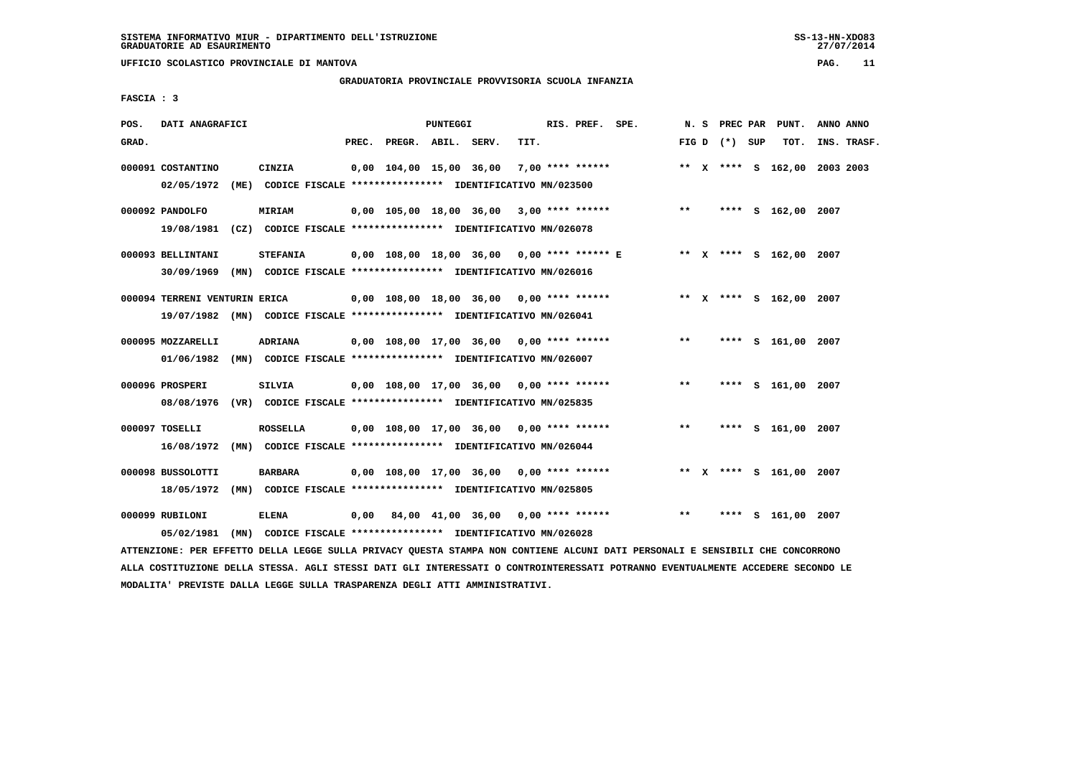# **GRADUATORIA PROVINCIALE PROVVISORIA SCUOLA INFANZIA**

 **FASCIA : 3**

| POS.  | DATI ANAGRAFICI               |                                                                                            |       |                    | PUNTEGGI |                                            |      | RIS. PREF. SPE. |                                                                     |       |                 | N. S PREC PAR PUNT.     | ANNO ANNO                    |  |
|-------|-------------------------------|--------------------------------------------------------------------------------------------|-------|--------------------|----------|--------------------------------------------|------|-----------------|---------------------------------------------------------------------|-------|-----------------|-------------------------|------------------------------|--|
| GRAD. |                               |                                                                                            | PREC. | PREGR. ABIL. SERV. |          |                                            | TIT. |                 |                                                                     |       | FIG D $(*)$ SUP | тот.                    | INS. TRASF.                  |  |
|       | 000091 COSTANTINO             | CINZIA<br>02/05/1972 (ME) CODICE FISCALE *************** IDENTIFICATIVO MN/023500          |       |                    |          | 0,00 104,00 15,00 36,00 7,00 **** ******   |      |                 |                                                                     |       |                 |                         | ** X **** S 162,00 2003 2003 |  |
|       | 000092 PANDOLFO               | <b>MIRIAM</b><br>19/08/1981 (CZ) CODICE FISCALE **************** IDENTIFICATIVO MN/026078  |       |                    |          |                                            |      |                 | $0,00$ 105,00 18,00 36,00 3,00 **** ****** *** **                   |       |                 | **** S 162,00 2007      |                              |  |
|       | 000093 BELLINTANI             | <b>STEFANIA</b><br>30/09/1969 (MN) CODICE FISCALE *************** IDENTIFICATIVO MN/026016 |       |                    |          |                                            |      |                 | 0,00 108,00 18,00 36,00 0,00 **** ****** E ** ** **** S 162,00 2007 |       |                 |                         |                              |  |
|       | 000094 TERRENI VENTURIN ERICA | 19/07/1982 (MN) CODICE FISCALE *************** IDENTIFICATIVO MN/026041                    |       |                    |          |                                            |      |                 | 0,00 108,00 18,00 36,00 0,00 **** ******                            |       |                 | ** X **** S 162,00 2007 |                              |  |
|       | 000095 MOZZARELLI             | <b>ADRIANA</b><br>01/06/1982 (MN) CODICE FISCALE *************** IDENTIFICATIVO MN/026007  |       |                    |          | 0,00 108,00 17,00 36,00 0,00 **** ******   |      |                 |                                                                     | $***$ |                 | **** S 161,00 2007      |                              |  |
|       | 000096 PROSPERI               | SILVIA<br>08/08/1976 (VR) CODICE FISCALE *************** IDENTIFICATIVO MN/025835          |       |                    |          | 0,00 108,00 17,00 36,00 0,00 **** ******   |      |                 |                                                                     | $* *$ |                 | **** S 161,00 2007      |                              |  |
|       | 000097 TOSELLI                | <b>ROSSELLA</b><br>16/08/1972 (MN) CODICE FISCALE *************** IDENTIFICATIVO MN/026044 |       |                    |          | $0,00$ 108,00 17,00 36,00 0,00 **** ****** |      |                 |                                                                     | $***$ |                 | **** S 161,00 2007      |                              |  |
|       | 000098 BUSSOLOTTI             | <b>BARBARA</b><br>18/05/1972 (MN) CODICE FISCALE *************** IDENTIFICATIVO MN/025805  |       |                    |          | $0,00$ 108,00 17,00 36,00 0,00 **** ****** |      |                 |                                                                     |       |                 | ** X **** S 161,00 2007 |                              |  |
|       | 000099 RUBILONI<br>05/02/1981 | <b>ELENA</b><br>(MN) CODICE FISCALE **************** IDENTIFICATIVO MN/026028              |       |                    |          | $0,00$ 84,00 41,00 36,00 0,00 **** ******  |      |                 |                                                                     | $***$ |                 | **** S 161,00 2007      |                              |  |

 **ATTENZIONE: PER EFFETTO DELLA LEGGE SULLA PRIVACY QUESTA STAMPA NON CONTIENE ALCUNI DATI PERSONALI E SENSIBILI CHE CONCORRONO ALLA COSTITUZIONE DELLA STESSA. AGLI STESSI DATI GLI INTERESSATI O CONTROINTERESSATI POTRANNO EVENTUALMENTE ACCEDERE SECONDO LE MODALITA' PREVISTE DALLA LEGGE SULLA TRASPARENZA DEGLI ATTI AMMINISTRATIVI.**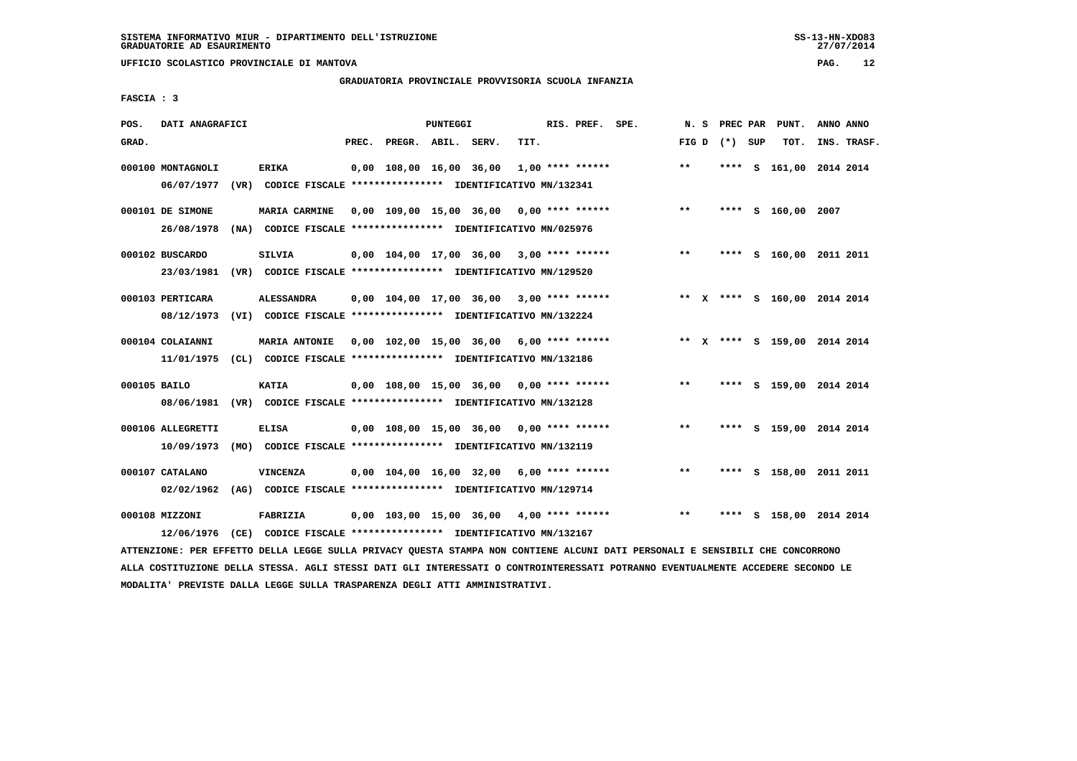# **GRADUATORIA PROVINCIALE PROVVISORIA SCUOLA INFANZIA**

 **FASCIA : 3**

| POS.  | DATI ANAGRAFICI   |                                                                                                                                                                                                         |                          | <b>PUNTEGGI</b> |                                                    |      | RIS. PREF. SPE.    |                    | N.S          |      | PREC PAR PUNT.               | ANNO ANNO |             |
|-------|-------------------|---------------------------------------------------------------------------------------------------------------------------------------------------------------------------------------------------------|--------------------------|-----------------|----------------------------------------------------|------|--------------------|--------------------|--------------|------|------------------------------|-----------|-------------|
| GRAD. |                   |                                                                                                                                                                                                         | PREC. PREGR. ABIL. SERV. |                 |                                                    | TIT. |                    |                    | FIG D $(*)$  | SUP  | TOT.                         |           | INS. TRASF. |
|       | 000100 MONTAGNOLI | <b>ERIKA</b>                                                                                                                                                                                            | 0,00 108,00 16,00 36,00  |                 |                                                    |      |                    | $1,00$ **** ****** | $\star\star$ | **** | S 161,00 2014 2014           |           |             |
|       | 06/07/1977        | (VR) CODICE FISCALE **************** IDENTIFICATIVO MN/132341                                                                                                                                           |                          |                 |                                                    |      |                    |                    |              |      |                              |           |             |
|       | 000101 DE SIMONE  | MARIA CARMINE                                                                                                                                                                                           |                          |                 | $0,00$ 109,00 15,00 36,00 0,00 **** ******         |      |                    |                    | $***$        |      | **** S 160,00 2007           |           |             |
|       | 26/08/1978        | (NA) CODICE FISCALE **************** IDENTIFICATIVO MN/025976                                                                                                                                           |                          |                 |                                                    |      |                    |                    |              |      |                              |           |             |
|       | 000102 BUSCARDO   | SILVIA                                                                                                                                                                                                  |                          |                 | $0.00$ 104.00 17.00 36.00 3.00 **** ******         |      |                    |                    | $***$        |      | **** S 160,00 2011 2011      |           |             |
|       | 23/03/1981        | (VR) CODICE FISCALE **************** IDENTIFICATIVO MN/129520                                                                                                                                           |                          |                 |                                                    |      |                    |                    |              |      |                              |           |             |
|       | 000103 PERTICARA  | <b>ALESSANDRA</b>                                                                                                                                                                                       |                          |                 | $0,00$ $104,00$ $17,00$ $36,00$ $3,00$ **** ****** |      |                    |                    |              |      | ** X **** S 160,00 2014 2014 |           |             |
|       | 08/12/1973        | (VI) CODICE FISCALE **************** IDENTIFICATIVO MN/132224                                                                                                                                           |                          |                 |                                                    |      |                    |                    |              |      |                              |           |             |
|       | 000104 COLAIANNI  | <b>MARIA ANTONIE</b>                                                                                                                                                                                    |                          |                 | $0,00$ 102,00 15,00 36,00 6,00 **** ******         |      |                    |                    |              |      | ** X **** S 159,00 2014 2014 |           |             |
|       | 11/01/1975        | (CL) CODICE FISCALE **************** IDENTIFICATIVO MN/132186                                                                                                                                           |                          |                 |                                                    |      |                    |                    |              |      |                              |           |             |
|       | 000105 BAILO      | <b>KATIA</b>                                                                                                                                                                                            |                          |                 | $0,00$ 108,00 15,00 36,00 0,00 **** ******         |      |                    |                    | $***$        |      | **** S 159,00 2014 2014      |           |             |
|       | 08/06/1981        | (VR) CODICE FISCALE **************** IDENTIFICATIVO MN/132128                                                                                                                                           |                          |                 |                                                    |      |                    |                    |              |      |                              |           |             |
|       | 000106 ALLEGRETTI | <b>ELISA</b>                                                                                                                                                                                            |                          |                 | 0,00 108,00 15,00 36,00 0,00 **** ******           |      |                    |                    | $* *$        |      | **** S 159,00 2014 2014      |           |             |
|       | 10/09/1973        | (MO) CODICE FISCALE **************** IDENTIFICATIVO MN/132119                                                                                                                                           |                          |                 |                                                    |      |                    |                    |              |      |                              |           |             |
|       | 000107 CATALANO   | <b>VINCENZA</b>                                                                                                                                                                                         |                          |                 | 0,00 104,00 16,00 32,00                            |      | $6,00$ **** ****** |                    | $**$         | **** | S 158,00 2011 2011           |           |             |
|       | 02/02/1962        | (AG) CODICE FISCALE **************** IDENTIFICATIVO MN/129714                                                                                                                                           |                          |                 |                                                    |      |                    |                    |              |      |                              |           |             |
|       | 000108 MIZZONI    | FABRIZIA                                                                                                                                                                                                |                          |                 | $0,00$ 103,00 15,00 36,00 4,00 **** ******         |      |                    |                    | $***$        |      | **** S 158,00 2014 2014      |           |             |
|       |                   | 12/06/1976 (CE) CODICE FISCALE *************** IDENTIFICATIVO MN/132167<br>RROUGEAUS AUS URDEREA ANELA FUANT AUFLA ARTUANI AUGUNA MAIUSA UAU AAURENUM ALAMET ANNE AURANALE M ANUALARET AUS AAUAANAANAUA |                          |                 |                                                    |      |                    |                    |              |      |                              |           |             |

 **ATTENZIONE: PER EFFETTO DELLA LEGGE SULLA PRIVACY QUESTA STAMPA NON CONTIENE ALCUNI DATI PERSONALI E SENSIBILI CHE CONCORRONO ALLA COSTITUZIONE DELLA STESSA. AGLI STESSI DATI GLI INTERESSATI O CONTROINTERESSATI POTRANNO EVENTUALMENTE ACCEDERE SECONDO LE MODALITA' PREVISTE DALLA LEGGE SULLA TRASPARENZA DEGLI ATTI AMMINISTRATIVI.**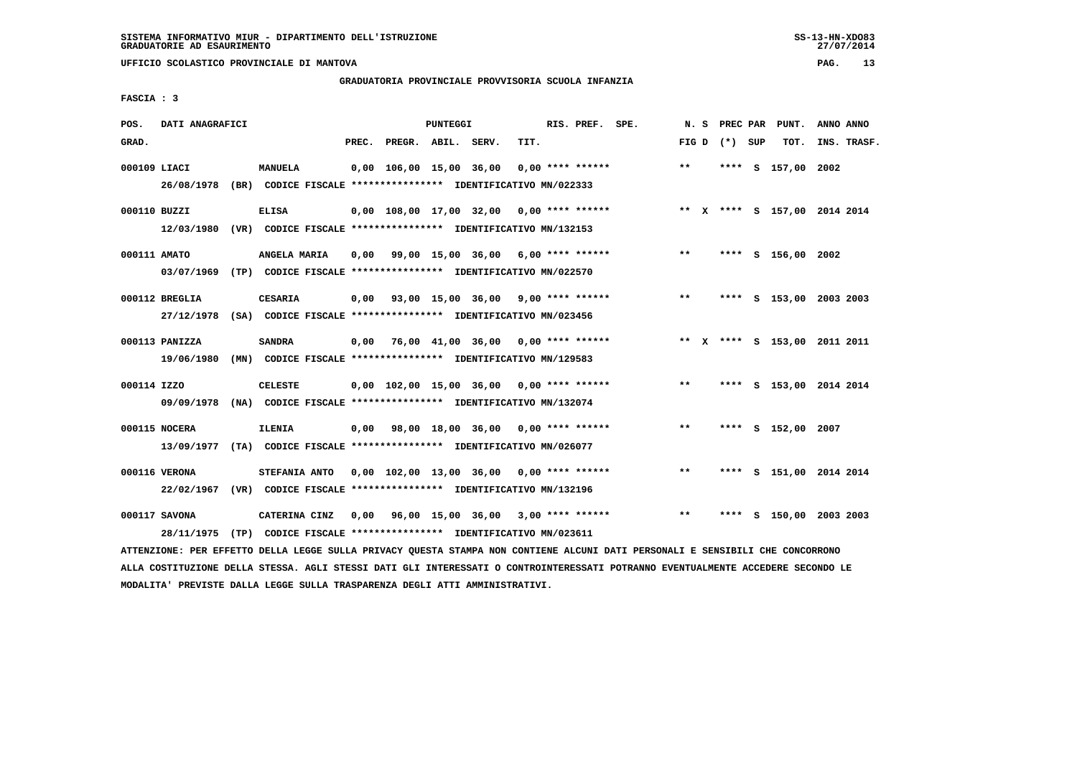# **GRADUATORIA PROVINCIALE PROVVISORIA SCUOLA INFANZIA**

 **FASCIA : 3**

| POS.         | DATI ANAGRAFICI             |                                                                                           |       |                    | PUNTEGGI |                                                       |      | RIS. PREF. SPE.    |                                                                               | N.S   |                   | PREC PAR PUNT.     | ANNO ANNO                    |
|--------------|-----------------------------|-------------------------------------------------------------------------------------------|-------|--------------------|----------|-------------------------------------------------------|------|--------------------|-------------------------------------------------------------------------------|-------|-------------------|--------------------|------------------------------|
| GRAD.        |                             |                                                                                           | PREC. | PREGR. ABIL. SERV. |          |                                                       | TIT. |                    |                                                                               |       | FIG $D$ $(*)$ SUP | TOT.               | INS. TRASF.                  |
| 000109 LIACI |                             | <b>MANUELA</b><br>26/08/1978 (BR) CODICE FISCALE *************** IDENTIFICATIVO MN/022333 |       |                    |          | 0,00 106,00 15,00 36,00                               |      | $0.00$ **** ****** |                                                                               | $**$  |                   | **** S 157,00 2002 |                              |
| 000110 BUZZI |                             | <b>ELISA</b><br>12/03/1980 (VR) CODICE FISCALE *************** IDENTIFICATIVO MN/132153   |       |                    |          |                                                       |      |                    | 0,00 108,00 17,00 32,00 0,00 **** ****** **** *** ** **** \$ 157,00 2014 2014 |       |                   |                    |                              |
| 000111 AMATO |                             | ANGELA MARIA<br>03/07/1969 (TP) CODICE FISCALE **************** IDENTIFICATIVO MN/022570  |       |                    |          | $0.00$ 99.00 15.00 36.00 6.00 **** ******             |      |                    |                                                                               | $***$ |                   | **** S 156,00 2002 |                              |
|              | 000112 BREGLIA              | <b>CESARIA</b><br>27/12/1978 (SA) CODICE FISCALE *************** IDENTIFICATIVO MN/023456 |       |                    |          | $0,00$ $93,00$ $15,00$ $36,00$ $9,00$ $***$ $***$ $*$ |      |                    |                                                                               | $* *$ |                   |                    | **** S 153,00 2003 2003      |
|              | 000113 PANIZZA              | <b>SANDRA</b><br>19/06/1980 (MN) CODICE FISCALE *************** IDENTIFICATIVO MN/129583  |       |                    |          |                                                       |      |                    | $0.00$ 76.00 41.00 36.00 0.00 **** ******                                     |       |                   |                    | ** X **** S 153,00 2011 2011 |
| 000114 IZZO  | 09/09/1978                  | <b>CELESTE</b><br>(NA) CODICE FISCALE *************** IDENTIFICATIVO MN/132074            |       |                    |          |                                                       |      |                    | $0,00$ 102,00 15,00 36,00 0,00 **** ******                                    | $***$ |                   |                    | **** S 153,00 2014 2014      |
|              | 000115 NOCERA               | <b>ILENIA</b><br>13/09/1977 (TA) CODICE FISCALE *************** IDENTIFICATIVO MN/026077  |       |                    |          | $0,00$ 98,00 18,00 36,00 0,00 **** ******             |      |                    |                                                                               | $* *$ |                   | **** S 152,00 2007 |                              |
|              | 000116 VERONA<br>22/02/1967 | STEFANIA ANTO<br>(VR) CODICE FISCALE **************** IDENTIFICATIVO MN/132196            |       |                    |          | $0.00$ 102.00 13.00 36.00 0.00 **** ******            |      |                    |                                                                               | $***$ |                   |                    | **** S 151,00 2014 2014      |
|              | 000117 SAVONA<br>28/11/1975 | CATERINA CINZ<br>(TP) CODICE FISCALE **************** IDENTIFICATIVO MN/023611            |       |                    |          | $0,00$ 96,00 15,00 36,00 3,00 **** ******             |      |                    |                                                                               | $***$ |                   |                    | **** S 150,00 2003 2003      |

 **ATTENZIONE: PER EFFETTO DELLA LEGGE SULLA PRIVACY QUESTA STAMPA NON CONTIENE ALCUNI DATI PERSONALI E SENSIBILI CHE CONCORRONO ALLA COSTITUZIONE DELLA STESSA. AGLI STESSI DATI GLI INTERESSATI O CONTROINTERESSATI POTRANNO EVENTUALMENTE ACCEDERE SECONDO LE MODALITA' PREVISTE DALLA LEGGE SULLA TRASPARENZA DEGLI ATTI AMMINISTRATIVI.**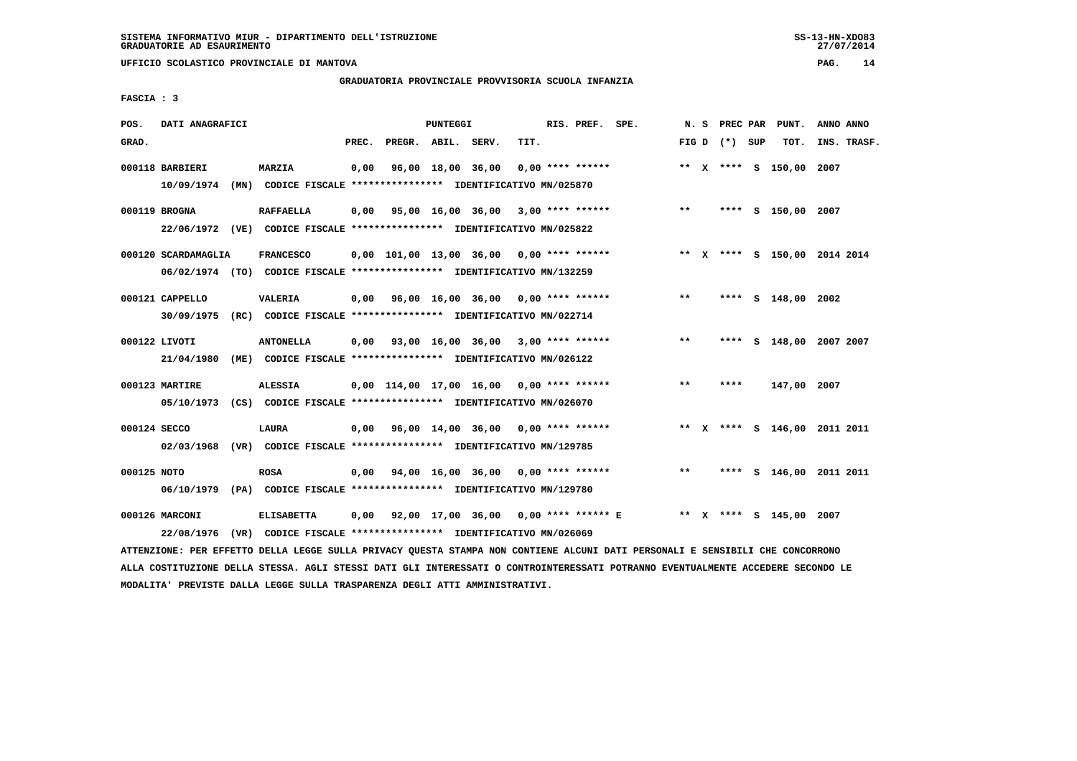# **GRADUATORIA PROVINCIALE PROVVISORIA SCUOLA INFANZIA**

 **FASCIA : 3**

| GRAD.<br>PREC.<br>PREGR. ABIL. SERV.<br>TIT.<br>FIG D $(*)$ SUP<br>TOT.<br>INS. TRASF.<br>0,00<br>96,00 18,00 36,00<br>$0.00$ **** ******<br>** X **** S 150,00 2007<br>000118 BARBIERI<br>MARZIA<br>10/09/1974 (MN) CODICE FISCALE *************** IDENTIFICATIVO MN/025870<br>$0,00$ $95,00$ $16,00$ $36,00$ $3,00$ $***$ **** ******<br>$***$<br>000119 BROGNA<br><b>RAFFAELLA</b><br>**** S 150,00 2007<br>22/06/1972 (VE) CODICE FISCALE *************** IDENTIFICATIVO MN/025822<br>000120 SCARDAMAGLIA<br><b>FRANCESCO</b><br>0,00 101,00 13,00 36,00 0,00 **** ******<br>** X **** S 150,00 2014 2014<br>06/02/1974 (TO) CODICE FISCALE *************** IDENTIFICATIVO MN/132259<br>$0,00$ $96,00$ $16,00$ $36,00$ $0,00$ $***$ **** *****<br>$* *$<br>**** S 148,00 2002<br>000121 CAPPELLO<br><b>VALERIA</b><br>30/09/1975 (RC) CODICE FISCALE *************** IDENTIFICATIVO MN/022714<br>$0,00$ $93,00$ $16,00$ $36,00$ $3,00$ $***$ $***$ $***$<br>000122 LIVOTI<br><b>ANTONELLA</b><br>$***$<br>**** S 148,00 2007 2007<br>21/04/1980<br>(ME) CODICE FISCALE **************** IDENTIFICATIVO MN/026122<br>$0,00$ 114,00 17,00 16,00 0,00 **** ******<br>$***$<br>147,00 2007<br>000123 MARTIRE<br><b>ALESSIA</b><br>****<br>05/10/1973 (CS) CODICE FISCALE *************** IDENTIFICATIVO MN/026070<br>000124 SECCO<br>0,00 96,00 14,00 36,00 0,00 **** ******<br>** X **** S 146,00 2011 2011<br>LAURA |
|-----------------------------------------------------------------------------------------------------------------------------------------------------------------------------------------------------------------------------------------------------------------------------------------------------------------------------------------------------------------------------------------------------------------------------------------------------------------------------------------------------------------------------------------------------------------------------------------------------------------------------------------------------------------------------------------------------------------------------------------------------------------------------------------------------------------------------------------------------------------------------------------------------------------------------------------------------------------------------------------------------------------------------------------------------------------------------------------------------------------------------------------------------------------------------------------------------------------------------------------------------------------------------------------------------------------------------------------------------------------------------------------------------------------------|
|                                                                                                                                                                                                                                                                                                                                                                                                                                                                                                                                                                                                                                                                                                                                                                                                                                                                                                                                                                                                                                                                                                                                                                                                                                                                                                                                                                                                                       |
|                                                                                                                                                                                                                                                                                                                                                                                                                                                                                                                                                                                                                                                                                                                                                                                                                                                                                                                                                                                                                                                                                                                                                                                                                                                                                                                                                                                                                       |
|                                                                                                                                                                                                                                                                                                                                                                                                                                                                                                                                                                                                                                                                                                                                                                                                                                                                                                                                                                                                                                                                                                                                                                                                                                                                                                                                                                                                                       |
|                                                                                                                                                                                                                                                                                                                                                                                                                                                                                                                                                                                                                                                                                                                                                                                                                                                                                                                                                                                                                                                                                                                                                                                                                                                                                                                                                                                                                       |
|                                                                                                                                                                                                                                                                                                                                                                                                                                                                                                                                                                                                                                                                                                                                                                                                                                                                                                                                                                                                                                                                                                                                                                                                                                                                                                                                                                                                                       |
|                                                                                                                                                                                                                                                                                                                                                                                                                                                                                                                                                                                                                                                                                                                                                                                                                                                                                                                                                                                                                                                                                                                                                                                                                                                                                                                                                                                                                       |
|                                                                                                                                                                                                                                                                                                                                                                                                                                                                                                                                                                                                                                                                                                                                                                                                                                                                                                                                                                                                                                                                                                                                                                                                                                                                                                                                                                                                                       |
|                                                                                                                                                                                                                                                                                                                                                                                                                                                                                                                                                                                                                                                                                                                                                                                                                                                                                                                                                                                                                                                                                                                                                                                                                                                                                                                                                                                                                       |
|                                                                                                                                                                                                                                                                                                                                                                                                                                                                                                                                                                                                                                                                                                                                                                                                                                                                                                                                                                                                                                                                                                                                                                                                                                                                                                                                                                                                                       |
|                                                                                                                                                                                                                                                                                                                                                                                                                                                                                                                                                                                                                                                                                                                                                                                                                                                                                                                                                                                                                                                                                                                                                                                                                                                                                                                                                                                                                       |
|                                                                                                                                                                                                                                                                                                                                                                                                                                                                                                                                                                                                                                                                                                                                                                                                                                                                                                                                                                                                                                                                                                                                                                                                                                                                                                                                                                                                                       |
|                                                                                                                                                                                                                                                                                                                                                                                                                                                                                                                                                                                                                                                                                                                                                                                                                                                                                                                                                                                                                                                                                                                                                                                                                                                                                                                                                                                                                       |
|                                                                                                                                                                                                                                                                                                                                                                                                                                                                                                                                                                                                                                                                                                                                                                                                                                                                                                                                                                                                                                                                                                                                                                                                                                                                                                                                                                                                                       |
|                                                                                                                                                                                                                                                                                                                                                                                                                                                                                                                                                                                                                                                                                                                                                                                                                                                                                                                                                                                                                                                                                                                                                                                                                                                                                                                                                                                                                       |
| 02/03/1968<br>(VR) CODICE FISCALE *************** IDENTIFICATIVO MN/129785                                                                                                                                                                                                                                                                                                                                                                                                                                                                                                                                                                                                                                                                                                                                                                                                                                                                                                                                                                                                                                                                                                                                                                                                                                                                                                                                            |
| $0,00$ $94,00$ $16,00$ $36,00$ $0,00$ $***$ **** ******<br>$***$<br>000125 NOTO<br><b>ROSA</b><br>**** S 146,00 2011 2011                                                                                                                                                                                                                                                                                                                                                                                                                                                                                                                                                                                                                                                                                                                                                                                                                                                                                                                                                                                                                                                                                                                                                                                                                                                                                             |
| 06/10/1979 (PA) CODICE FISCALE *************** IDENTIFICATIVO MN/129780                                                                                                                                                                                                                                                                                                                                                                                                                                                                                                                                                                                                                                                                                                                                                                                                                                                                                                                                                                                                                                                                                                                                                                                                                                                                                                                                               |
| 000126 MARCONI<br>0,00 92,00 17,00 36,00 0,00 **** ****** E ** X **** S 145,00 2007<br><b>ELISABETTA</b>                                                                                                                                                                                                                                                                                                                                                                                                                                                                                                                                                                                                                                                                                                                                                                                                                                                                                                                                                                                                                                                                                                                                                                                                                                                                                                              |
| 22/08/1976 (VR) CODICE FISCALE *************** IDENTIFICATIVO MN/026069                                                                                                                                                                                                                                                                                                                                                                                                                                                                                                                                                                                                                                                                                                                                                                                                                                                                                                                                                                                                                                                                                                                                                                                                                                                                                                                                               |

 **ATTENZIONE: PER EFFETTO DELLA LEGGE SULLA PRIVACY QUESTA STAMPA NON CONTIENE ALCUNI DATI PERSONALI E SENSIBILI CHE CONCORRONO ALLA COSTITUZIONE DELLA STESSA. AGLI STESSI DATI GLI INTERESSATI O CONTROINTERESSATI POTRANNO EVENTUALMENTE ACCEDERE SECONDO LE MODALITA' PREVISTE DALLA LEGGE SULLA TRASPARENZA DEGLI ATTI AMMINISTRATIVI.**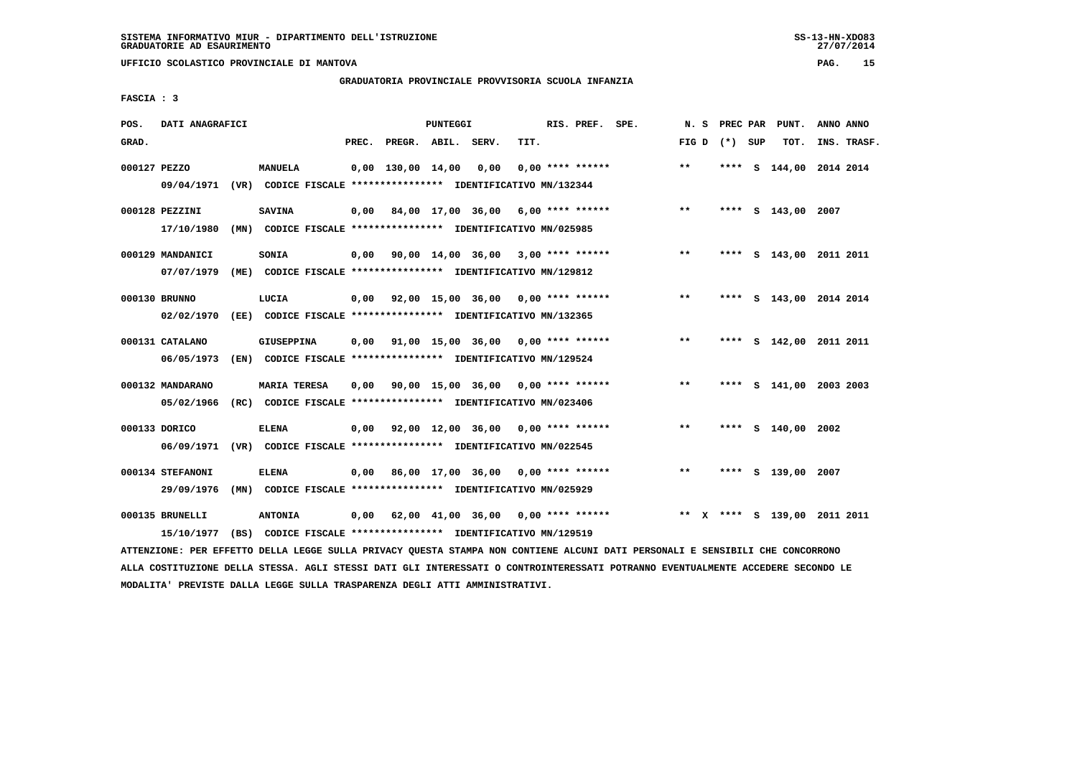# **GRADUATORIA PROVINCIALE PROVVISORIA SCUOLA INFANZIA**

 $27/07/2014$ 

 **FASCIA : 3**

| POS.          | DATI ANAGRAFICI                                                                            |                     |       |                     | <b>PUNTEGGI</b> |                                                                                                       |      | RIS. PREF.         | SPE. | N.S   | PREC PAR |     | PUNT.                     |      | ANNO ANNO   |
|---------------|--------------------------------------------------------------------------------------------|---------------------|-------|---------------------|-----------------|-------------------------------------------------------------------------------------------------------|------|--------------------|------|-------|----------|-----|---------------------------|------|-------------|
| GRAD.         |                                                                                            |                     | PREC. | PREGR. ABIL.        |                 | SERV.                                                                                                 | TIT. |                    |      | FIG D | $(*)$    | SUP | TOT.                      |      | INS. TRASF. |
| 000127 PEZZO  | 09/04/1971 (VR) CODICE FISCALE *************** IDENTIFICATIVO MN/132344                    | <b>MANUELA</b>      |       | $0,00$ 130,00 14,00 |                 | 0,00                                                                                                  |      | $0,00$ **** ****** |      | $* *$ |          |     | **** S 144,00 2014 2014   |      |             |
|               | 000128 PEZZINI<br>17/10/1980                                                               | <b>SAVINA</b>       | 0,00  |                     |                 | 84,00 17,00 36,00 6,00 **** ******<br>(MN) CODICE FISCALE *************** IDENTIFICATIVO MN/025985    |      |                    |      | $***$ |          |     | **** S 143,00 2007        |      |             |
|               | 000129 MANDANICI<br>07/07/1979                                                             | SONIA               | 0,00  |                     |                 | $90,00$ 14,00 36,00 3,00 **** ******<br>(ME) CODICE FISCALE **************** IDENTIFICATIVO MN/129812 |      |                    |      | $***$ |          |     | **** S 143,00 2011 2011   |      |             |
| 000130 BRUNNO | 02/02/1970                                                                                 | LUCIA               | 0,00  |                     |                 | 92,00 15,00 36,00 0,00 **** ******<br>(EE) CODICE FISCALE **************** IDENTIFICATIVO MN/132365   |      |                    |      | $***$ |          |     | **** S 143,00 2014 2014   |      |             |
|               | 000131 CATALANO<br>06/05/1973                                                              | <b>GIUSEPPINA</b>   |       |                     |                 | 0,00 91,00 15,00 36,00<br>(EN) CODICE FISCALE **************** IDENTIFICATIVO MN/129524               |      | $0.00$ **** ****** |      | $***$ | ****     |     | S 142,00 2011 2011        |      |             |
|               | 000132 MANDARANO<br>05/02/1966                                                             | <b>MARIA TERESA</b> | 0,00  |                     |                 | 90,00 15,00 36,00 0,00 **** ******<br>(RC) CODICE FISCALE **************** IDENTIFICATIVO MN/023406   |      |                    |      | $***$ |          |     | **** S 141,00 2003 2003   |      |             |
| 000133 DORICO | 06/09/1971                                                                                 | <b>ELENA</b>        | 0.00  |                     |                 | 92,00 12,00 36,00<br>(VR) CODICE FISCALE *************** IDENTIFICATIVO MN/022545                     |      | $0.00$ **** ****** |      | $***$ |          |     | **** S 140,00             | 2002 |             |
|               | 000134 STEFANONI<br>29/09/1976                                                             | <b>ELENA</b>        | 0,00  |                     |                 | 86,00 17,00 36,00 0,00 **** ******<br>(MN) CODICE FISCALE *************** IDENTIFICATIVO MN/025929    |      |                    |      | $***$ |          |     | **** S 139,00 2007        |      |             |
|               | 000135 BRUNELLI<br>15/10/1977 (BS) CODICE FISCALE *************** IDENTIFICATIVO MN/129519 | <b>ANTONIA</b>      | 0,00  |                     |                 | 62,00 41,00 36,00                                                                                     |      | $0.00$ **** ****** |      | $***$ |          |     | X **** S 139,00 2011 2011 |      |             |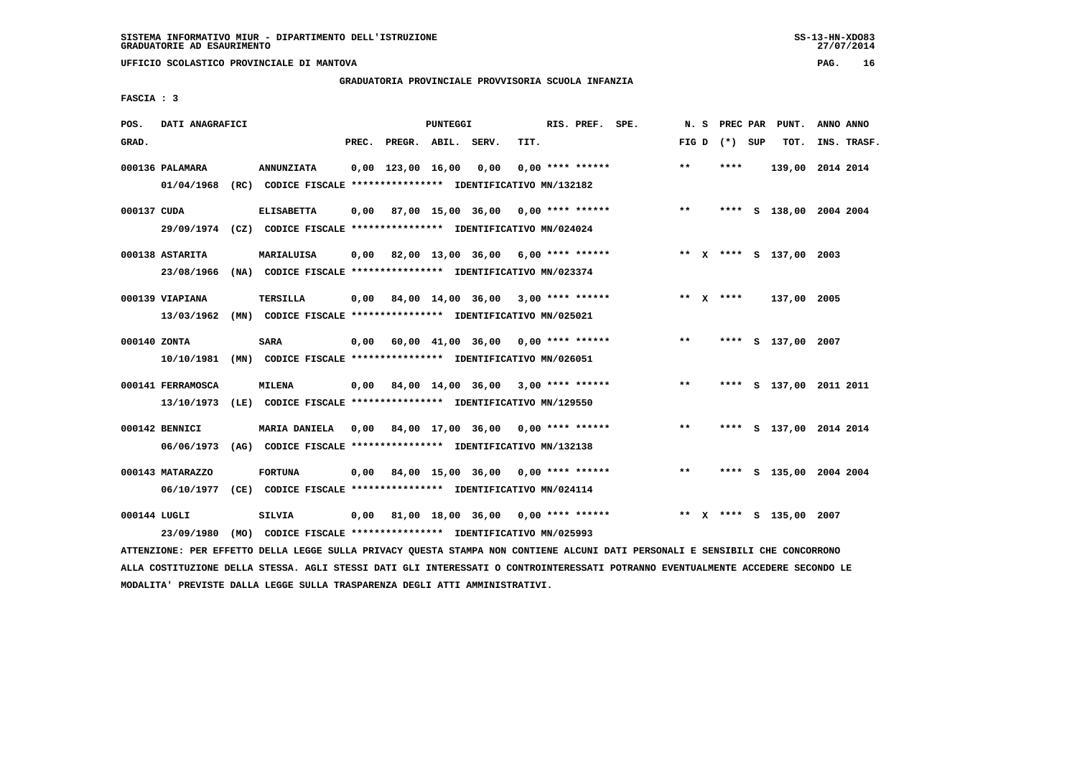**UFFICIO SCOLASTICO PROVINCIALE DI MANTOVA PAG. 16**

# **GRADUATORIA PROVINCIALE PROVVISORIA SCUOLA INFANZIA**

 **FASCIA : 3**

| POS.         | DATI ANAGRAFICI   |                                                                         |       |                     | <b>PUNTEGGI</b> |                                                  |      | RIS. PREF.         | SPE. | N.S   | PREC PAR        | PUNT.                   | ANNO ANNO |             |
|--------------|-------------------|-------------------------------------------------------------------------|-------|---------------------|-----------------|--------------------------------------------------|------|--------------------|------|-------|-----------------|-------------------------|-----------|-------------|
| GRAD.        |                   |                                                                         | PREC. | PREGR. ABIL. SERV.  |                 |                                                  | TIT. |                    |      |       | FIG D $(*)$ SUP | TOT.                    |           | INS. TRASF. |
|              |                   |                                                                         |       |                     |                 |                                                  |      |                    |      |       |                 |                         |           |             |
|              | 000136 PALAMARA   | <b>ANNUNZIATA</b>                                                       |       | $0.00$ 123.00 16.00 |                 | 0.00                                             |      | $0.00$ **** ****** |      | $* *$ | ****            | 139,00 2014 2014        |           |             |
|              | 01/04/1968        | (RC) CODICE FISCALE **************** IDENTIFICATIVO MN/132182           |       |                     |                 |                                                  |      |                    |      |       |                 |                         |           |             |
|              |                   |                                                                         |       |                     |                 |                                                  |      |                    |      |       |                 |                         |           |             |
| 000137 CUDA  |                   | <b>ELISABETTA</b>                                                       | 0,00  |                     |                 | 87,00 15,00 36,00                                |      | $0.00$ **** ****** |      | $***$ |                 | **** S 138,00 2004 2004 |           |             |
|              |                   | 29/09/1974 (CZ) CODICE FISCALE *************** IDENTIFICATIVO MN/024024 |       |                     |                 |                                                  |      |                    |      |       |                 |                         |           |             |
|              | 000138 ASTARITA   | MARIALUISA                                                              | 0,00  |                     |                 | 82,00 13,00 36,00 6,00 **** ******               |      |                    |      |       |                 | ** X **** S 137,00 2003 |           |             |
|              | 23/08/1966        | (NA) CODICE FISCALE **************** IDENTIFICATIVO MN/023374           |       |                     |                 |                                                  |      |                    |      |       |                 |                         |           |             |
|              |                   |                                                                         |       |                     |                 |                                                  |      |                    |      |       |                 |                         |           |             |
|              | 000139 VIAPIANA   | <b>TERSILLA</b>                                                         | 0,00  |                     |                 | 84,00 14,00 36,00 3,00 **** ******               |      |                    |      |       | ** $X$ ****     | 137,00 2005             |           |             |
|              | 13/03/1962        | (MN) CODICE FISCALE **************** IDENTIFICATIVO MN/025021           |       |                     |                 |                                                  |      |                    |      |       |                 |                         |           |             |
|              |                   |                                                                         |       |                     |                 |                                                  |      |                    |      |       |                 |                         |           |             |
| 000140 ZONTA |                   | <b>SARA</b>                                                             | 0,00  |                     |                 | $60,00$ $41,00$ $36,00$ $0,00$ $***$ **** ****** |      |                    |      | $***$ |                 | **** S 137,00 2007      |           |             |
|              |                   | 10/10/1981 (MN) CODICE FISCALE *************** IDENTIFICATIVO MN/026051 |       |                     |                 |                                                  |      |                    |      |       |                 |                         |           |             |
|              | 000141 FERRAMOSCA | <b>MILENA</b>                                                           |       |                     |                 | $0,00$ 84,00 14,00 36,00 3,00 **** ******        |      |                    |      | $***$ |                 | **** S 137,00 2011 2011 |           |             |
|              |                   |                                                                         |       |                     |                 |                                                  |      |                    |      |       |                 |                         |           |             |
|              |                   | 13/10/1973 (LE) CODICE FISCALE *************** IDENTIFICATIVO MN/129550 |       |                     |                 |                                                  |      |                    |      |       |                 |                         |           |             |
|              | 000142 BENNICI    | MARIA DANIELA                                                           |       |                     |                 | 0,00 84,00 17,00 36,00                           |      | $0.00$ **** ****** |      | $***$ |                 | **** S 137,00 2014 2014 |           |             |
|              | 06/06/1973        | (AG) CODICE FISCALE **************** IDENTIFICATIVO MN/132138           |       |                     |                 |                                                  |      |                    |      |       |                 |                         |           |             |
|              |                   |                                                                         |       |                     |                 |                                                  |      |                    |      |       |                 |                         |           |             |
|              | 000143 MATARAZZO  | <b>FORTUNA</b>                                                          | 0,00  |                     |                 | 84,00 15,00 36,00 0,00 **** ******               |      |                    |      | $***$ | ****            | S 135,00 2004 2004      |           |             |
|              | 06/10/1977        | (CE) CODICE FISCALE **************** IDENTIFICATIVO MN/024114           |       |                     |                 |                                                  |      |                    |      |       |                 |                         |           |             |
|              |                   |                                                                         |       |                     |                 |                                                  |      |                    |      |       |                 |                         |           |             |
| 000144 LUGLI |                   | <b>SILVIA</b>                                                           | 0,00  |                     |                 | 81,00 18,00 36,00 0,00 **** ******               |      |                    |      |       |                 | ** X **** S 135,00 2007 |           |             |
|              | 23/09/1980        | (MO) CODICE FISCALE **************** IDENTIFICATIVO MN/025993           |       |                     |                 |                                                  |      |                    |      |       |                 |                         |           |             |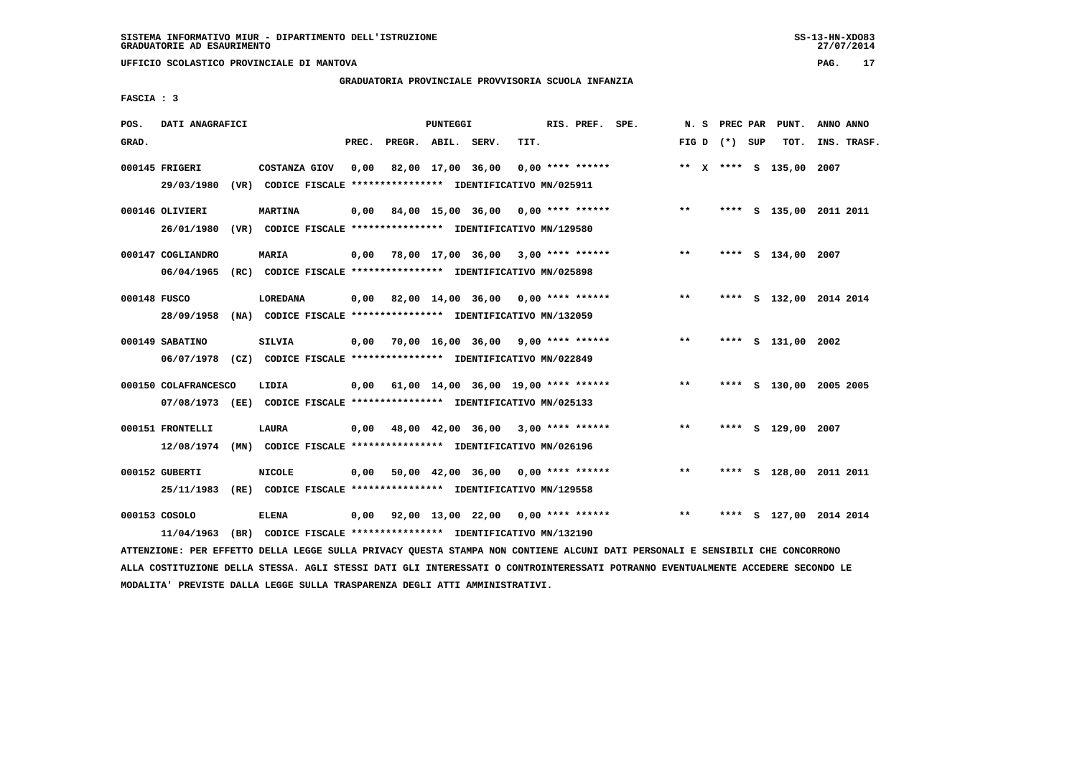# **GRADUATORIA PROVINCIALE PROVVISORIA SCUOLA INFANZIA**

 **FASCIA : 3**

| POS.         | DATI ANAGRAFICI                                                         |                                                               |       |                    | PUNTEGGI |                                                   |      | RIS. PREF. SPE.    |                                         |       |                 | N. S PREC PAR PUNT.     | ANNO ANNO |             |
|--------------|-------------------------------------------------------------------------|---------------------------------------------------------------|-------|--------------------|----------|---------------------------------------------------|------|--------------------|-----------------------------------------|-------|-----------------|-------------------------|-----------|-------------|
| GRAD.        |                                                                         |                                                               | PREC. | PREGR. ABIL. SERV. |          |                                                   | TIT. |                    |                                         |       | FIG D $(*)$ SUP | TOT.                    |           | INS. TRASF. |
|              | 000145 FRIGERI                                                          | COSTANZA GIOV                                                 | 0,00  |                    |          | 82,00 17,00 36,00                                 |      | $0.00$ **** ****** |                                         |       |                 | ** X **** S 135,00 2007 |           |             |
|              | 29/03/1980                                                              | (VR) CODICE FISCALE **************** IDENTIFICATIVO MN/025911 |       |                    |          |                                                   |      |                    |                                         |       |                 |                         |           |             |
|              | 000146 OLIVIERI                                                         | <b>MARTINA</b>                                                | 0,00  |                    |          |                                                   |      |                    | 84,00 15,00 36,00 0,00 **** ******      | $* *$ |                 | **** S 135,00 2011 2011 |           |             |
|              | 26/01/1980                                                              | (VR) CODICE FISCALE **************** IDENTIFICATIVO MN/129580 |       |                    |          |                                                   |      |                    |                                         |       |                 |                         |           |             |
|              | 000147 COGLIANDRO                                                       | <b>MARIA</b>                                                  |       |                    |          | $0,00$ 78,00 17,00 36,00 3,00 **** ******         |      |                    |                                         | $***$ |                 | **** S 134,00 2007      |           |             |
|              | 06/04/1965                                                              | (RC) CODICE FISCALE **************** IDENTIFICATIVO MN/025898 |       |                    |          |                                                   |      |                    |                                         |       |                 |                         |           |             |
| 000148 FUSCO |                                                                         | <b>LOREDANA</b>                                               |       |                    |          | $0.00$ 82.00 14.00 36.00 0.00 **** ******         |      |                    |                                         | $***$ |                 | **** S 132,00 2014 2014 |           |             |
|              | 28/09/1958                                                              | (NA) CODICE FISCALE *************** IDENTIFICATIVO MN/132059  |       |                    |          |                                                   |      |                    |                                         |       |                 |                         |           |             |
|              | 000149 SABATINO                                                         | <b>SILVIA</b>                                                 |       |                    |          |                                                   |      |                    | 0,00 70,00 16,00 36,00 9,00 **** ****** | $* *$ |                 | **** S 131,00 2002      |           |             |
|              | 06/07/1978 (CZ) CODICE FISCALE *************** IDENTIFICATIVO MN/022849 |                                                               |       |                    |          |                                                   |      |                    |                                         |       |                 |                         |           |             |
|              | 000150 COLAFRANCESCO                                                    |                                                               |       |                    |          | 0,00 61,00 14,00 36,00 19,00 **** ******          |      |                    |                                         | $***$ |                 | **** S 130,00 2005 2005 |           |             |
|              | 07/08/1973 (EE) CODICE FISCALE *************** IDENTIFICATIVO MN/025133 | LIDIA                                                         |       |                    |          |                                                   |      |                    |                                         |       |                 |                         |           |             |
|              |                                                                         |                                                               |       |                    |          |                                                   |      |                    |                                         |       |                 |                         |           |             |
|              | 000151 FRONTELLI                                                        | LAURA                                                         | 0,00  |                    |          | 48,00 42,00 36,00 3,00 **** ******                |      |                    |                                         | $* *$ |                 | **** S 129,00 2007      |           |             |
|              | 12/08/1974                                                              | (MN) CODICE FISCALE **************** IDENTIFICATIVO MN/026196 |       |                    |          |                                                   |      |                    |                                         |       |                 |                         |           |             |
|              | 000152 GUBERTI                                                          | <b>NICOLE</b>                                                 |       |                    |          | $0,00$ 50,00 42,00 36,00 0,00 **** ******         |      |                    |                                         | $***$ |                 | **** S 128,00 2011 2011 |           |             |
|              | 25/11/1983                                                              | (RE) CODICE FISCALE **************** IDENTIFICATIVO MN/129558 |       |                    |          |                                                   |      |                    |                                         |       |                 |                         |           |             |
|              | 000153 COSOLO                                                           | <b>ELENA</b>                                                  |       |                    |          | $0,00$ $92,00$ $13,00$ $22,00$ $0,00$ **** ****** |      |                    |                                         | $***$ |                 | **** S 127,00 2014 2014 |           |             |
|              | 11/04/1963                                                              | (BR) CODICE FISCALE **************** IDENTIFICATIVO MN/132190 |       |                    |          |                                                   |      |                    |                                         |       |                 |                         |           |             |

 **ATTENZIONE: PER EFFETTO DELLA LEGGE SULLA PRIVACY QUESTA STAMPA NON CONTIENE ALCUNI DATI PERSONALI E SENSIBILI CHE CONCORRONO ALLA COSTITUZIONE DELLA STESSA. AGLI STESSI DATI GLI INTERESSATI O CONTROINTERESSATI POTRANNO EVENTUALMENTE ACCEDERE SECONDO LE MODALITA' PREVISTE DALLA LEGGE SULLA TRASPARENZA DEGLI ATTI AMMINISTRATIVI.**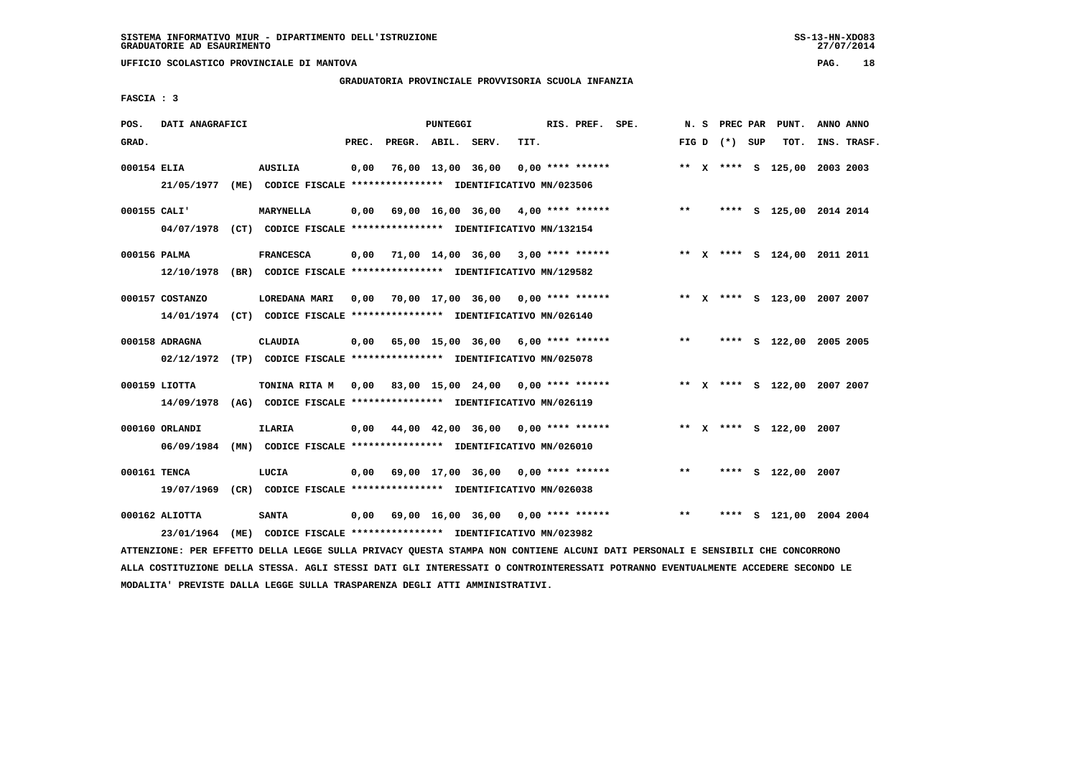# **GRADUATORIA PROVINCIALE PROVVISORIA SCUOLA INFANZIA**

 $27/07/2014$ 

 **FASCIA : 3**

| POS.         | DATI ANAGRAFICI                |                                                                                             |       |                    | PUNTEGGI |                                                   |      | RIS. PREF. SPE.    |                                                                              |       |                   | N. S PREC PAR PUNT.          | ANNO ANNO |             |
|--------------|--------------------------------|---------------------------------------------------------------------------------------------|-------|--------------------|----------|---------------------------------------------------|------|--------------------|------------------------------------------------------------------------------|-------|-------------------|------------------------------|-----------|-------------|
| GRAD.        |                                |                                                                                             | PREC. | PREGR. ABIL. SERV. |          |                                                   | TIT. |                    |                                                                              |       | FIG $D$ $(*)$ SUP | тот.                         |           | INS. TRASF. |
| 000154 ELIA  |                                | <b>AUSILIA</b><br>21/05/1977 (ME) CODICE FISCALE *************** IDENTIFICATIVO MN/023506   | 0,00  |                    |          | 76,00 13,00 36,00                                 |      | $0.00$ **** ****** |                                                                              |       |                   | ** X **** S 125,00 2003 2003 |           |             |
| 000155 CALI' |                                | <b>MARYNELLA</b><br>04/07/1978 (CT) CODICE FISCALE *************** IDENTIFICATIVO MN/132154 |       |                    |          |                                                   |      |                    | $0,00$ 69,00 16,00 36,00 4,00 **** ******                                    | $***$ |                   | **** S 125,00 2014 2014      |           |             |
| 000156 PALMA |                                | <b>FRANCESCA</b><br>12/10/1978 (BR) CODICE FISCALE *************** IDENTIFICATIVO MN/129582 |       |                    |          | $0,00$ $71,00$ $14,00$ $36,00$ $3,00$ **** ****** |      |                    |                                                                              |       |                   | ** X **** S 124,00 2011 2011 |           |             |
|              | 000157 COSTANZO                | LOREDANA MARI<br>14/01/1974 (CT) CODICE FISCALE *************** IDENTIFICATIVO MN/026140    |       |                    |          |                                                   |      |                    | 0,00 70,00 17,00 36,00 0,00 **** ****** * *** * ** * *** \$ 123,00 2007 2007 |       |                   |                              |           |             |
|              | 000158 ADRAGNA                 | CLAUDIA<br>02/12/1972 (TP) CODICE FISCALE *************** IDENTIFICATIVO MN/025078          |       |                    |          | 0,00 65,00 15,00 36,00 6,00 **** ******           |      |                    |                                                                              | $***$ |                   | **** S 122,00 2005 2005      |           |             |
|              | 000159 LIOTTA<br>14/09/1978    | TONINA RITA M<br>(AG) CODICE FISCALE **************** IDENTIFICATIVO MN/026119              |       |                    |          | $0.00$ 83.00 15.00 24.00 0.00 **** ******         |      |                    |                                                                              |       |                   | ** X **** S 122,00 2007 2007 |           |             |
|              | 000160 ORLANDI<br>06/09/1984   | <b>ILARIA</b><br>(MN) CODICE FISCALE *************** IDENTIFICATIVO MN/026010               | 0.00  |                    |          | 44,00 42,00 36,00 0,00 **** ******                |      |                    |                                                                              |       |                   | ** X **** S 122,00 2007      |           |             |
| 000161 TENCA |                                | LUCIA<br>19/07/1969 (CR) CODICE FISCALE *************** IDENTIFICATIVO MN/026038            |       |                    |          | $0,00$ 69,00 17,00 36,00 0,00 **** ******         |      |                    |                                                                              | $***$ |                   | **** S 122,00 2007           |           |             |
|              | $000162$ ALIOTTA<br>23/01/1964 | <b>SANTA</b><br>(ME) CODICE FISCALE **************** IDENTIFICATIVO MN/023982               |       |                    |          | 0,00 69,00 16,00 36,00 0,00 **** ******           |      |                    |                                                                              | $***$ |                   | **** S 121,00 2004 2004      |           |             |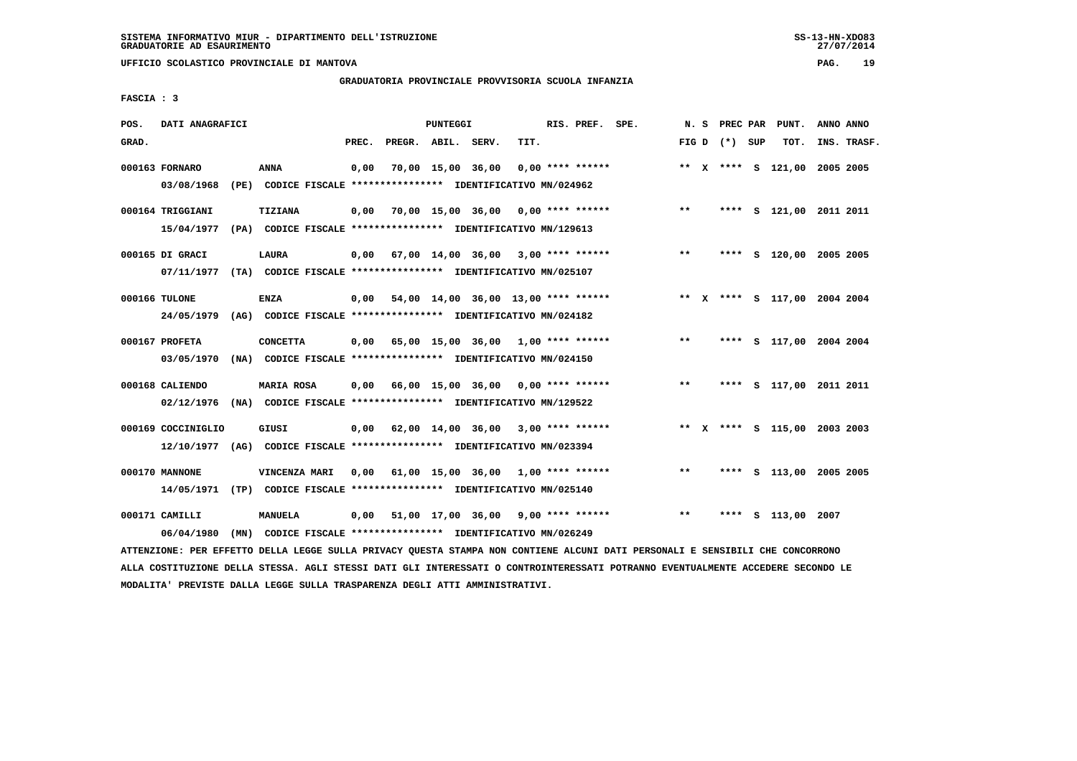# **GRADUATORIA PROVINCIALE PROVVISORIA SCUOLA INFANZIA**

 **FASCIA : 3**

| POS.  | DATI ANAGRAFICI                                                         |                                                                                                |       |                    | PUNTEGGI |                                           |      | RIS. PREF. SPE.    |                                           |       |                 | N. S PREC PAR PUNT.          | ANNO ANNO   |
|-------|-------------------------------------------------------------------------|------------------------------------------------------------------------------------------------|-------|--------------------|----------|-------------------------------------------|------|--------------------|-------------------------------------------|-------|-----------------|------------------------------|-------------|
| GRAD. |                                                                         |                                                                                                | PREC. | PREGR. ABIL. SERV. |          |                                           | TIT. |                    |                                           |       | FIG D $(*)$ SUP | TOT.                         | INS. TRASF. |
|       | 000163 FORNARO                                                          | ANNA                                                                                           | 0,00  |                    |          | 70,00 15,00 36,00                         |      | $0.00$ **** ****** |                                           |       |                 | ** X **** S 121,00 2005 2005 |             |
|       | 03/08/1968                                                              | (PE) CODICE FISCALE **************** IDENTIFICATIVO MN/024962                                  |       |                    |          |                                           |      |                    |                                           |       |                 |                              |             |
|       | 000164 TRIGGIANI                                                        | <b>TIZIANA</b>                                                                                 | 0,00  |                    |          | 70,00 15,00 36,00 0,00 **** ******        |      |                    |                                           | $***$ |                 | **** S 121,00 2011 2011      |             |
|       | 15/04/1977                                                              | (PA) CODICE FISCALE **************** IDENTIFICATIVO MN/129613                                  |       |                    |          |                                           |      |                    |                                           |       |                 |                              |             |
|       | 000165 DI GRACI                                                         | <b>LAURA</b>                                                                                   | 0,00  |                    |          |                                           |      |                    | 67,00 14,00 36,00 3,00 **** ******        | $***$ |                 | **** S 120,00 2005 2005      |             |
|       | 07/11/1977 (TA) CODICE FISCALE *************** IDENTIFICATIVO MN/025107 |                                                                                                |       |                    |          |                                           |      |                    |                                           |       |                 |                              |             |
|       | 000166 TULONE                                                           | <b>ENZA</b>                                                                                    | 0,00  |                    |          | 54,00 14,00 36,00 13,00 **** ******       |      |                    |                                           |       |                 | ** X **** S 117,00 2004 2004 |             |
|       | 24/05/1979                                                              | (AG) CODICE FISCALE *************** IDENTIFICATIVO MN/024182                                   |       |                    |          |                                           |      |                    |                                           |       |                 |                              |             |
|       | 000167 PROFETA                                                          | <b>CONCETTA</b>                                                                                | 0,00  |                    |          |                                           |      |                    | 65,00 15,00 36,00 1,00 **** ******        | $***$ |                 | **** S 117,00 2004 2004      |             |
|       | 03/05/1970                                                              | (NA) CODICE FISCALE **************** IDENTIFICATIVO MN/024150                                  |       |                    |          |                                           |      |                    |                                           |       |                 |                              |             |
|       |                                                                         |                                                                                                |       |                    |          |                                           |      |                    |                                           |       |                 |                              |             |
|       | 000168 CALIENDO                                                         | MARIA ROSA                                                                                     |       |                    |          | $0,00$ 66,00 15,00 36,00 0,00 **** ****** |      |                    |                                           | $***$ |                 | **** S 117,00 2011 2011      |             |
|       | 02/12/1976                                                              | (NA) CODICE FISCALE **************** IDENTIFICATIVO MN/129522                                  |       |                    |          |                                           |      |                    |                                           |       |                 |                              |             |
|       | 000169 COCCINIGLIO                                                      | GIUSI                                                                                          |       |                    |          |                                           |      |                    | $0,00$ 62,00 14,00 36,00 3,00 **** ****** |       |                 | ** X **** S 115,00 2003 2003 |             |
|       | 12/10/1977 (AG) CODICE FISCALE *************** IDENTIFICATIVO MN/023394 |                                                                                                |       |                    |          |                                           |      |                    |                                           |       |                 |                              |             |
|       | 000170 MANNONE                                                          | VINCENZA MARI                                                                                  |       |                    |          |                                           |      |                    | 0,00 61,00 15,00 36,00 1,00 **** ******   | $***$ |                 | **** S 113,00 2005 2005      |             |
|       | 14/05/1971 (TP) CODICE FISCALE *************** IDENTIFICATIVO MN/025140 |                                                                                                |       |                    |          |                                           |      |                    |                                           |       |                 |                              |             |
|       | 000171 CAMILLI                                                          | MANUELA                                                                                        | 0,00  |                    |          | 51,00 17,00 36,00 9,00 **** ******        |      |                    |                                           | $***$ |                 | **** S 113,00 2007           |             |
|       | 06/04/1980                                                              | (MN) CODICE FISCALE **************** IDENTIFICATIVO MN/026249                                  |       |                    |          |                                           |      |                    |                                           |       |                 |                              |             |
|       |                                                                         | RESERVA BELLI LENNE AULLI BREULAU AUGARI AMILIAI UAU AAUMINUS ILAUUT BINI BERAAUILE E ASUATRIL |       |                    |          |                                           |      |                    |                                           |       |                 |                              |             |

 **ATTENZIONE: PER EFFETTO DELLA LEGGE SULLA PRIVACY QUESTA STAMPA NON CONTIENE ALCUNI DATI PERSONALI E SENSIBILI CHE CONCORRONO ALLA COSTITUZIONE DELLA STESSA. AGLI STESSI DATI GLI INTERESSATI O CONTROINTERESSATI POTRANNO EVENTUALMENTE ACCEDERE SECONDO LE MODALITA' PREVISTE DALLA LEGGE SULLA TRASPARENZA DEGLI ATTI AMMINISTRATIVI.**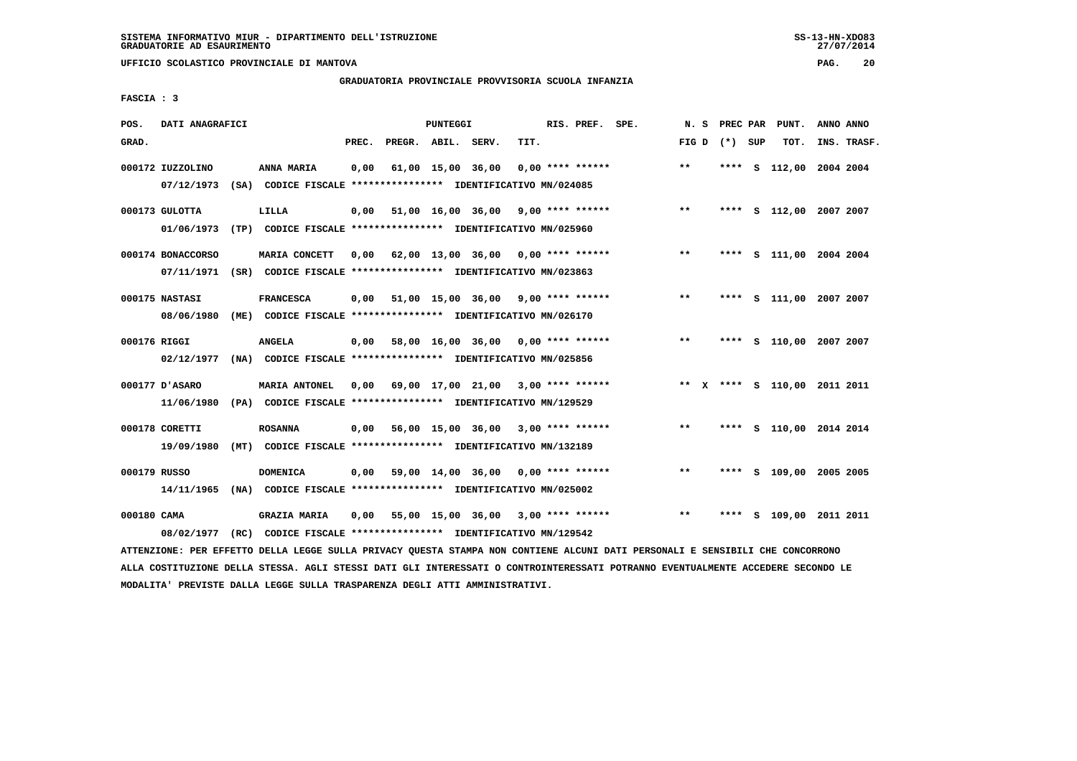# **GRADUATORIA PROVINCIALE PROVVISORIA SCUOLA INFANZIA**

 **FASCIA : 3**

| POS.         | DATI ANAGRAFICI   |                                                                         |       |                    | <b>PUNTEGGI</b>   |                                           |      | RIS. PREF. SPE.    | N.S          | PREC PAR    |     | PUNT.                        | ANNO ANNO |             |
|--------------|-------------------|-------------------------------------------------------------------------|-------|--------------------|-------------------|-------------------------------------------|------|--------------------|--------------|-------------|-----|------------------------------|-----------|-------------|
| GRAD.        |                   |                                                                         | PREC. | PREGR. ABIL. SERV. |                   |                                           | TIT. |                    |              | FIG D $(*)$ | SUP | TOT.                         |           | INS. TRASF. |
|              | 000172 IUZZOLINO  | ANNA MARIA                                                              | 0,00  |                    | 61,00 15,00 36,00 |                                           |      | $0.00$ **** ****** | $* *$        | ****        |     | S 112,00 2004 2004           |           |             |
|              | 07/12/1973        | (SA) CODICE FISCALE **************** IDENTIFICATIVO MN/024085           |       |                    |                   |                                           |      |                    |              |             |     |                              |           |             |
|              | 000173 GULOTTA    | LILLA                                                                   | 0,00  |                    |                   | 51,00 16,00 36,00 9,00 **** ******        |      |                    | $***$        | ****        |     | S 112,00 2007 2007           |           |             |
|              | 01/06/1973        | (TP) CODICE FISCALE **************** IDENTIFICATIVO MN/025960           |       |                    |                   |                                           |      |                    |              |             |     |                              |           |             |
|              | 000174 BONACCORSO | MARIA CONCETT                                                           | 0.00  |                    |                   | 62,00 13,00 36,00 0,00 **** ******        |      |                    | $***$        | ****        |     | S 111,00 2004 2004           |           |             |
|              |                   | 07/11/1971 (SR) CODICE FISCALE *************** IDENTIFICATIVO MN/023863 |       |                    |                   |                                           |      |                    |              |             |     |                              |           |             |
|              | 000175 NASTASI    | <b>FRANCESCA</b>                                                        | 0,00  |                    |                   | 51,00 15,00 36,00 9,00 **** ******        |      |                    | $***$        | ****        |     | S 111,00 2007 2007           |           |             |
|              | 08/06/1980        | (ME) CODICE FISCALE **************** IDENTIFICATIVO MN/026170           |       |                    |                   |                                           |      |                    |              |             |     |                              |           |             |
| 000176 RIGGI |                   | <b>ANGELA</b>                                                           | 0,00  |                    |                   | 58,00 16,00 36,00 0,00 **** ******        |      |                    | $***$        | ****        |     | S 110,00 2007 2007           |           |             |
|              | 02/12/1977        | (NA) CODICE FISCALE **************** IDENTIFICATIVO MN/025856           |       |                    |                   |                                           |      |                    |              |             |     |                              |           |             |
|              | 000177 D'ASARO    | MARIA ANTONEL                                                           | 0.00  |                    |                   | 69,00 17,00 21,00 3,00 **** ******        |      |                    |              |             |     | ** X **** S 110,00 2011 2011 |           |             |
|              | 11/06/1980        | (PA) CODICE FISCALE **************** IDENTIFICATIVO MN/129529           |       |                    |                   |                                           |      |                    |              |             |     |                              |           |             |
|              | 000178 CORETTI    | <b>ROSANNA</b>                                                          | 0,00  |                    |                   | 56,00 15,00 36,00 3,00 **** ******        |      |                    | $***$        | ****        |     | S 110,00 2014 2014           |           |             |
|              | 19/09/1980        | (MT) CODICE FISCALE **************** IDENTIFICATIVO MN/132189           |       |                    |                   |                                           |      |                    |              |             |     |                              |           |             |
| 000179 RUSSO |                   | <b>DOMENICA</b>                                                         |       |                    |                   | $0,00$ 59,00 14,00 36,00 0,00 **** ****** |      |                    | $***$        | ****        |     | S 109,00 2005 2005           |           |             |
|              | 14/11/1965        | (NA) CODICE FISCALE **************** IDENTIFICATIVO MN/025002           |       |                    |                   |                                           |      |                    |              |             |     |                              |           |             |
| 000180 CAMA  |                   | <b>GRAZIA MARIA</b>                                                     | 0,00  |                    |                   | 55,00 15,00 36,00 3,00 **** ******        |      |                    | $\star\star$ | ****        |     | S 109,00 2011 2011           |           |             |
|              | 08/02/1977        | (RC) CODICE FISCALE **************** IDENTIFICATIVO MN/129542           |       |                    |                   |                                           |      |                    |              |             |     |                              |           |             |

 **ATTENZIONE: PER EFFETTO DELLA LEGGE SULLA PRIVACY QUESTA STAMPA NON CONTIENE ALCUNI DATI PERSONALI E SENSIBILI CHE CONCORRONO ALLA COSTITUZIONE DELLA STESSA. AGLI STESSI DATI GLI INTERESSATI O CONTROINTERESSATI POTRANNO EVENTUALMENTE ACCEDERE SECONDO LE MODALITA' PREVISTE DALLA LEGGE SULLA TRASPARENZA DEGLI ATTI AMMINISTRATIVI.**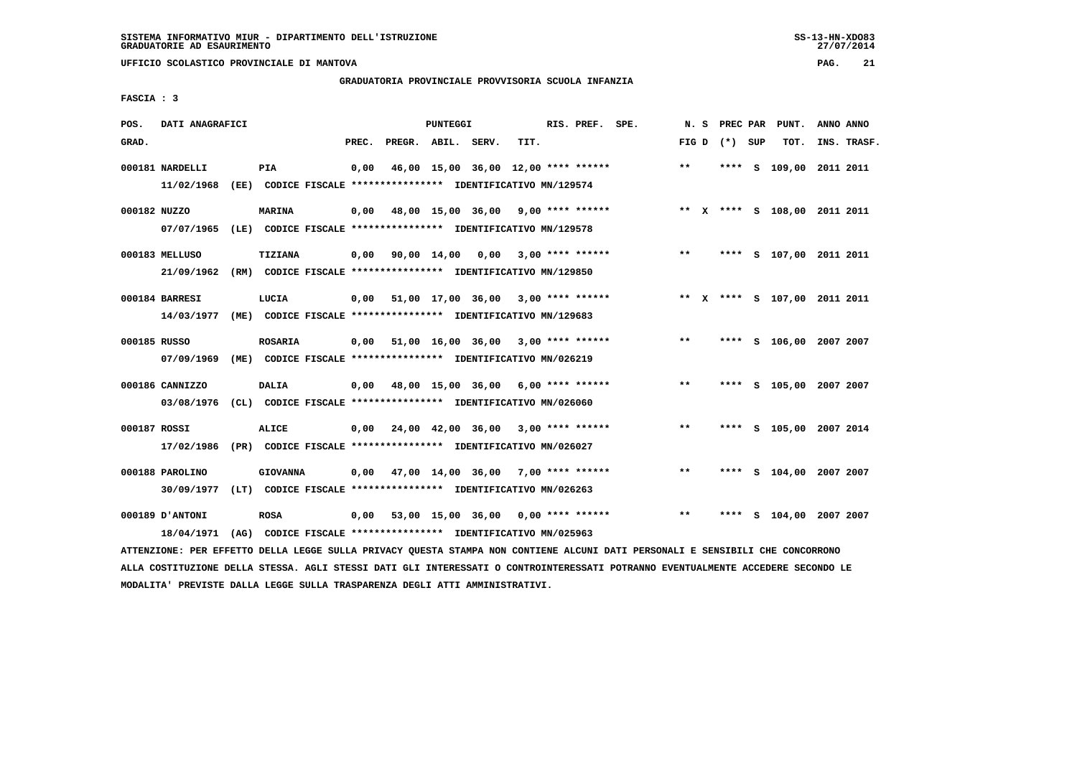# **GRADUATORIA PROVINCIALE PROVVISORIA SCUOLA INFANZIA**

 **FASCIA : 3**

| POS.         | DATI ANAGRAFICI                                                                            |                                                                                 |       |                    | <b>PUNTEGGI</b> |                                           |      | RIS. PREF. SPE.    |              | N. S | PREC PAR        | PUNT.                        | ANNO ANNO |             |
|--------------|--------------------------------------------------------------------------------------------|---------------------------------------------------------------------------------|-------|--------------------|-----------------|-------------------------------------------|------|--------------------|--------------|------|-----------------|------------------------------|-----------|-------------|
| GRAD.        |                                                                                            |                                                                                 | PREC. | PREGR. ABIL. SERV. |                 |                                           | TIT. |                    |              |      | FIG D $(*)$ SUP | TOT.                         |           | INS. TRASF. |
|              | 000181 NARDELLI<br>11/02/1968                                                              | PIA<br>(EE) CODICE FISCALE *************** IDENTIFICATIVO MN/129574             | 0,00  |                    |                 | 46,00 15,00 36,00 12,00 **** ******       |      |                    | $***$        |      |                 | **** S 109,00 2011 2011      |           |             |
| 000182 NUZZO | 07/07/1965                                                                                 | <b>MARINA</b><br>(LE) CODICE FISCALE **************** IDENTIFICATIVO MN/129578  |       |                    |                 | $0,00$ 48,00 15,00 36,00 9,00 **** ****** |      |                    |              |      |                 | ** X **** S 108,00 2011 2011 |           |             |
|              | 000183 MELLUSO<br>21/09/1962 (RM) CODICE FISCALE *************** IDENTIFICATIVO MN/129850  | TIZIANA                                                                         |       | 0,00 90,00 14,00   |                 | 0,00                                      |      | $3,00$ **** ****** | $***$        |      |                 | **** S 107,00 2011 2011      |           |             |
|              | 000184 BARRESI<br>14/03/1977 (ME) CODICE FISCALE *************** IDENTIFICATIVO MN/129683  | LUCIA                                                                           |       |                    |                 | $0,00$ 51,00 17,00 36,00 3,00 **** ****** |      |                    |              |      |                 | ** X **** S 107,00 2011 2011 |           |             |
| 000185 RUSSO | 07/09/1969                                                                                 | <b>ROSARIA</b><br>(ME) CODICE FISCALE **************** IDENTIFICATIVO MN/026219 |       |                    |                 | 0,00 51,00 16,00 36,00                    |      | $3,00$ **** ****** | $***$        |      |                 | **** S 106,00 2007 2007      |           |             |
|              | 000186 CANNIZZO<br>03/08/1976 (CL) CODICE FISCALE *************** IDENTIFICATIVO MN/026060 | <b>DALIA</b>                                                                    |       |                    |                 | $0,00$ 48,00 15,00 36,00 6,00 **** ****** |      |                    | $\star\star$ |      |                 | **** S 105,00 2007 2007      |           |             |
| 000187 ROSSI | 17/02/1986 (PR) CODICE FISCALE *************** IDENTIFICATIVO MN/026027                    | ALICE                                                                           |       |                    |                 | 0,00 24,00 42,00 36,00                    |      | $3,00$ **** ****** | **           |      |                 | **** S 105,00 2007 2014      |           |             |
|              | 000188 PAROLINO<br>30/09/1977 (LT) CODICE FISCALE *************** IDENTIFICATIVO MN/026263 | <b>GIOVANNA</b>                                                                 |       |                    |                 | $0,00$ 47,00 14,00 36,00 7,00 **** ****** |      |                    | $* *$        |      |                 | **** S 104,00 2007 2007      |           |             |
|              | 000189 D'ANTONI                                                                            | <b>ROSA</b>                                                                     |       |                    |                 | $0,00$ 53,00 15,00 36,00 0,00 **** ****** |      |                    | $* *$        |      | **** S          | 104,00 2007 2007             |           |             |
|              | 18/04/1971                                                                                 | (AG) CODICE FISCALE **************** IDENTIFICATIVO MN/025963                   |       |                    |                 |                                           |      |                    |              |      |                 |                              |           |             |

 **ATTENZIONE: PER EFFETTO DELLA LEGGE SULLA PRIVACY QUESTA STAMPA NON CONTIENE ALCUNI DATI PERSONALI E SENSIBILI CHE CONCORRONO ALLA COSTITUZIONE DELLA STESSA. AGLI STESSI DATI GLI INTERESSATI O CONTROINTERESSATI POTRANNO EVENTUALMENTE ACCEDERE SECONDO LE MODALITA' PREVISTE DALLA LEGGE SULLA TRASPARENZA DEGLI ATTI AMMINISTRATIVI.**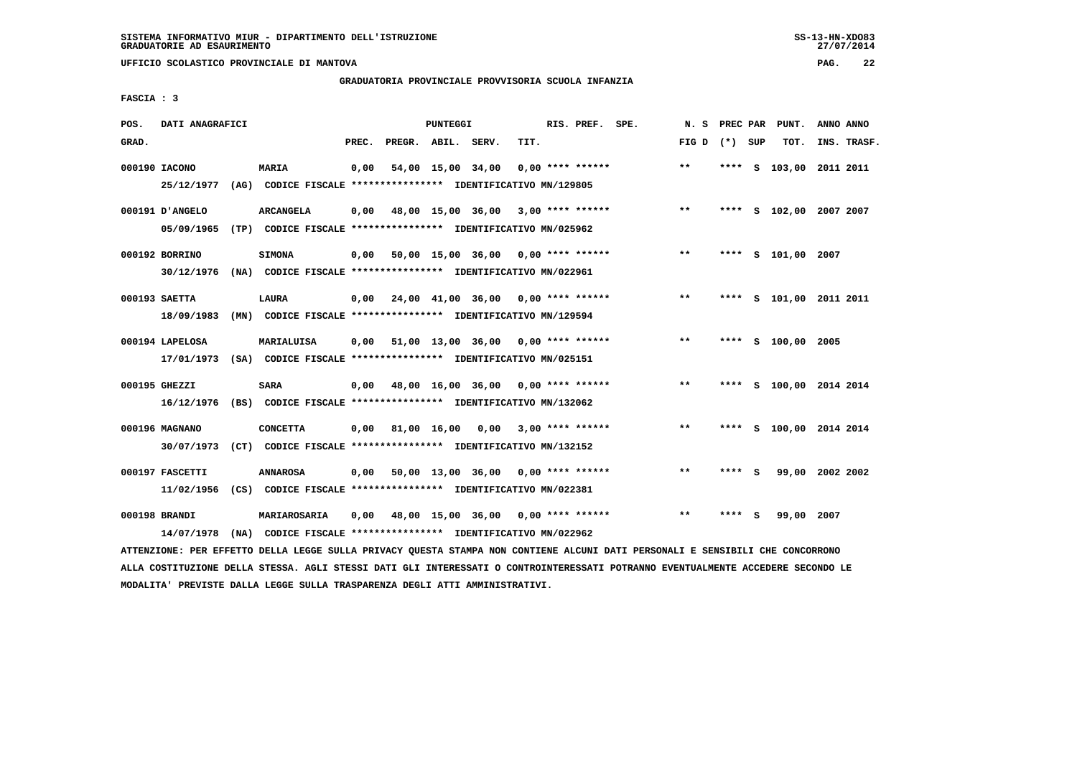# **GRADUATORIA PROVINCIALE PROVVISORIA SCUOLA INFANZIA**

 **FASCIA : 3**

| INS. TRASF.<br>S 103,00 2011 2011 |
|-----------------------------------|
|                                   |
|                                   |
|                                   |
| **** S 102,00 2007 2007           |
|                                   |
|                                   |
|                                   |
| **** S 101,00 2011 2011           |
|                                   |
|                                   |
|                                   |
| **** S 100,00 2014 2014           |
|                                   |
| **** S 100,00 2014 2014           |
|                                   |
| 99,00 2002 2002                   |
|                                   |
|                                   |
|                                   |
|                                   |

 **ATTENZIONE: PER EFFETTO DELLA LEGGE SULLA PRIVACY QUESTA STAMPA NON CONTIENE ALCUNI DATI PERSONALI E SENSIBILI CHE CONCORRONO ALLA COSTITUZIONE DELLA STESSA. AGLI STESSI DATI GLI INTERESSATI O CONTROINTERESSATI POTRANNO EVENTUALMENTE ACCEDERE SECONDO LE MODALITA' PREVISTE DALLA LEGGE SULLA TRASPARENZA DEGLI ATTI AMMINISTRATIVI.**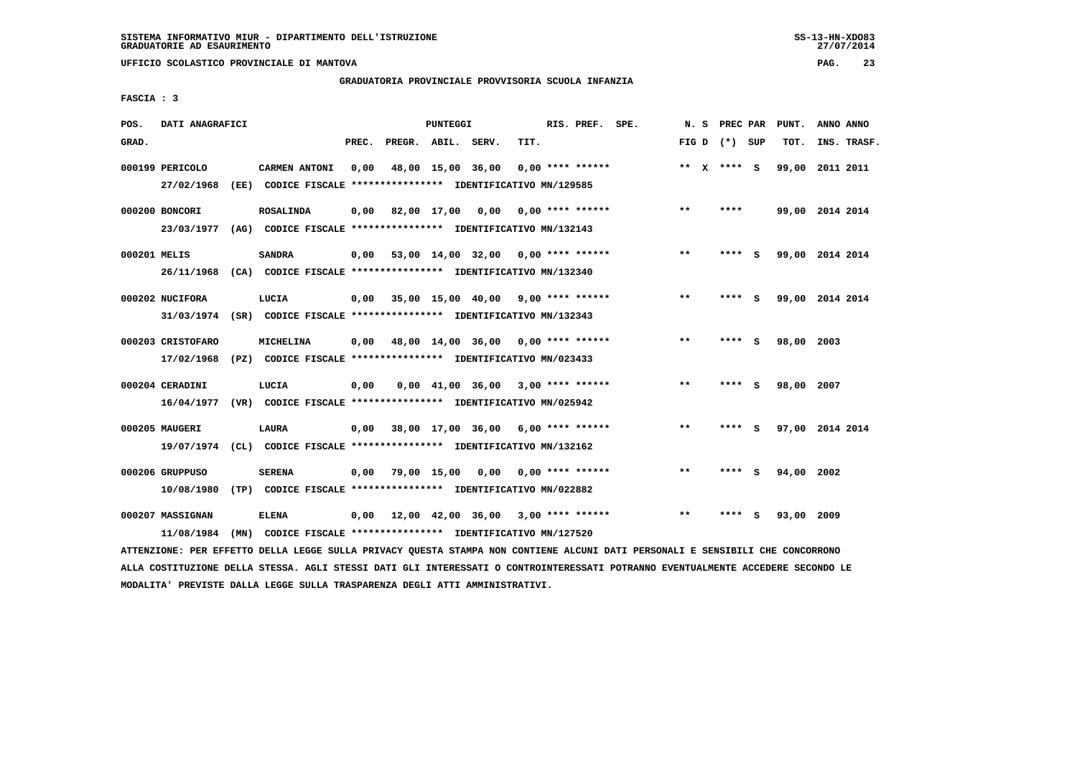**UFFICIO SCOLASTICO PROVINCIALE DI MANTOVA PAG. 23**

# **GRADUATORIA PROVINCIALE PROVVISORIA SCUOLA INFANZIA**

 **FASCIA : 3**

| POS.         | DATI ANAGRAFICI   |                                                                         |       |                  | PUNTEGGI           |                                           |      | RIS. PREF. SPE.         | N.S   | <b>PREC PAR</b> |     | PUNT.      | ANNO ANNO       |
|--------------|-------------------|-------------------------------------------------------------------------|-------|------------------|--------------------|-------------------------------------------|------|-------------------------|-------|-----------------|-----|------------|-----------------|
| GRAD.        |                   |                                                                         | PREC. |                  | PREGR. ABIL. SERV. |                                           | TIT. |                         |       | FIG D $(*)$ SUP |     | TOT.       | INS. TRASF.     |
|              | 000199 PERICOLO   | CARMEN ANTONI                                                           | 0,00  |                  | 48,00 15,00 36,00  |                                           |      | $0.00$ **** ******      |       | ** $X$ **** S   |     | 99,00      | 2011 2011       |
|              | 27/02/1968        | (EE) CODICE FISCALE **************** IDENTIFICATIVO MN/129585           |       |                  |                    |                                           |      |                         |       |                 |     |            |                 |
|              | 000200 BONCORI    | <b>ROSALINDA</b>                                                        | 0,00  | 82,00 17,00 0,00 |                    |                                           |      | 0,00 **** ******        | $***$ | ****            |     |            | 99,00 2014 2014 |
|              | 23/03/1977        | (AG) CODICE FISCALE **************** IDENTIFICATIVO MN/132143           |       |                  |                    |                                           |      |                         |       |                 |     |            |                 |
| 000201 MELIS |                   | <b>SANDRA</b>                                                           |       |                  |                    | $0,00$ 53,00 14,00 32,00 0,00 **** ****** |      |                         | $**$  | ****            | - S |            | 99,00 2014 2014 |
|              |                   | 26/11/1968 (CA) CODICE FISCALE *************** IDENTIFICATIVO MN/132340 |       |                  |                    |                                           |      |                         |       |                 |     |            |                 |
|              | 000202 NUCIFORA   | LUCIA                                                                   | 0,00  |                  |                    | 35,00 15,00 40,00 9,00 **** ******        |      |                         | $* *$ | ****            | - S |            | 99,00 2014 2014 |
|              |                   | 31/03/1974 (SR) CODICE FISCALE *************** IDENTIFICATIVO MN/132343 |       |                  |                    |                                           |      |                         |       |                 |     |            |                 |
|              | 000203 CRISTOFARO | MICHELINA                                                               | 0,00  |                  |                    | 48,00 14,00 36,00 0,00 **** ******        |      |                         | $***$ | **** S          |     | 98,00 2003 |                 |
|              | 17/02/1968        | (PZ) CODICE FISCALE *************** IDENTIFICATIVO MN/023433            |       |                  |                    |                                           |      |                         |       |                 |     |            |                 |
|              | 000204 CERADINI   | LUCIA                                                                   | 0,00  |                  |                    | 0,00 41,00 36,00                          |      | $3,00$ **** ******      | $***$ | ****            | - 5 | 98,00 2007 |                 |
|              | 16/04/1977        | (VR) CODICE FISCALE **************** IDENTIFICATIVO MN/025942           |       |                  |                    |                                           |      |                         |       |                 |     |            |                 |
|              | 000205 MAUGERI    | LAURA                                                                   | 0,00  |                  |                    | 38,00 17,00 36,00 6,00 **** ******        |      |                         | **    | $***$ S         |     |            | 97,00 2014 2014 |
|              |                   | 19/07/1974 (CL) CODICE FISCALE *************** IDENTIFICATIVO MN/132162 |       |                  |                    |                                           |      |                         |       |                 |     |            |                 |
|              | 000206 GRUPPUSO   | <b>SERENA</b>                                                           | 0.00  | 79,00 15,00      |                    |                                           |      | $0,00$ 0,00 **** ****** | **    | ****            | - 5 | 94,00 2002 |                 |
|              | 10/08/1980        | (TP) CODICE FISCALE **************** IDENTIFICATIVO MN/022882           |       |                  |                    |                                           |      |                         |       |                 |     |            |                 |
|              | 000207 MASSIGNAN  | <b>ELENA</b>                                                            | 0,00  |                  |                    | 12,00 42,00 36,00 3,00 **** ******        |      |                         | $**$  | ****            | S   | 93,00 2009 |                 |
|              | 11/08/1984        | (MN) CODICE FISCALE **************** IDENTIFICATIVO MN/127520           |       |                  |                    |                                           |      |                         |       |                 |     |            |                 |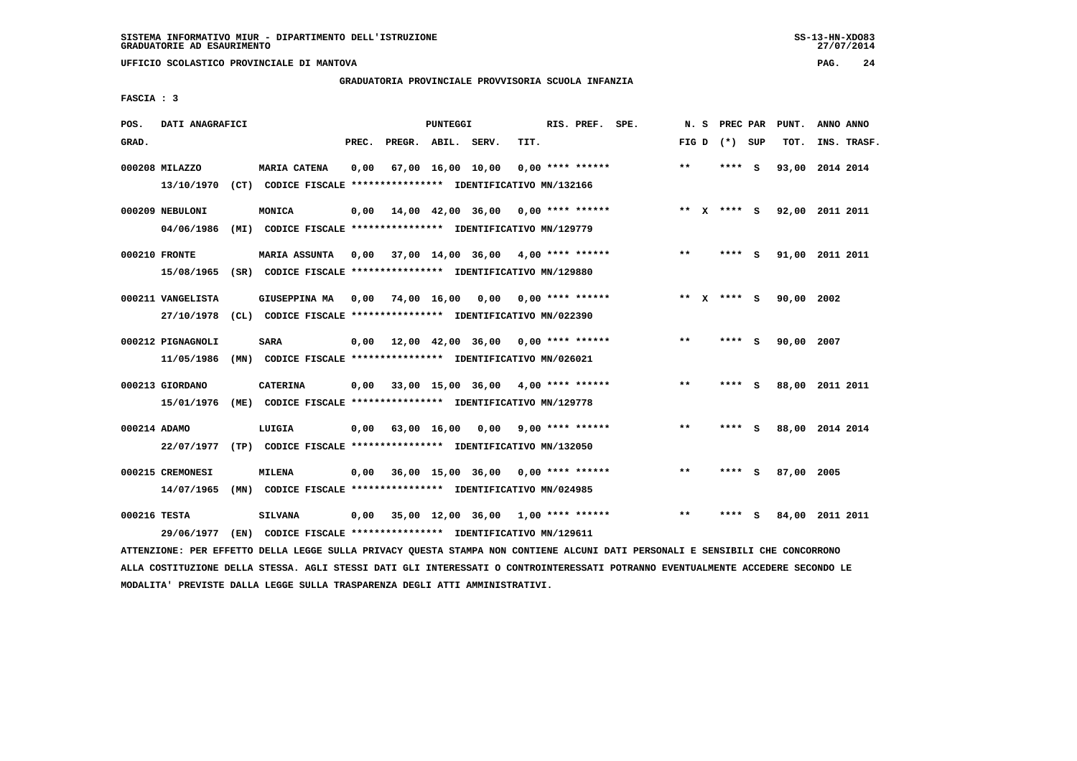# **GRADUATORIA PROVINCIALE PROVVISORIA SCUOLA INFANZIA**

 **FASCIA : 3**

| POS.  | DATI ANAGRAFICI   |      |                                                                         |       |                    | PUNTEGGI |                                           |                  | RIS. PREF. SPE.    |       | N.S |                 |     | PREC PAR PUNT.  | ANNO ANNO       |  |
|-------|-------------------|------|-------------------------------------------------------------------------|-------|--------------------|----------|-------------------------------------------|------------------|--------------------|-------|-----|-----------------|-----|-----------------|-----------------|--|
| GRAD. |                   |      |                                                                         | PREC. | PREGR. ABIL. SERV. |          |                                           | TIT.             |                    |       |     | FIG D $(*)$ SUP |     | TOT.            | INS. TRASF.     |  |
|       | 000208 MILAZZO    |      | <b>MARIA CATENA</b>                                                     | 0,00  |                    |          | 67,00 16,00 10,00                         |                  | $0.00$ **** ****** | $**$  |     | ****            | - S |                 | 93,00 2014 2014 |  |
|       | 13/10/1970        |      | (CT) CODICE FISCALE **************** IDENTIFICATIVO MN/132166           |       |                    |          |                                           |                  |                    |       |     |                 |     |                 |                 |  |
|       | 000209 NEBULONI   |      | MONICA                                                                  | 0,00  |                    |          | 14,00 42,00 36,00 0,00 **** ******        |                  |                    |       |     | ** x **** S     |     | 92,00 2011 2011 |                 |  |
|       | 04/06/1986        |      | (MI) CODICE FISCALE *************** IDENTIFICATIVO MN/129779            |       |                    |          |                                           |                  |                    |       |     |                 |     |                 |                 |  |
|       | 000210 FRONTE     |      | <b>MARIA ASSUNTA</b>                                                    |       |                    |          | $0,00$ 37,00 14,00 36,00 4,00 **** ****** |                  |                    | $***$ |     | ****            | - 5 |                 | 91,00 2011 2011 |  |
|       | 15/08/1965        |      | (SR) CODICE FISCALE **************** IDENTIFICATIVO MN/129880           |       |                    |          |                                           |                  |                    |       |     |                 |     |                 |                 |  |
|       | 000211 VANGELISTA |      | <b>GIUSEPPINA MA</b>                                                    |       | 0,00 74,00 16,00   |          | 0,00                                      | 0,00 **** ****** |                    |       |     | ** X **** S     |     | 90,00 2002      |                 |  |
|       |                   |      | 27/10/1978 (CL) CODICE FISCALE *************** IDENTIFICATIVO MN/022390 |       |                    |          |                                           |                  |                    |       |     |                 |     |                 |                 |  |
|       | 000212 PIGNAGNOLI |      | <b>SARA</b>                                                             | 0,00  |                    |          | 12,00 42,00 36,00 0,00 **** ******        |                  |                    | $**$  |     | ****            | - S | 90,00 2007      |                 |  |
|       | 11/05/1986        |      | (MN) CODICE FISCALE **************** IDENTIFICATIVO MN/026021           |       |                    |          |                                           |                  |                    |       |     |                 |     |                 |                 |  |
|       | 000213 GIORDANO   |      | <b>CATERINA</b>                                                         | 0,00  |                    |          | 33,00 15,00 36,00 4,00 **** ******        |                  |                    | $***$ |     | ****            | - 5 |                 | 88,00 2011 2011 |  |
|       | 15/01/1976        |      | (ME) CODICE FISCALE **************** IDENTIFICATIVO MN/129778           |       |                    |          |                                           |                  |                    |       |     |                 |     |                 |                 |  |
|       | 000214 ADAMO      |      | LUIGIA                                                                  | 0,00  | 63,00 16,00        |          | 0,00                                      |                  | $9,00$ **** ****** | $***$ |     | ****            | - 5 |                 | 88,00 2014 2014 |  |
|       | 22/07/1977        |      | (TP) CODICE FISCALE **************** IDENTIFICATIVO MN/132050           |       |                    |          |                                           |                  |                    |       |     |                 |     |                 |                 |  |
|       | 000215 CREMONESI  |      | <b>MILENA</b>                                                           |       |                    |          | $0.00$ 36.00 15.00 36.00 0.00 **** ****** |                  |                    | $***$ |     | ****            | - S | 87,00           | 2005            |  |
|       |                   |      |                                                                         |       |                    |          |                                           |                  |                    |       |     |                 |     |                 |                 |  |
|       | 14/07/1965        |      | (MN) CODICE FISCALE **************** IDENTIFICATIVO MN/024985           |       |                    |          |                                           |                  |                    |       |     |                 |     |                 |                 |  |
|       | 000216 TESTA      |      | <b>SILVANA</b>                                                          | 0,00  |                    |          | 35,00 12,00 36,00 1,00 **** ******        |                  |                    | $***$ |     | ****            | - S |                 | 84,00 2011 2011 |  |
|       | 29/06/1977        | (EN) | CODICE FISCALE **************** IDENTIFICATIVO MN/129611                |       |                    |          |                                           |                  |                    |       |     |                 |     |                 |                 |  |

 **ATTENZIONE: PER EFFETTO DELLA LEGGE SULLA PRIVACY QUESTA STAMPA NON CONTIENE ALCUNI DATI PERSONALI E SENSIBILI CHE CONCORRONO ALLA COSTITUZIONE DELLA STESSA. AGLI STESSI DATI GLI INTERESSATI O CONTROINTERESSATI POTRANNO EVENTUALMENTE ACCEDERE SECONDO LE MODALITA' PREVISTE DALLA LEGGE SULLA TRASPARENZA DEGLI ATTI AMMINISTRATIVI.**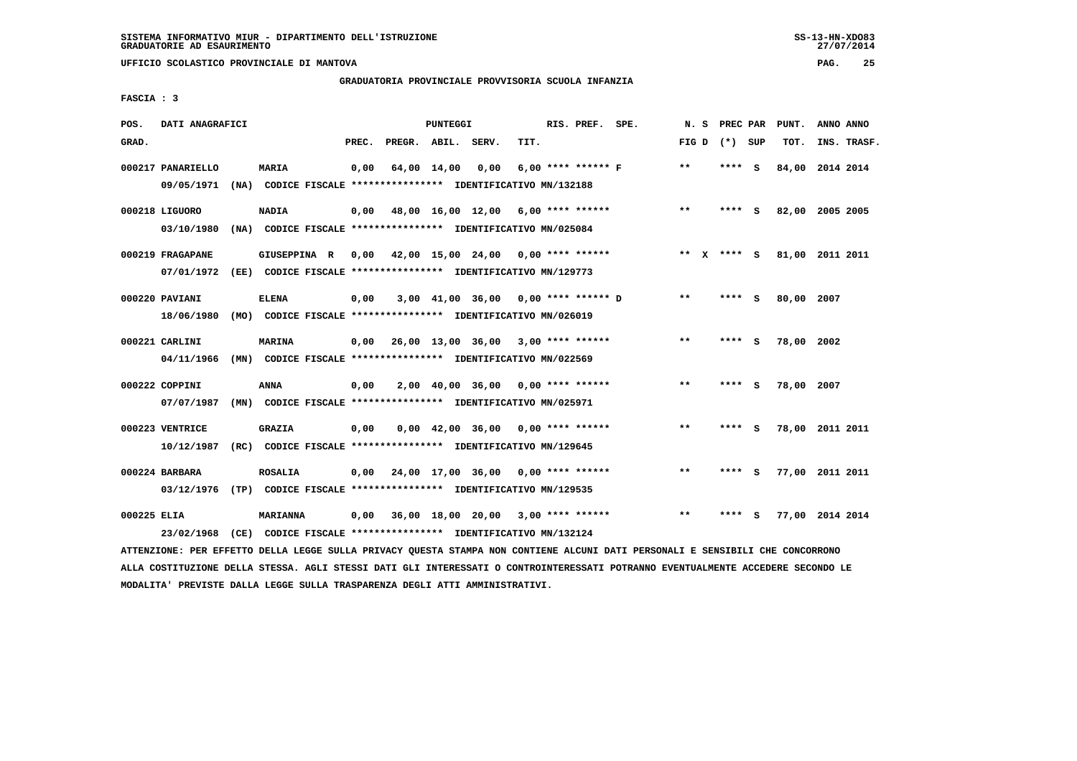**UFFICIO SCOLASTICO PROVINCIALE DI MANTOVA PAG. 25**

# **GRADUATORIA PROVINCIALE PROVVISORIA SCUOLA INFANZIA**

 **FASCIA : 3**

| POS.        | DATI ANAGRAFICI                 |                                                                                                                             |       |                    | <b>PUNTEGGI</b> |                                           |      | RIS. PREF. SPE.    | N.S   |              | PREC PAR        |          | PUNT.           | ANNO ANNO |             |
|-------------|---------------------------------|-----------------------------------------------------------------------------------------------------------------------------|-------|--------------------|-----------------|-------------------------------------------|------|--------------------|-------|--------------|-----------------|----------|-----------------|-----------|-------------|
| GRAD.       |                                 |                                                                                                                             | PREC. | PREGR. ABIL. SERV. |                 |                                           | TIT. |                    |       |              | FIG D $(*)$ SUP |          | TOT.            |           | INS. TRASF. |
|             | 000217 PANARIELLO<br>09/05/1971 | <b>MARIA</b><br>(NA) CODICE FISCALE **************** IDENTIFICATIVO MN/132188                                               | 0,00  |                    | 64,00 14,00     | 0.00                                      |      | 6,00 **** ****** F | **    |              | **** S          |          | 84,00           | 2014 2014 |             |
|             | 000218 LIGUORO                  | <b>NADIA</b>                                                                                                                | 0,00  |                    |                 | 48,00 16,00 12,00 6,00 **** ******        |      |                    | $* *$ |              | ****            | - S      | 82,00 2005 2005 |           |             |
|             | 03/10/1980                      | (NA) CODICE FISCALE **************** IDENTIFICATIVO MN/025084                                                               |       |                    |                 |                                           |      |                    |       |              |                 |          |                 |           |             |
|             | 000219 FRAGAPANE<br>07/01/1972  | GIUSEPPINA R<br>(EE) CODICE FISCALE **************** IDENTIFICATIVO MN/129773                                               |       |                    |                 | $0.00$ 42.00 15.00 24.00 0.00 **** ****** |      |                    | $* *$ | $\mathbf{x}$ | **** S          |          | 81,00 2011 2011 |           |             |
|             | 000220 PAVIANI                  | <b>ELENA</b>                                                                                                                | 0,00  |                    |                 | 3,00 41,00 36,00 0,00 **** ****** D       |      |                    | $* *$ |              | **** S          |          | 80,00 2007      |           |             |
|             | 18/06/1980<br>000221 CARLINI    | (MO) CODICE FISCALE **************** IDENTIFICATIVO MN/026019<br><b>MARINA</b>                                              | 0,00  |                    |                 | 26,00 13,00 36,00 3,00 **** ******        |      |                    | $***$ |              | ****            | - S      | 78,00 2002      |           |             |
|             | 04/11/1966                      | (MN) CODICE FISCALE *************** IDENTIFICATIVO MN/022569                                                                |       |                    |                 |                                           |      |                    |       |              |                 |          |                 |           |             |
|             | 000222 COPPINI<br>07/07/1987    | ANNA<br>(MN) CODICE FISCALE **************** IDENTIFICATIVO MN/025971                                                       | 0,00  |                    |                 | $2,00$ 40,00 36,00 0,00 **** ******       |      |                    | $***$ |              | ****            | - 5      | 78,00 2007      |           |             |
|             | 000223 VENTRICE                 | <b>GRAZIA</b>                                                                                                               | 0,00  |                    |                 | $0,00$ 42,00 36,00 0,00 **** ******       |      |                    | $**$  |              | ****            | - 5      | 78,00 2011 2011 |           |             |
|             | 10/12/1987                      | (RC) CODICE FISCALE **************** IDENTIFICATIVO MN/129645                                                               |       |                    |                 |                                           |      |                    |       |              |                 |          |                 |           |             |
|             | 000224 BARBARA                  | <b>ROSALIA</b><br>03/12/1976 (TP) CODICE FISCALE *************** IDENTIFICATIVO MN/129535                                   |       |                    |                 | 0,00 24,00 17,00 36,00                    |      | $0.00$ **** ****** | $**$  |              | ****            | <b>S</b> | 77,00 2011 2011 |           |             |
| 000225 ELIA |                                 | <b>MARIANNA</b>                                                                                                             | 0,00  |                    |                 | 36,00 18,00 20,00 3,00 **** ******        |      |                    | $***$ |              | **** S          |          | 77,00 2014 2014 |           |             |
|             | 23/02/1968                      | (CE) CODICE FISCALE *************** IDENTIFICATIVO MN/132124                                                                |       |                    |                 |                                           |      |                    |       |              |                 |          |                 |           |             |
|             |                                 | LEEDIGIOUS DE EREEMA DEILL IRAGE AUILL DRIULAU AURARA ARAVOA VAN AANWIEDUR AIANII DARI DEDAANAII R-ARMAIDIII AUR AANAADDANA |       |                    |                 |                                           |      |                    |       |              |                 |          |                 |           |             |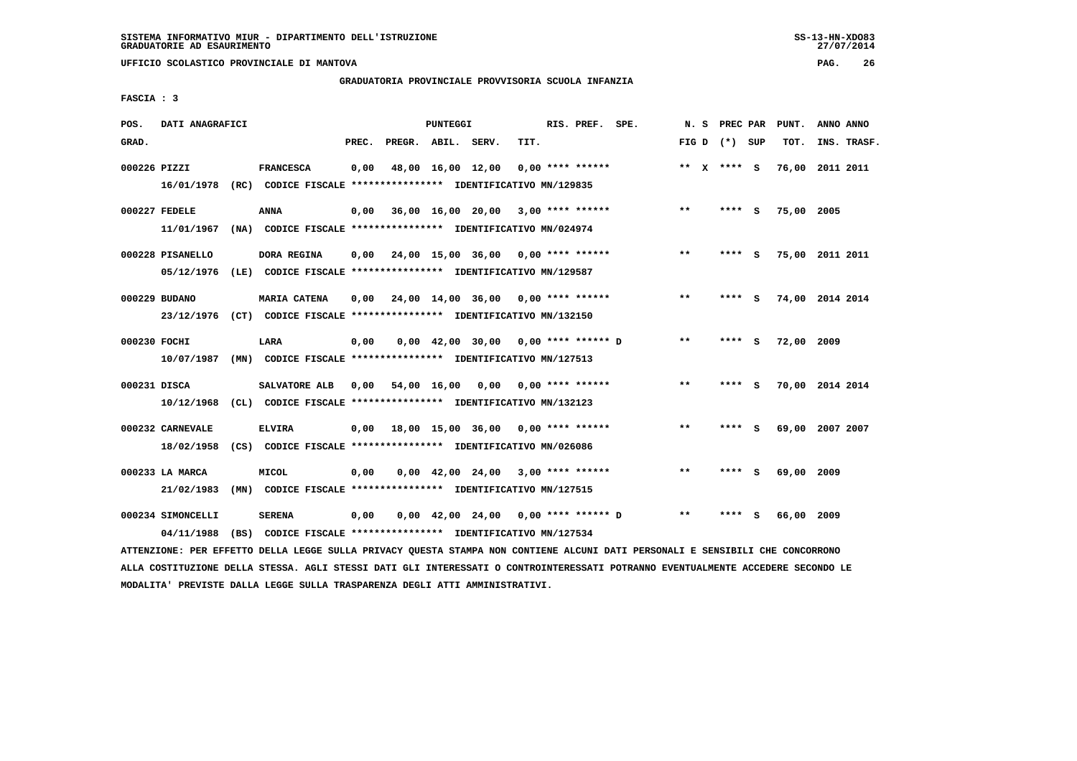**UFFICIO SCOLASTICO PROVINCIALE DI MANTOVA PAG. 26**

# **GRADUATORIA PROVINCIALE PROVVISORIA SCUOLA INFANZIA**

 **FASCIA : 3**

| POS.  | DATI ANAGRAFICI   |                                                                         |       |                    | PUNTEGGI |                                                                       |      | RIS. PREF. SPE.    | N. S  | PREC PAR        |     | PUNT.      | ANNO ANNO       |
|-------|-------------------|-------------------------------------------------------------------------|-------|--------------------|----------|-----------------------------------------------------------------------|------|--------------------|-------|-----------------|-----|------------|-----------------|
| GRAD. |                   |                                                                         | PREC. | PREGR. ABIL. SERV. |          |                                                                       | TIT. |                    |       | FIG D $(*)$ SUP |     | TOT.       | INS. TRASF.     |
|       | 000226 PIZZI      | <b>FRANCESCA</b>                                                        | 0,00  |                    |          | 48,00 16,00 12,00                                                     |      | $0.00$ **** ****** |       | ** $X$ **** S   |     |            | 76,00 2011 2011 |
|       |                   | 16/01/1978 (RC) CODICE FISCALE *************** IDENTIFICATIVO MN/129835 |       |                    |          |                                                                       |      |                    |       |                 |     |            |                 |
|       | 000227 FEDELE     | <b>ANNA</b>                                                             | 0,00  |                    |          | $36,00$ 16,00 20,00 3,00 **** ******                                  |      |                    | $***$ | ****            | - S | 75,00 2005 |                 |
|       | 11/01/1967        | (NA) CODICE FISCALE **************** IDENTIFICATIVO MN/024974           |       |                    |          |                                                                       |      |                    |       |                 |     |            |                 |
|       | 000228 PISANELLO  | DORA REGINA                                                             | 0.00  |                    |          | 24,00 15,00 36,00 0,00 **** ******                                    |      |                    | $***$ | ****            | - S |            | 75,00 2011 2011 |
|       | 05/12/1976        | (LE) CODICE FISCALE **************** IDENTIFICATIVO MN/129587           |       |                    |          |                                                                       |      |                    |       |                 |     |            |                 |
|       | 000229 BUDANO     | <b>MARIA CATENA</b>                                                     | 0,00  |                    |          | $24,00$ 14,00 36,00 0,00 **** ******                                  |      |                    | $* *$ | ****            | - 5 |            | 74,00 2014 2014 |
|       | 23/12/1976        | (CT) CODICE FISCALE *************** IDENTIFICATIVO MN/132150            |       |                    |          |                                                                       |      |                    |       |                 |     |            |                 |
|       | 000230 FOCHI      | LARA                                                                    | 0,00  |                    |          | $0,00$ 42,00 30,00 0,00 **** ****** D                                 |      |                    | $* *$ | ****            | - S | 72,00 2009 |                 |
|       | 10/07/1987        | (MN) CODICE FISCALE **************** IDENTIFICATIVO MN/127513           |       |                    |          |                                                                       |      |                    |       |                 |     |            |                 |
|       | 000231 DISCA      | SALVATORE ALB                                                           | 0.00  |                    |          | 54,00 16,00 0,00 0,00 **** ******                                     |      |                    | $* *$ | ****            | - S |            | 70,00 2014 2014 |
|       | 10/12/1968        | (CL) CODICE FISCALE **************** IDENTIFICATIVO MN/132123           |       |                    |          |                                                                       |      |                    |       |                 |     |            |                 |
|       | 000232 CARNEVALE  | <b>ELVIRA</b>                                                           | 0.00  |                    |          | 18,00 15,00 36,00 0,00 **** ******                                    |      |                    | $**$  | **** S          |     |            | 69,00 2007 2007 |
|       | 18/02/1958        | (CS) CODICE FISCALE **************** IDENTIFICATIVO MN/026086           |       |                    |          |                                                                       |      |                    |       |                 |     |            |                 |
|       | 000233 LA MARCA   | <b>MICOL</b>                                                            | 0,00  |                    |          | $0,00$ 42,00 24,00 3,00 **** ******                                   |      |                    | $* *$ |                 |     | 69,00 2009 |                 |
|       | 21/02/1983        | (MN) CODICE FISCALE **************** IDENTIFICATIVO MN/127515           |       |                    |          |                                                                       |      |                    |       |                 |     |            |                 |
|       | 000234 SIMONCELLI | <b>SERENA</b>                                                           | 0,00  |                    |          | $0.00 \quad 42.00 \quad 24.00 \quad 0.00 \quad *** \quad *** \quad D$ |      |                    | $* *$ |                 |     | 66,00 2009 |                 |
|       | 04/11/1988        | (BS) CODICE FISCALE *************** IDENTIFICATIVO MN/127534            |       |                    |          |                                                                       |      |                    |       |                 |     |            |                 |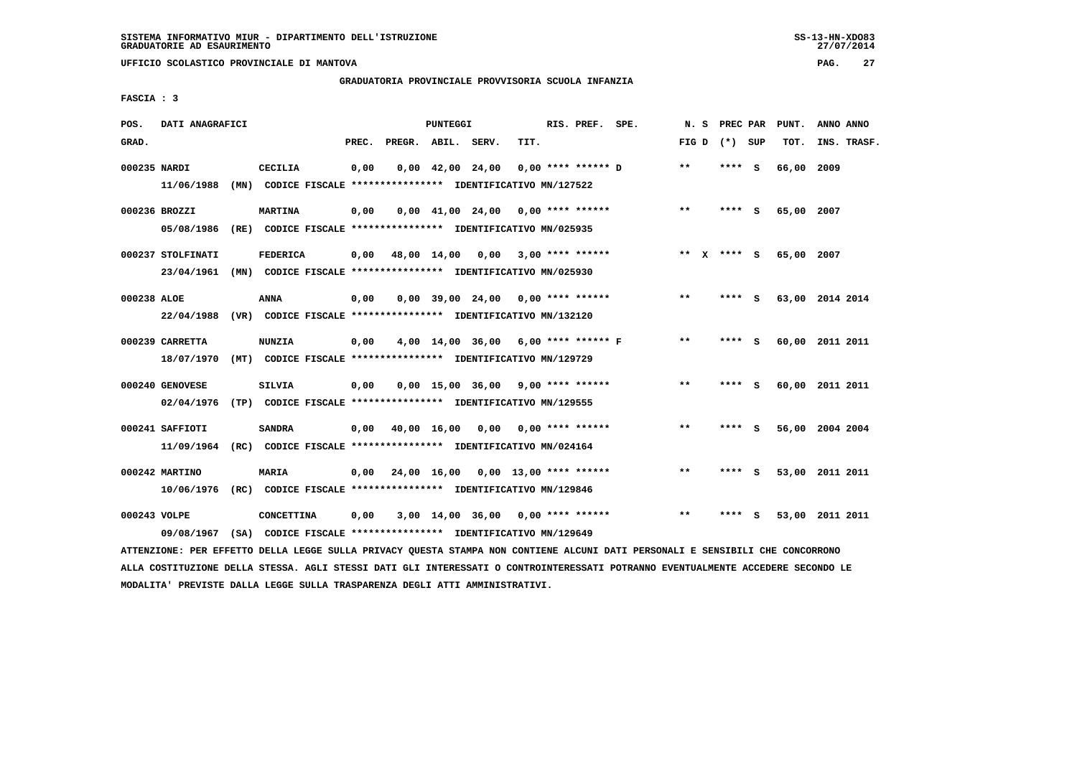**UFFICIO SCOLASTICO PROVINCIALE DI MANTOVA PAG. 27**

# **GRADUATORIA PROVINCIALE PROVVISORIA SCUOLA INFANZIA**

 **FASCIA : 3**

| POS.         | DATI ANAGRAFICI   |                                                                                                                               |       | PUNTEGGI |                                     |      | RIS. PREF. SPE.    | N. S            | PREC PAR    | PUNT.      | ANNO ANNO       |  |
|--------------|-------------------|-------------------------------------------------------------------------------------------------------------------------------|-------|----------|-------------------------------------|------|--------------------|-----------------|-------------|------------|-----------------|--|
| GRAD.        |                   |                                                                                                                               | PREC. |          | PREGR. ABIL. SERV.                  | TIT. |                    | FIG D $(*)$ SUP |             | TOT.       | INS. TRASF.     |  |
| 000235 NARDI |                   | <b>CECILIA</b>                                                                                                                | 0,00  |          | $0,00 \quad 42,00 \quad 24,00$      |      | 0,00 **** ****** D | **              | **** S      | 66,00 2009 |                 |  |
|              | 11/06/1988        | (MN) CODICE FISCALE **************** IDENTIFICATIVO MN/127522                                                                 |       |          |                                     |      |                    |                 |             |            |                 |  |
|              | 000236 BROZZI     | <b>MARTINA</b>                                                                                                                | 0,00  |          | $0,00$ 41,00 24,00 0,00 **** ****** |      |                    | $***$           | **** S      | 65,00 2007 |                 |  |
|              | 05/08/1986        | (RE) CODICE FISCALE *************** IDENTIFICATIVO MN/025935                                                                  |       |          |                                     |      |                    |                 |             |            |                 |  |
|              |                   |                                                                                                                               |       |          |                                     |      |                    |                 |             |            |                 |  |
|              | 000237 STOLFINATI | <b>FEDERICA</b>                                                                                                               | 0,00  |          | 48,00 14,00 0,00 3,00 **** ******   |      |                    |                 | ** x **** S | 65,00 2007 |                 |  |
|              |                   | 23/04/1961 (MN) CODICE FISCALE *************** IDENTIFICATIVO MN/025930                                                       |       |          |                                     |      |                    |                 |             |            |                 |  |
| 000238 ALOE  |                   | ANNA                                                                                                                          | 0,00  |          | $0.00$ 39.00 24.00 0.00 **** ****** |      |                    | $***$           | **** S      |            | 63,00 2014 2014 |  |
|              | 22/04/1988        | (VR) CODICE FISCALE **************** IDENTIFICATIVO MN/132120                                                                 |       |          |                                     |      |                    |                 |             |            |                 |  |
|              | 000239 CARRETTA   | <b>NUNZIA</b>                                                                                                                 | 0,00  |          | 4,00 14,00 36,00 6,00 **** ****** F |      |                    | $***$           | **** S      |            | 60,00 2011 2011 |  |
|              | 18/07/1970        | (MT) CODICE FISCALE **************** IDENTIFICATIVO MN/129729                                                                 |       |          |                                     |      |                    |                 |             |            |                 |  |
|              |                   |                                                                                                                               |       |          |                                     |      |                    |                 |             |            |                 |  |
|              | 000240 GENOVESE   | <b>SILVIA</b>                                                                                                                 | 0,00  |          | $0.00$ 15.00 36.00 9.00 **** ****** |      |                    | **              | **** S      |            | 60,00 2011 2011 |  |
|              | 02/04/1976        | (TP) CODICE FISCALE **************** IDENTIFICATIVO MN/129555                                                                 |       |          |                                     |      |                    |                 |             |            |                 |  |
|              | 000241 SAFFIOTI   | <b>SANDRA</b>                                                                                                                 | 0,00  |          | 40,00 16,00 0,00                    |      | $0.00$ **** ****** | $**$            | **** S      |            | 56,00 2004 2004 |  |
|              | 11/09/1964        | (RC) CODICE FISCALE **************** IDENTIFICATIVO MN/024164                                                                 |       |          |                                     |      |                    |                 |             |            |                 |  |
|              | 000242 MARTINO    | <b>MARIA</b>                                                                                                                  |       |          |                                     |      |                    | $* *$           | **** S      |            |                 |  |
|              |                   |                                                                                                                               | 0,00  |          | 24,00 16,00 0,00 13,00 **** ******  |      |                    |                 |             |            | 53,00 2011 2011 |  |
|              | 10/06/1976        | (RC) CODICE FISCALE *************** IDENTIFICATIVO MN/129846                                                                  |       |          |                                     |      |                    |                 |             |            |                 |  |
| 000243 VOLPE |                   | CONCETTINA                                                                                                                    | 0,00  |          | 3,00 14,00 36,00 0,00 **** ******   |      |                    | $* *$           | **** S      |            | 53,00 2011 2011 |  |
|              | 09/08/1967        | (SA) CODICE FISCALE **************** IDENTIFICATIVO MN/129649                                                                 |       |          |                                     |      |                    |                 |             |            |                 |  |
|              |                   | ATTENZIONE: PER EFFETTO DELLA LEGGE SULLA PRIVACY QUESTA STAMPA NON CONTIENE ALCUNI DATI PERSONALI E SENSIBILI CHE CONCORRONO |       |          |                                     |      |                    |                 |             |            |                 |  |

 **ALLA COSTITUZIONE DELLA STESSA. AGLI STESSI DATI GLI INTERESSATI O CONTROINTERESSATI POTRANNO EVENTUALMENTE ACCEDERE SECONDO LE MODALITA' PREVISTE DALLA LEGGE SULLA TRASPARENZA DEGLI ATTI AMMINISTRATIVI.**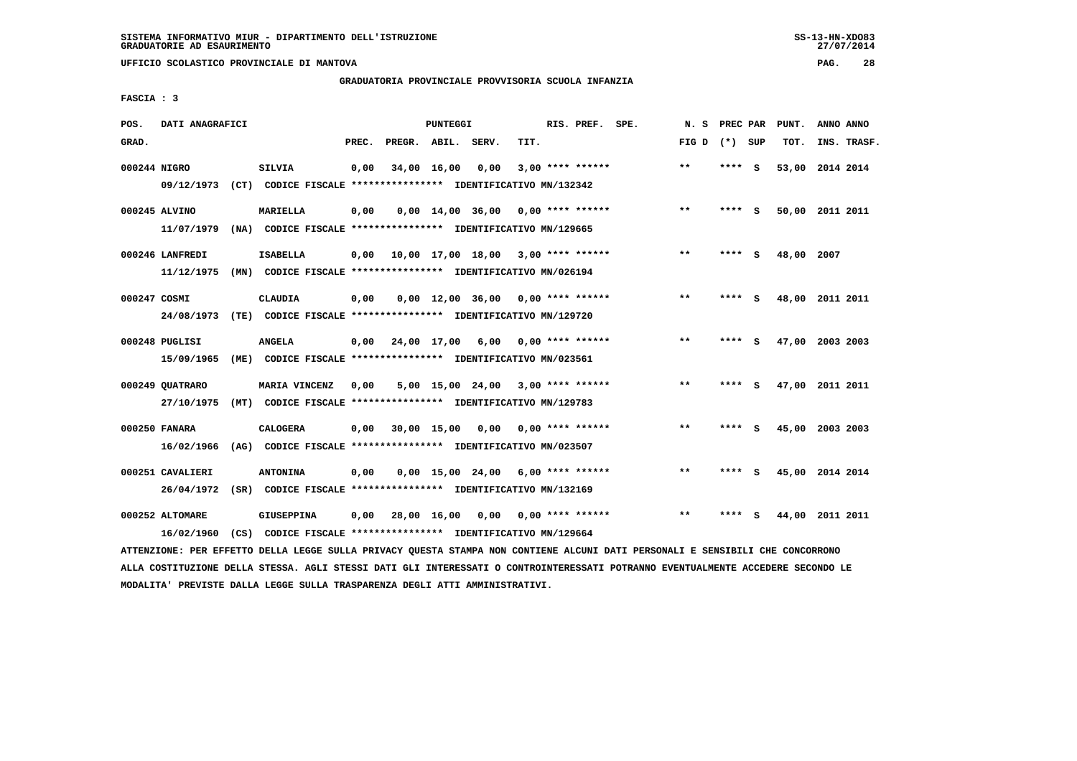**UFFICIO SCOLASTICO PROVINCIALE DI MANTOVA PAG. 28**

# **GRADUATORIA PROVINCIALE PROVVISORIA SCUOLA INFANZIA**

 **FASCIA : 3**

| POS.         | DATI ANAGRAFICI                |      |                                                                                  |       |                    | <b>PUNTEGGI</b> |                                            |      | RIS. PREF. SPE.    | N.S   | PREC PAR |     | PUNT. | ANNO ANNO       |  |
|--------------|--------------------------------|------|----------------------------------------------------------------------------------|-------|--------------------|-----------------|--------------------------------------------|------|--------------------|-------|----------|-----|-------|-----------------|--|
| GRAD.        |                                |      |                                                                                  | PREC. | PREGR. ABIL. SERV. |                 |                                            | TIT. |                    | FIG D | (*) SUP  |     | TOT.  | INS. TRASF.     |  |
| 000244 NIGRO | 09/12/1973                     |      | SILVIA<br>(CT) CODICE FISCALE **************** IDENTIFICATIVO MN/132342          | 0,00  | 34,00 16,00        |                 | 0,00                                       |      | $3,00$ **** ****** | $***$ | ****     | - S | 53,00 | 2014 2014       |  |
|              | 000245 ALVINO<br>11/07/1979    |      | MARIELLA<br>(NA) CODICE FISCALE **************** IDENTIFICATIVO MN/129665        | 0,00  |                    |                 | $0.00 \quad 14.00 \quad 36.00$             |      | 0,00 **** ******   | $***$ | ****     | - S |       | 50,00 2011 2011 |  |
|              | 000246 LANFREDI<br>11/12/1975  | (MN) | <b>ISABELLA</b><br>CODICE FISCALE **************** IDENTIFICATIVO MN/026194      | 0,00  |                    |                 | $10,00$ $17,00$ $18,00$ $3,00$ **** ****** |      |                    | $* *$ | ****     | - S | 48,00 | 2007            |  |
| 000247 COSMI | 24/08/1973                     |      | CLAUDIA<br>(TE) CODICE FISCALE **************** IDENTIFICATIVO MN/129720         | 0,00  |                    |                 | $0,00$ 12,00 36,00 0,00 **** ******        |      |                    | $* *$ | ****     | - S | 48,00 | 2011 2011       |  |
|              | 000248 PUGLISI<br>15/09/1965   | (ME) | <b>ANGELA</b><br>CODICE FISCALE **************** IDENTIFICATIVO MN/023561        | 0,00  |                    | 24,00 17,00     | 6,00                                       |      | $0.00$ **** ****** | $* *$ | ****     | S.  | 47,00 | 2003 2003       |  |
|              | 000249 OUATRARO<br>27/10/1975  | (MT) | MARIA VINCENZ<br>CODICE FISCALE **************** IDENTIFICATIVO MN/129783        | 0.00  |                    |                 | 5,00 15,00 24,00                           |      | 3,00 **** ******   | $***$ | ****     | - S |       | 47,00 2011 2011 |  |
|              | 000250 FANARA<br>16/02/1966    | (AG) | <b>CALOGERA</b><br>CODICE FISCALE **************** IDENTIFICATIVO MN/023507      | 0.00  |                    | 30,00 15,00     | 0.00                                       |      | $0.00$ **** ****** | $* *$ | ****     | - S | 45,00 | 2003 2003       |  |
|              | 000251 CAVALIERI<br>26/04/1972 |      | <b>ANTONINA</b><br>(SR) CODICE FISCALE **************** IDENTIFICATIVO MN/132169 | 0,00  |                    |                 | $0.00$ 15.00 24.00 6.00 **** ******        |      |                    | $* *$ | ****     | - S |       | 45,00 2014 2014 |  |
|              | 000252 ALTOMARE<br>16/02/1960  | (CS) | <b>GIUSEPPINA</b><br>CODICE FISCALE **************** IDENTIFICATIVO MN/129664    | 0.00  |                    | 28,00 16,00     | 0.00                                       |      | $0.00$ **** ****** | $* *$ | ****     | S   | 44,00 | 2011 2011       |  |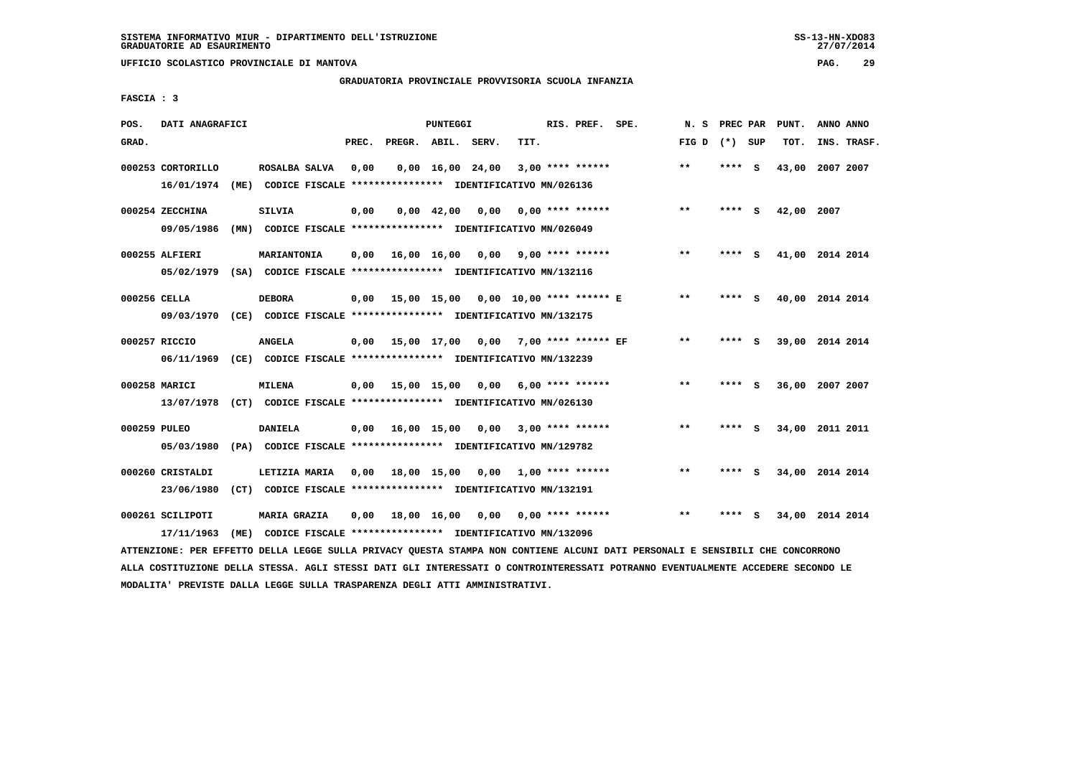**UFFICIO SCOLASTICO PROVINCIALE DI MANTOVA PAG. 29**

# **GRADUATORIA PROVINCIALE PROVVISORIA SCUOLA INFANZIA**

 **FASCIA : 3**

| POS.         | DATI ANAGRAFICI                 |      |                                                                                                                                                 |                                                          |       |                    | PUNTEGGI           |                                |      | RIS. PREF. SPE.         | N.S   | PREC PAR |     | PUNT.           | ANNO ANNO |             |
|--------------|---------------------------------|------|-------------------------------------------------------------------------------------------------------------------------------------------------|----------------------------------------------------------|-------|--------------------|--------------------|--------------------------------|------|-------------------------|-------|----------|-----|-----------------|-----------|-------------|
| GRAD.        |                                 |      |                                                                                                                                                 |                                                          | PREC. | PREGR. ABIL. SERV. |                    |                                | TIT. |                         | FIG D | (*) SUP  |     | TOT.            |           | INS. TRASF. |
|              | 000253 CORTORILLO<br>16/01/1974 |      | ROSALBA SALVA<br>(ME) CODICE FISCALE **************** IDENTIFICATIVO MN/026136                                                                  |                                                          | 0,00  |                    |                    | $0,00 \quad 16,00 \quad 24,00$ |      | $3,00$ **** ******      | $***$ | **** S   |     | 43,00           | 2007 2007 |             |
|              | 000254 ZECCHINA<br>09/05/1986   |      | <b>SILVIA</b><br>(MN) CODICE FISCALE **************** IDENTIFICATIVO MN/026049                                                                  |                                                          | 0,00  |                    | $0.00 \quad 42.00$ | 0.00                           |      | $0.00$ **** ******      | $* *$ | **** S   |     | 42,00 2007      |           |             |
|              | 000255 ALFIERI                  |      | MARIANTONIA                                                                                                                                     |                                                          | 0.00  |                    | 16,00 16,00        | 0,00                           |      | $9.00$ **** ******      | $***$ | **** S   |     | 41,00 2014 2014 |           |             |
| 000256 CELLA | 05/02/1979<br>09/03/1970        |      | (SA) CODICE FISCALE **************** IDENTIFICATIVO MN/132116<br><b>DEBORA</b><br>(CE) CODICE FISCALE **************** IDENTIFICATIVO MN/132175 |                                                          | 0.00  | 15,00 15,00        |                    | 0,00 10,00 **** ****** E       |      |                         | **    | ****     | - S | 40,00 2014 2014 |           |             |
|              | 000257 RICCIO<br>06/11/1969     |      | <b>ANGELA</b><br>(CE) CODICE FISCALE **************** IDENTIFICATIVO MN/132239                                                                  |                                                          | 0,00  | 15,00 17,00 0,00   |                    |                                |      | 7,00 **** ****** EF     | $* *$ | ****     | - 5 | 39,00 2014 2014 |           |             |
|              | 000258 MARICI<br>13/07/1978     |      | <b>MILENA</b><br>(CT) CODICE FISCALE **************** IDENTIFICATIVO MN/026130                                                                  |                                                          | 0,00  | 15,00 15,00        |                    |                                |      | $0.00$ 6.00 **** ****** | $***$ | **** S   |     | 36,00 2007 2007 |           |             |
| 000259 PULEO | 05/03/1980                      |      | <b>DANIELA</b><br>(PA) CODICE FISCALE **************** IDENTIFICATIVO MN/129782                                                                 |                                                          | 0,00  | 16,00 15,00        |                    | 0,00                           |      | $3,00$ **** ******      | $* *$ | ****     | - 5 | 34,00 2011 2011 |           |             |
|              | 000260 CRISTALDI<br>23/06/1980  |      | LETIZIA MARIA<br>(CT) CODICE FISCALE **************** IDENTIFICATIVO MN/132191                                                                  |                                                          | 0.00  | 18,00 15,00        |                    | 0.00                           |      | 1,00 **** ******        | $* *$ | ****     | s   | 34,00 2014 2014 |           |             |
|              | 000261 SCILIPOTI<br>17/11/1963  | (ME) | <b>MARIA GRAZIA</b>                                                                                                                             | CODICE FISCALE **************** IDENTIFICATIVO MN/132096 | 0,00  |                    | 18,00 16,00        | 0,00                           |      | $0.00$ **** ******      | $***$ | ****     | s   | 34,00 2014 2014 |           |             |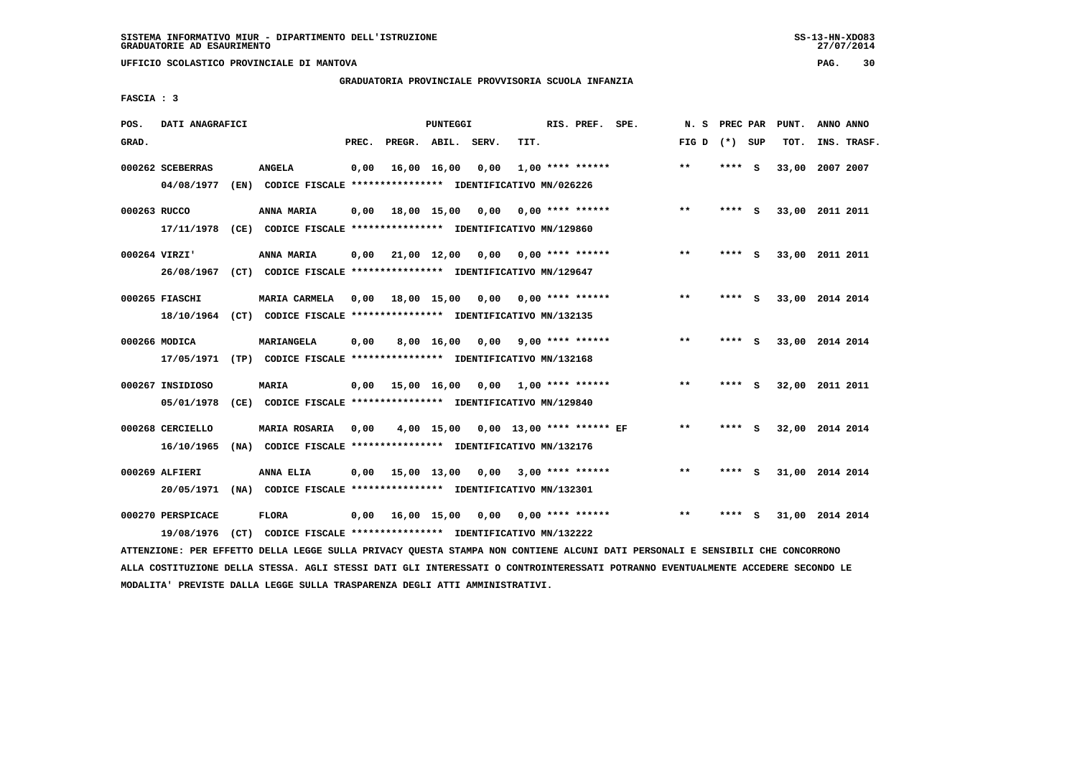# **GRADUATORIA PROVINCIALE PROVVISORIA SCUOLA INFANZIA**

 **FASCIA : 3**

| POS.         | DATI ANAGRAFICI   |                                                                                                                               |       |                                   | PUNTEGGI   |                                      |                           | RIS. PREF. SPE.    |                           | N.S             |         |          | PREC PAR PUNT.  | ANNO ANNO |             |
|--------------|-------------------|-------------------------------------------------------------------------------------------------------------------------------|-------|-----------------------------------|------------|--------------------------------------|---------------------------|--------------------|---------------------------|-----------------|---------|----------|-----------------|-----------|-------------|
| GRAD.        |                   |                                                                                                                               | PREC. | PREGR. ABIL. SERV.                |            |                                      | TIT.                      |                    |                           | FIG D $(*)$ SUP |         |          | TOT.            |           | INS. TRASF. |
|              | 000262 SCEBERRAS  | <b>ANGELA</b>                                                                                                                 | 0,00  | 16,00 16,00                       |            | 0,00                                 |                           | $1,00$ **** ****** |                           | $***$           | **** S  |          | 33,00 2007 2007 |           |             |
|              | 04/08/1977        | (EN) CODICE FISCALE **************** IDENTIFICATIVO MN/026226                                                                 |       |                                   |            |                                      |                           |                    |                           |                 |         |          |                 |           |             |
| 000263 RUCCO |                   | ANNA MARIA                                                                                                                    | 0,00  | 18,00 15,00                       |            |                                      | $0,00$ $0,00$ **** ****** |                    |                           | $***$           | **** S  |          | 33,00 2011 2011 |           |             |
|              | 17/11/1978        | (CE) CODICE FISCALE **************** IDENTIFICATIVO MN/129860                                                                 |       |                                   |            |                                      |                           |                    |                           |                 |         |          |                 |           |             |
|              | 000264 VIRZI'     | ANNA MARIA                                                                                                                    | 0.00  | 21,00 12,00                       |            | 0,00                                 | 0,00 **** ******          |                    |                           | $**$            | **** S  |          | 33,00 2011 2011 |           |             |
|              | 26/08/1967        | (CT) CODICE FISCALE **************** IDENTIFICATIVO MN/129647                                                                 |       |                                   |            |                                      |                           |                    |                           |                 |         |          |                 |           |             |
|              | 000265 FIASCHI    | MARIA CARMELA                                                                                                                 | 0,00  | 18,00 15,00 0,00                  |            |                                      | 0,00 **** ******          |                    |                           | $* *$           | **** S  |          | 33,00 2014 2014 |           |             |
|              |                   | 18/10/1964 (CT) CODICE FISCALE *************** IDENTIFICATIVO MN/132135                                                       |       |                                   |            |                                      |                           |                    |                           |                 |         |          |                 |           |             |
|              | 000266 MODICA     | MARIANGELA                                                                                                                    | 0,00  |                                   | 8,00 16,00 |                                      | $0,00$ 9,00 **** ******   |                    |                           | $***$           | $***$ S |          | 33,00 2014 2014 |           |             |
|              |                   | 17/05/1971 (TP) CODICE FISCALE *************** IDENTIFICATIVO MN/132168                                                       |       |                                   |            |                                      |                           |                    |                           |                 |         |          |                 |           |             |
|              | 000267 INSIDIOSO  | <b>MARIA</b>                                                                                                                  | 0.00  | 15,00 16,00 0,00 1,00 **** ****** |            |                                      |                           |                    |                           | **              | ****    | <b>S</b> | 32,00 2011 2011 |           |             |
|              | 05/01/1978        | (CE) CODICE FISCALE **************** IDENTIFICATIVO MN/129840                                                                 |       |                                   |            |                                      |                           |                    |                           |                 |         |          |                 |           |             |
|              | 000268 CERCIELLO  | <b>MARIA ROSARIA</b>                                                                                                          | 0,00  |                                   |            | 4,00 15,00 0,00 13,00 **** ****** EF |                           |                    |                           | $\star\star$    | **** S  |          | 32,00 2014 2014 |           |             |
|              | 16/10/1965        | (NA) CODICE FISCALE **************** IDENTIFICATIVO MN/132176                                                                 |       |                                   |            |                                      |                           |                    |                           |                 |         |          |                 |           |             |
|              | 000269 ALFIERI    | ANNA ELIA                                                                                                                     | 0,00  | 15,00 13,00 0,00 3,00 **** ****** |            |                                      |                           |                    |                           | $* *$           | $***$ S |          | 31,00 2014 2014 |           |             |
|              | 20/05/1971        | (NA) CODICE FISCALE **************** IDENTIFICATIVO MN/132301                                                                 |       |                                   |            |                                      |                           |                    |                           |                 |         |          |                 |           |             |
|              | 000270 PERSPICACE | <b>FLORA</b>                                                                                                                  | 0,00  | 16,00 15,00                       |            |                                      |                           |                    | $0.00$ $0.00$ **** ****** | $* *$           | ****    | <b>S</b> | 31,00 2014 2014 |           |             |
|              | 19/08/1976        | (CT) CODICE FISCALE **************** IDENTIFICATIVO MN/132222                                                                 |       |                                   |            |                                      |                           |                    |                           |                 |         |          |                 |           |             |
|              |                   | ATTENZIONE: PER EFFETTO DELLA LEGGE SULLA PRIVACY QUESTA STAMPA NON CONTIENE ALCUNI DATI PERSONALI E SENSIBILI CHE CONCORRONO |       |                                   |            |                                      |                           |                    |                           |                 |         |          |                 |           |             |

 **ALLA COSTITUZIONE DELLA STESSA. AGLI STESSI DATI GLI INTERESSATI O CONTROINTERESSATI POTRANNO EVENTUALMENTE ACCEDERE SECONDO LE MODALITA' PREVISTE DALLA LEGGE SULLA TRASPARENZA DEGLI ATTI AMMINISTRATIVI.**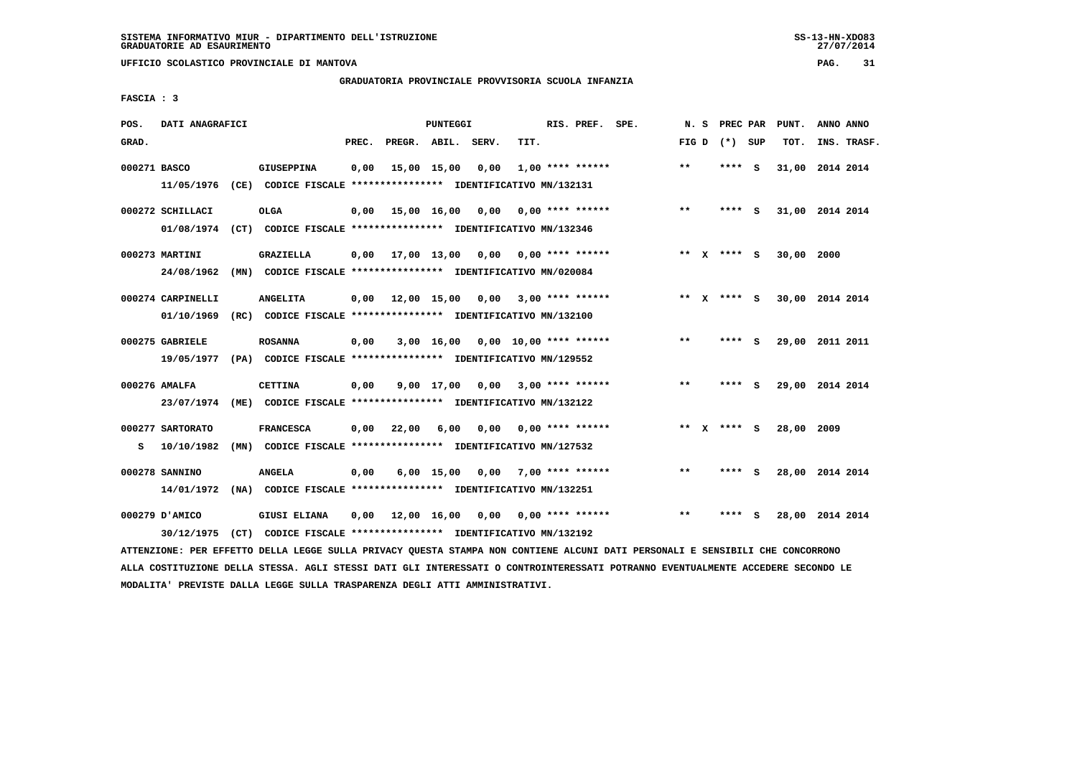# **GRADUATORIA PROVINCIALE PROVVISORIA SCUOLA INFANZIA**

 **FASCIA : 3**

| POS.         | DATI ANAGRAFICI   |                                                               |       |                    | PUNTEGGI     |                                                 |                         | RIS. PREF. SPE.    | N.S   | <b>PREC PAR</b> |     | PUNT.      | ANNO ANNO       |
|--------------|-------------------|---------------------------------------------------------------|-------|--------------------|--------------|-------------------------------------------------|-------------------------|--------------------|-------|-----------------|-----|------------|-----------------|
| GRAD.        |                   |                                                               | PREC. | PREGR. ABIL. SERV. |              |                                                 | TIT.                    |                    |       | FIG D $(*)$ SUP |     | TOT.       | INS. TRASF.     |
| 000271 BASCO |                   | <b>GIUSEPPINA</b>                                             | 0,00  |                    | 15,00 15,00  | 0,00                                            |                         | $1,00$ **** ****** | $* *$ | ****            | - S |            | 31,00 2014 2014 |
|              | 11/05/1976        | (CE) CODICE FISCALE **************** IDENTIFICATIVO MN/132131 |       |                    |              |                                                 |                         |                    |       |                 |     |            |                 |
|              | 000272 SCHILLACI  | <b>OLGA</b>                                                   | 0,00  | 15,00 16,00        |              | 0,00                                            | 0,00 **** ******        |                    | $* *$ | **** S          |     |            | 31,00 2014 2014 |
|              | 01/08/1974        | (CT) CODICE FISCALE *************** IDENTIFICATIVO MN/132346  |       |                    |              |                                                 |                         |                    |       |                 |     |            |                 |
|              | 000273 MARTINI    | GRAZIELLA                                                     | 0,00  |                    |              | $17,00$ $13,00$ $0,00$ $0,00$ $***$ **** ****** |                         |                    |       | ** $X$ **** S   |     | 30,00 2000 |                 |
|              | 24/08/1962        | (MN) CODICE FISCALE **************** IDENTIFICATIVO MN/020084 |       |                    |              |                                                 |                         |                    |       |                 |     |            |                 |
|              | 000274 CARPINELLI | <b>ANGELITA</b>                                               | 0,00  | 12,00 15,00        |              |                                                 | $0,00$ 3,00 **** ****** |                    |       | ** x **** S     |     |            | 30,00 2014 2014 |
|              | 01/10/1969        | (RC) CODICE FISCALE **************** IDENTIFICATIVO MN/132100 |       |                    |              |                                                 |                         |                    |       |                 |     |            |                 |
|              | 000275 GABRIELE   | <b>ROSANNA</b>                                                | 0,00  |                    |              | $3,00$ 16,00 0,00 10,00 **** ******             |                         |                    | $***$ | **** S          |     |            | 29,00 2011 2011 |
|              | 19/05/1977        | (PA) CODICE FISCALE **************** IDENTIFICATIVO MN/129552 |       |                    |              |                                                 |                         |                    |       |                 |     |            |                 |
|              | 000276 AMALFA     | <b>CETTINA</b>                                                | 0,00  |                    |              | $9,00$ 17,00 0,00 3,00 **** ******              |                         |                    | $***$ | **** S          |     |            | 29,00 2014 2014 |
|              | 23/07/1974        | (ME) CODICE FISCALE **************** IDENTIFICATIVO MN/132122 |       |                    |              |                                                 |                         |                    |       |                 |     |            |                 |
|              | 000277 SARTORATO  | <b>FRANCESCA</b>                                              | 0,00  | 22,00              | 6,00         | 0,00                                            | 0,00 **** ******        |                    |       | ** X **** S     |     | 28,00 2009 |                 |
| s            | 10/10/1982        | (MN) CODICE FISCALE **************** IDENTIFICATIVO MN/127532 |       |                    |              |                                                 |                         |                    |       |                 |     |            |                 |
|              | 000278 SANNINO    | <b>ANGELA</b>                                                 | 0,00  |                    | $6,00$ 15,00 |                                                 | $0,00$ 7,00 **** ****** |                    | $* *$ | ****            | - S |            | 28,00 2014 2014 |
|              | 14/01/1972        | (NA) CODICE FISCALE **************** IDENTIFICATIVO MN/132251 |       |                    |              |                                                 |                         |                    |       |                 |     |            |                 |
|              | 000279 D'AMICO    | <b>GIUSI ELIANA</b>                                           | 0,00  | 12,00 16,00        |              | 0,00                                            |                         | $0.00$ **** ****** | $* *$ |                 | s   |            | 28,00 2014 2014 |
|              | 30/12/1975        | (CT) CODICE FISCALE **************** IDENTIFICATIVO MN/132192 |       |                    |              |                                                 |                         |                    |       |                 |     |            |                 |

 **ATTENZIONE: PER EFFETTO DELLA LEGGE SULLA PRIVACY QUESTA STAMPA NON CONTIENE ALCUNI DATI PERSONALI E SENSIBILI CHE CONCORRONO ALLA COSTITUZIONE DELLA STESSA. AGLI STESSI DATI GLI INTERESSATI O CONTROINTERESSATI POTRANNO EVENTUALMENTE ACCEDERE SECONDO LE MODALITA' PREVISTE DALLA LEGGE SULLA TRASPARENZA DEGLI ATTI AMMINISTRATIVI.**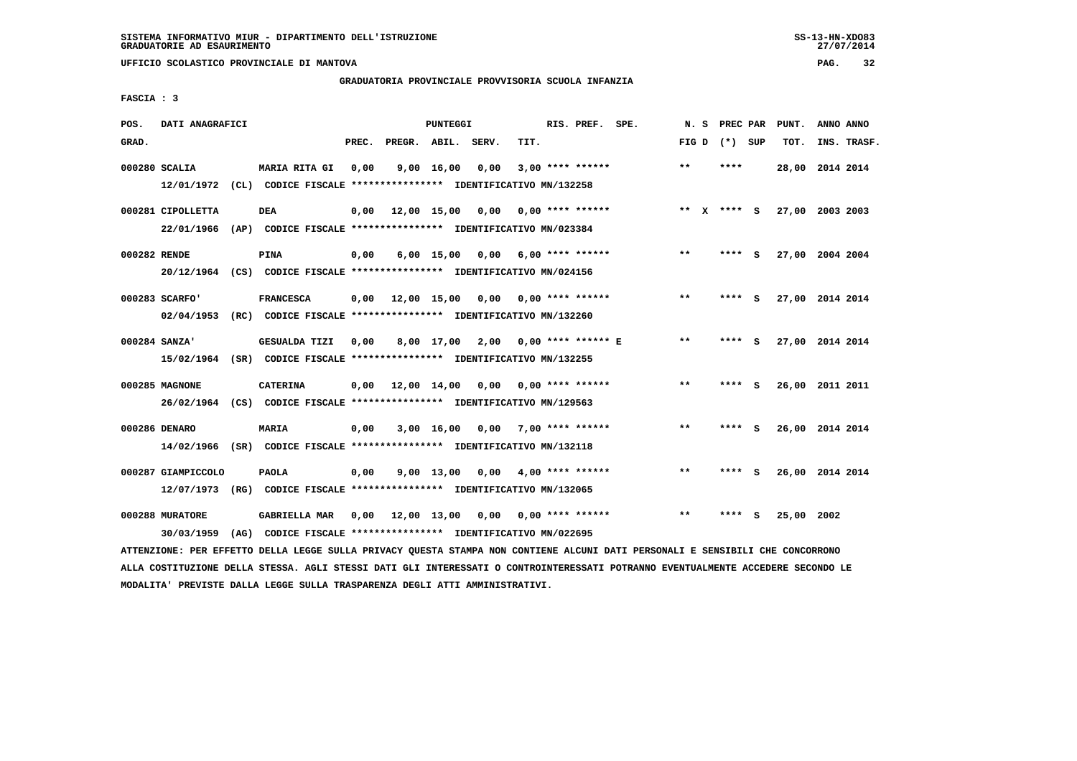**UFFICIO SCOLASTICO PROVINCIALE DI MANTOVA PAG. 32**

# **GRADUATORIA PROVINCIALE PROVVISORIA SCUOLA INFANZIA**

 **FASCIA : 3**

| POS.          | DATI ANAGRAFICI                  |      |                                                                                                  |       |                    | PUNTEGGI           |                                          |      | RIS. PREF. SPE.           | N.S   | PREC PAR        |          | PUNT.           | ANNO ANNO |             |
|---------------|----------------------------------|------|--------------------------------------------------------------------------------------------------|-------|--------------------|--------------------|------------------------------------------|------|---------------------------|-------|-----------------|----------|-----------------|-----------|-------------|
| GRAD.         |                                  |      |                                                                                                  | PREC. | PREGR. ABIL. SERV. |                    |                                          | TIT. |                           |       | FIG D $(*)$ SUP |          | TOT.            |           | INS. TRASF. |
|               | 000280 SCALIA                    |      | <b>MARIA RITA GI</b><br>12/01/1972 (CL) CODICE FISCALE **************** IDENTIFICATIVO MN/132258 | 0.00  |                    | $9,00 \quad 16,00$ | 0.00                                     |      | $3,00$ **** ******        | $***$ | ****            |          | 28,00 2014 2014 |           |             |
|               | 000281 CIPOLLETTA<br>22/01/1966  |      | <b>DEA</b><br>(AP) CODICE FISCALE **************** IDENTIFICATIVO MN/023384                      | 0,00  | 12,00 15,00 0,00   |                    |                                          |      | $0.00$ **** ******        |       | ** $X$ **** S   |          | 27,00 2003 2003 |           |             |
| 000282 RENDE  |                                  |      | <b>PINA</b><br>20/12/1964 (CS) CODICE FISCALE *************** IDENTIFICATIVO MN/024156           | 0.00  |                    | $6,00$ 15,00       | $0.00$ 6.00 **** ******                  |      |                           | $***$ | ****            | - S      | 27,00 2004 2004 |           |             |
|               | 000283 SCARFO'                   |      | <b>FRANCESCA</b><br>02/04/1953 (RC) CODICE FISCALE *************** IDENTIFICATIVO MN/132260      | 0,00  |                    |                    | 12,00 15,00 0,00 0,00 **** ******        |      |                           | $***$ | **** S          |          | 27,00 2014 2014 |           |             |
| 000284 SANZA' |                                  |      | GESUALDA TIZI<br>15/02/1964 (SR) CODICE FISCALE *************** IDENTIFICATIVO MN/132255         | 0,00  |                    | 8,00 17,00         |                                          |      | $2,00$ 0,00 **** ****** E | **    |                 | s        | 27,00 2014 2014 |           |             |
|               | 000285 MAGNONE                   |      | <b>CATERINA</b><br>26/02/1964 (CS) CODICE FISCALE *************** IDENTIFICATIVO MN/129563       |       |                    |                    | $0,00$ 12,00 14,00 0,00 0,00 **** ****** |      |                           | $***$ | **** S          |          | 26,00 2011 2011 |           |             |
|               | 000286 DENARO                    |      | <b>MARIA</b><br>14/02/1966 (SR) CODICE FISCALE *************** IDENTIFICATIVO MN/132118          | 0,00  |                    | 3,00 16,00         | 0,00                                     |      | $7,00$ **** ******        | $**$  | ****            | <b>S</b> | 26,00 2014 2014 |           |             |
|               | 000287 GIAMPICCOLO<br>12/07/1973 |      | <b>PAOLA</b><br>(RG) CODICE FISCALE **************** IDENTIFICATIVO MN/132065                    | 0,00  |                    | 9,00 13,00         | 0,00                                     |      | $4,00$ **** ******        | $* *$ | ****            | - S      | 26,00 2014 2014 |           |             |
|               | 000288 MURATORE<br>30/03/1959    | (AG) | <b>GABRIELLA MAR</b><br>CODICE FISCALE **************** IDENTIFICATIVO MN/022695                 | 0,00  | 12,00 13,00        |                    | 0,00                                     |      | $0.00$ **** ******        | **    | ****            | S.       | 25,00 2002      |           |             |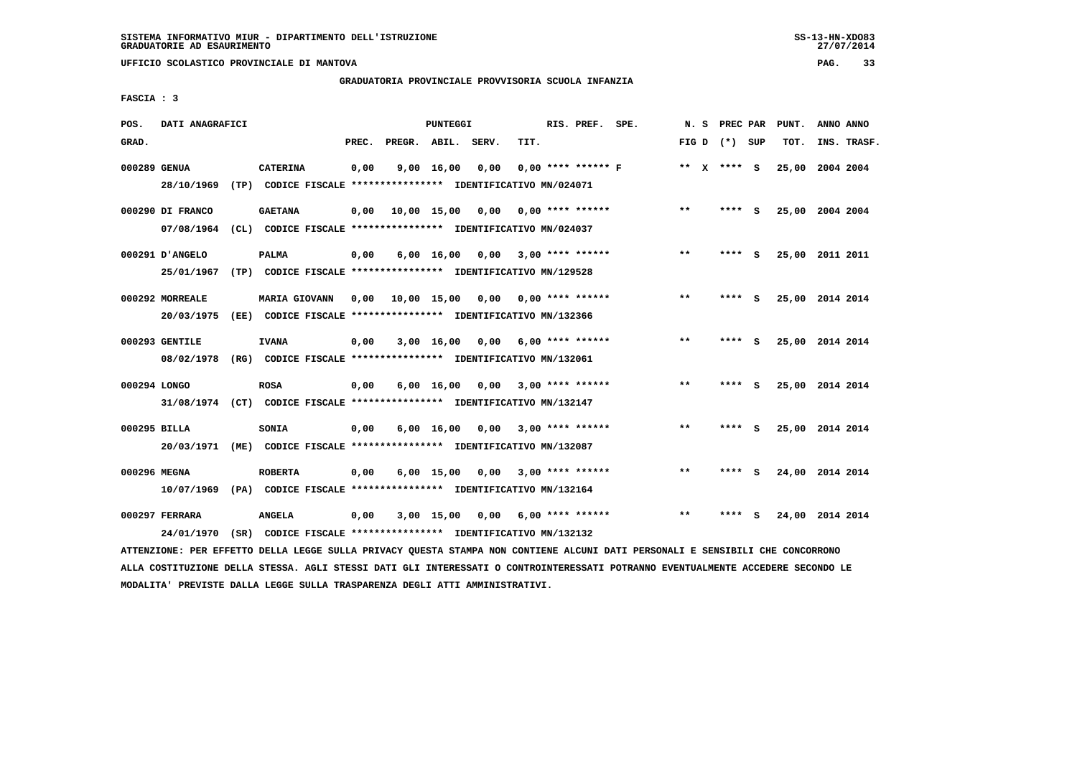**UFFICIO SCOLASTICO PROVINCIALE DI MANTOVA PAG. 33**

# **GRADUATORIA PROVINCIALE PROVVISORIA SCUOLA INFANZIA**

 **FASCIA : 3**

| POS.         | DATI ANAGRAFICI  |                                                                         |       |                    | PUNTEGGI           |      |      | RIS. PREF. SPE.      | N. S         | <b>PREC PAR</b> |     | PUNT.           | ANNO ANNO |             |
|--------------|------------------|-------------------------------------------------------------------------|-------|--------------------|--------------------|------|------|----------------------|--------------|-----------------|-----|-----------------|-----------|-------------|
| GRAD.        |                  |                                                                         | PREC. | PREGR. ABIL. SERV. |                    |      | TIT. |                      |              | FIG D $(*)$ SUP |     | TOT.            |           | INS. TRASF. |
| 000289 GENUA |                  | <b>CATERINA</b>                                                         | 0,00  |                    | 9,00 16,00         | 0,00 |      | $0.00$ **** ****** F |              | ** $X$ **** S   |     | 25,00           | 2004 2004 |             |
|              | 28/10/1969       | (TP) CODICE FISCALE **************** IDENTIFICATIVO MN/024071           |       |                    |                    |      |      |                      |              |                 |     |                 |           |             |
|              | 000290 DI FRANCO | <b>GAETANA</b>                                                          | 0,00  |                    | 10,00 15,00        | 0,00 |      | $0.00$ **** ******   | $***$        | ****            | - S | 25,00 2004 2004 |           |             |
|              | 07/08/1964       | (CL) CODICE FISCALE **************** IDENTIFICATIVO MN/024037           |       |                    |                    |      |      |                      |              |                 |     |                 |           |             |
|              | 000291 D'ANGELO  | <b>PALMA</b>                                                            | 0,00  |                    | $6,00 \quad 16,00$ | 0,00 |      | $3.00$ **** ******   | $* *$        | ****            | - S | 25,00           | 2011 2011 |             |
|              | 25/01/1967       | (TP) CODICE FISCALE **************** IDENTIFICATIVO MN/129528           |       |                    |                    |      |      |                      |              |                 |     |                 |           |             |
|              | 000292 MORREALE  | <b>MARIA GIOVANN</b>                                                    | 0.00  | 10,00 15,00        |                    | 0,00 |      | $0.00$ **** ******   | **           | **** S          |     | 25,00 2014 2014 |           |             |
|              | 20/03/1975       | (EE) CODICE FISCALE **************** IDENTIFICATIVO MN/132366           |       |                    |                    |      |      |                      |              |                 |     |                 |           |             |
|              | 000293 GENTILE   | <b>IVANA</b>                                                            | 0,00  |                    | 3,00 16,00         | 0,00 |      | $6.00$ **** ******   | $***$        | **** S          |     | 25,00 2014 2014 |           |             |
|              | 08/02/1978       | (RG) CODICE FISCALE **************** IDENTIFICATIVO MN/132061           |       |                    |                    |      |      |                      |              |                 |     |                 |           |             |
| 000294 LONGO |                  | <b>ROSA</b>                                                             | 0,00  |                    | 6,00 16,00         | 0,00 |      | $3,00$ **** ******   | $***$        | $***$ S         |     | 25,00 2014 2014 |           |             |
|              |                  | 31/08/1974 (CT) CODICE FISCALE *************** IDENTIFICATIVO MN/132147 |       |                    |                    |      |      |                      |              |                 |     |                 |           |             |
| 000295 BILLA |                  | <b>SONIA</b>                                                            | 0,00  |                    | $6,00$ 16,00       | 0,00 |      | $3,00$ **** ******   | $***$        | **** S          |     | 25,00 2014 2014 |           |             |
|              |                  | 20/03/1971 (ME) CODICE FISCALE *************** IDENTIFICATIVO MN/132087 |       |                    |                    |      |      |                      |              |                 |     |                 |           |             |
| 000296 MEGNA |                  | <b>ROBERTA</b>                                                          | 0,00  |                    | $6,00$ 15,00       | 0.00 |      | $3,00$ **** ******   | $**$         | ****            | - S | 24,00 2014 2014 |           |             |
|              | 10/07/1969       | (PA) CODICE FISCALE **************** IDENTIFICATIVO MN/132164           |       |                    |                    |      |      |                      |              |                 |     |                 |           |             |
|              | 000297 FERRARA   | <b>ANGELA</b>                                                           | 0,00  |                    | $3,00$ 15,00       | 0,00 |      | $6.00$ **** ******   | $\star\star$ | ****            | - s | 24,00 2014 2014 |           |             |
|              | 24/01/1970       | (SR) CODICE FISCALE **************** IDENTIFICATIVO MN/132132           |       |                    |                    |      |      |                      |              |                 |     |                 |           |             |
|              |                  |                                                                         |       |                    |                    |      |      |                      |              |                 |     |                 |           |             |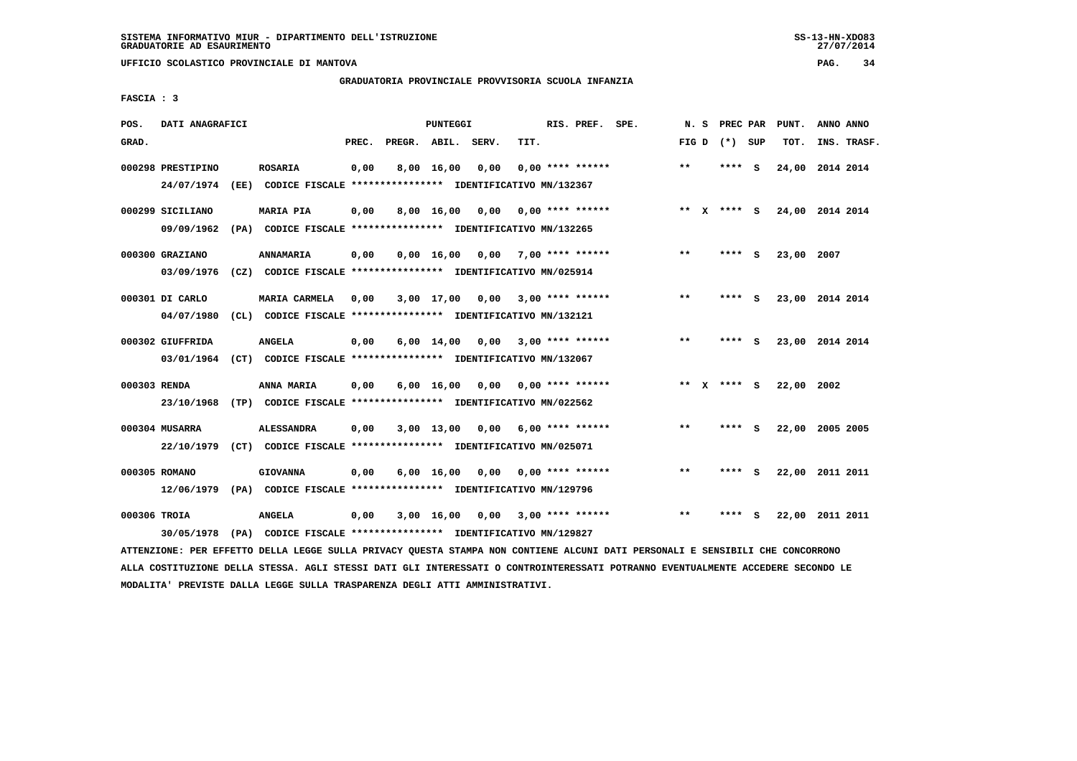**UFFICIO SCOLASTICO PROVINCIALE DI MANTOVA PAG. 34**

# **GRADUATORIA PROVINCIALE PROVVISORIA SCUOLA INFANZIA**

 **FASCIA : 3**

| POS.         | DATI ANAGRAFICI   |                                                               |       |                    | <b>PUNTEGGI</b>    |      |      | RIS. PREF. SPE.    |              | N.S          | PREC PAR      |     | PUNT.           | ANNO ANNO |             |
|--------------|-------------------|---------------------------------------------------------------|-------|--------------------|--------------------|------|------|--------------------|--------------|--------------|---------------|-----|-----------------|-----------|-------------|
| GRAD.        |                   |                                                               | PREC. | PREGR. ABIL. SERV. |                    |      | TIT. |                    | FIG D        |              | (*) SUP       |     | TOT.            |           | INS. TRASF. |
|              | 000298 PRESTIPINO | <b>ROSARIA</b>                                                | 0,00  |                    | 8,00 16,00         | 0,00 |      | $0.00$ **** ****** | $* *$        |              | ****          | - S | 24,00           | 2014 2014 |             |
|              | 24/07/1974        | (EE) CODICE FISCALE **************** IDENTIFICATIVO MN/132367 |       |                    |                    |      |      |                    |              |              |               |     |                 |           |             |
|              | 000299 SICILIANO  | <b>MARIA PIA</b>                                              | 0,00  |                    | 8,00 16,00         | 0,00 |      | $0.00$ **** ****** | $***$        | $\mathbf{x}$ | **** S        |     | 24,00 2014 2014 |           |             |
|              | 09/09/1962        | (PA) CODICE FISCALE **************** IDENTIFICATIVO MN/132265 |       |                    |                    |      |      |                    |              |              |               |     |                 |           |             |
|              | 000300 GRAZIANO   | ANNAMARIA                                                     | 0,00  |                    | $0,00$ 16,00       | 0,00 |      | $7,00$ **** ****** | **           |              | ****          | - S | 23,00           | 2007      |             |
|              | 03/09/1976        | (CZ) CODICE FISCALE **************** IDENTIFICATIVO MN/025914 |       |                    |                    |      |      |                    |              |              |               |     |                 |           |             |
|              | 000301 DI CARLO   | <b>MARIA CARMELA</b>                                          | 0,00  |                    | 3,00 17,00         | 0,00 |      | $3,00$ **** ****** | $***$        |              | ****          | - 5 | 23,00 2014 2014 |           |             |
|              | 04/07/1980        | (CL) CODICE FISCALE **************** IDENTIFICATIVO MN/132121 |       |                    |                    |      |      |                    |              |              |               |     |                 |           |             |
|              | 000302 GIUFFRIDA  | <b>ANGELA</b>                                                 | 0,00  |                    | $6,00 \quad 14,00$ | 0,00 |      | $3,00$ **** ****** | $\star\star$ |              | ****          | - S | 23,00 2014 2014 |           |             |
|              | 03/01/1964        | (CT) CODICE FISCALE **************** IDENTIFICATIVO MN/132067 |       |                    |                    |      |      |                    |              |              |               |     |                 |           |             |
| 000303 RENDA |                   | ANNA MARIA                                                    | 0,00  |                    | $6,00 \quad 16,00$ | 0,00 |      | 0,00 **** ******   |              |              | ** $X$ **** S |     | 22,00 2002      |           |             |
|              | 23/10/1968        | (TP) CODICE FISCALE **************** IDENTIFICATIVO MN/022562 |       |                    |                    |      |      |                    |              |              |               |     |                 |           |             |
|              | 000304 MUSARRA    | <b>ALESSANDRA</b>                                             | 0,00  |                    | $3,00$ 13,00       | 0.00 |      | 6,00 **** ******   | $* *$        |              | ****          | - S | 22,00 2005 2005 |           |             |
|              | 22/10/1979        | (CT) CODICE FISCALE **************** IDENTIFICATIVO MN/025071 |       |                    |                    |      |      |                    |              |              |               |     |                 |           |             |
|              | 000305 ROMANO     | <b>GIOVANNA</b>                                               | 0,00  |                    | $6,00 \quad 16,00$ | 0.00 |      | $0.00$ **** ****** | $**$         |              |               | - S | 22,00           | 2011 2011 |             |
|              | 12/06/1979        | (PA) CODICE FISCALE **************** IDENTIFICATIVO MN/129796 |       |                    |                    |      |      |                    |              |              |               |     |                 |           |             |
| 000306 TROIA |                   | <b>ANGELA</b>                                                 | 0,00  |                    | $3,00$ 16,00       | 0,00 |      | $3,00$ **** ****** | $* *$        |              |               | s   | 22,00           | 2011 2011 |             |
|              | 30/05/1978        | (PA) CODICE FISCALE **************** IDENTIFICATIVO MN/129827 |       |                    |                    |      |      |                    |              |              |               |     |                 |           |             |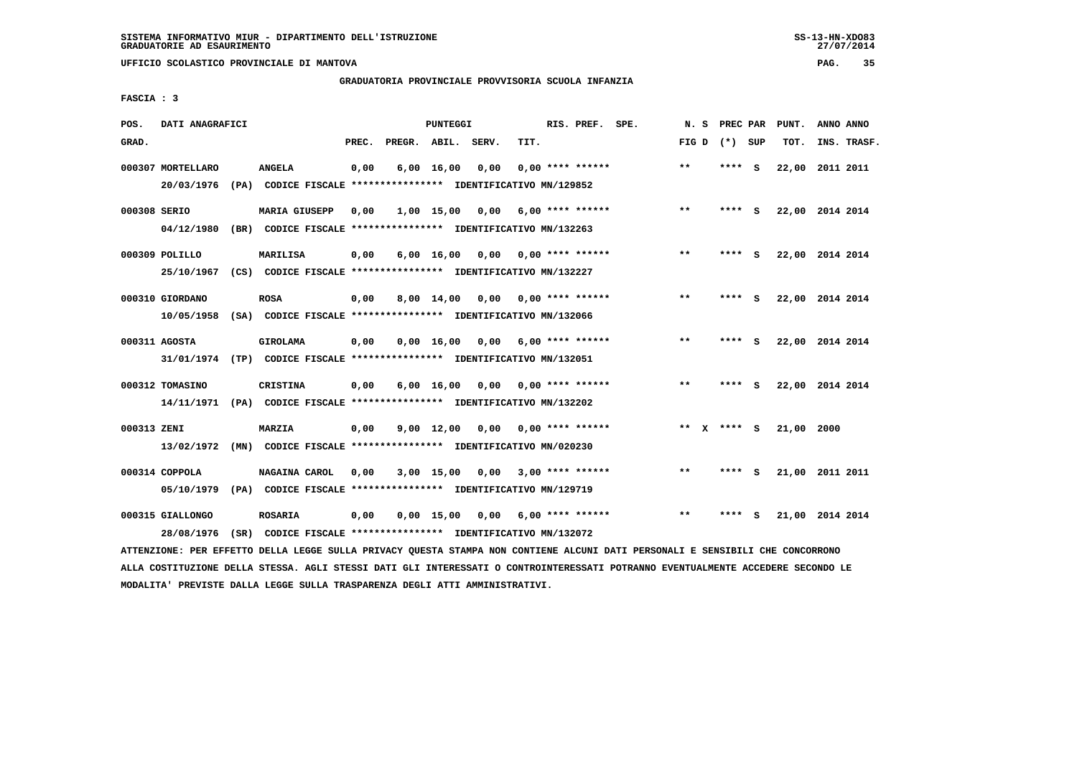**UFFICIO SCOLASTICO PROVINCIALE DI MANTOVA PAG. 35**

# **GRADUATORIA PROVINCIALE PROVVISORIA SCUOLA INFANZIA**

 **FASCIA : 3**

| POS.         | DATI ANAGRAFICI                 |      |                                                                                       |       |                    | <b>PUNTEGGI</b>    |      |      | RIS. PREF. SPE.           | N.S   | PREC PAR |     | PUNT.           | ANNO ANNO       |  |
|--------------|---------------------------------|------|---------------------------------------------------------------------------------------|-------|--------------------|--------------------|------|------|---------------------------|-------|----------|-----|-----------------|-----------------|--|
| GRAD.        |                                 |      |                                                                                       | PREC. | PREGR. ABIL. SERV. |                    |      | TIT. |                           | FIG D | (*) SUP  |     | TOT.            | INS. TRASF.     |  |
|              | 000307 MORTELLARO<br>20/03/1976 |      | <b>ANGELA</b><br>(PA) CODICE FISCALE **************** IDENTIFICATIVO MN/129852        | 0,00  |                    | $6,00$ 16,00       | 0,00 |      | $0.00$ **** ******        | $***$ | ****     | - S | 22,00           | 2011 2011       |  |
| 000308 SERIO | 04/12/1980                      |      | <b>MARIA GIUSEPP</b><br>(BR) CODICE FISCALE **************** IDENTIFICATIVO MN/132263 | 0,00  |                    | 1,00 15,00         | 0,00 |      | $6.00$ **** ******        | $* *$ | ****     | - S | 22,00 2014 2014 |                 |  |
|              | 000309 POLILLO<br>25/10/1967    |      | MARILISA<br>(CS) CODICE FISCALE **************** IDENTIFICATIVO MN/132227             | 0.00  |                    | $6,00 \quad 16,00$ |      |      | $0,00$ $0,00$ **** ****** | $* *$ | ****     | - S |                 | 22,00 2014 2014 |  |
|              | 000310 GIORDANO<br>10/05/1958   |      | <b>ROSA</b><br>(SA) CODICE FISCALE **************** IDENTIFICATIVO MN/132066          | 0,00  |                    | 8,00 14,00         | 0,00 |      | $0.00$ **** ******        | $***$ | ****     | - S | 22,00 2014 2014 |                 |  |
|              | 000311 AGOSTA<br>31/01/1974     |      | GIROLAMA<br>(TP) CODICE FISCALE **************** IDENTIFICATIVO MN/132051             | 0,00  |                    | $0,00$ 16,00       | 0,00 |      | $6.00$ **** ******        | $***$ | ****     | - S |                 | 22,00 2014 2014 |  |
|              | 000312 TOMASINO<br>14/11/1971   |      | <b>CRISTINA</b><br>(PA) CODICE FISCALE **************** IDENTIFICATIVO MN/132202      | 0,00  |                    | $6,00 \quad 16,00$ | 0.00 |      | 0,00 **** ******          | $* *$ | **** S   |     | 22,00 2014 2014 |                 |  |
| 000313 ZENI  | 13/02/1972                      |      | <b>MARZIA</b><br>(MN) CODICE FISCALE **************** IDENTIFICATIVO MN/020230        | 0,00  |                    | $9,00 \quad 12,00$ | 0.00 |      | $0.00$ **** ******        | ** X  | $***$ S  |     | 21,00 2000      |                 |  |
|              | 000314 COPPOLA<br>05/10/1979    |      | NAGAINA CAROL<br>(PA) CODICE FISCALE **************** IDENTIFICATIVO MN/129719        | 0,00  |                    | $3,00$ 15,00       | 0.00 |      | $3,00$ **** ******        | **    | ****     | - S | 21,00 2011 2011 |                 |  |
|              | 000315 GIALLONGO<br>28/08/1976  | (SR) | <b>ROSARIA</b><br>CODICE FISCALE **************** IDENTIFICATIVO MN/132072            | 0,00  |                    | 0.00 15.00         | 0,00 |      | $6.00$ **** ******        | $* *$ | ****     | S.  |                 | 21,00 2014 2014 |  |
|              |                                 |      |                                                                                       |       |                    |                    |      |      |                           |       |          |     |                 |                 |  |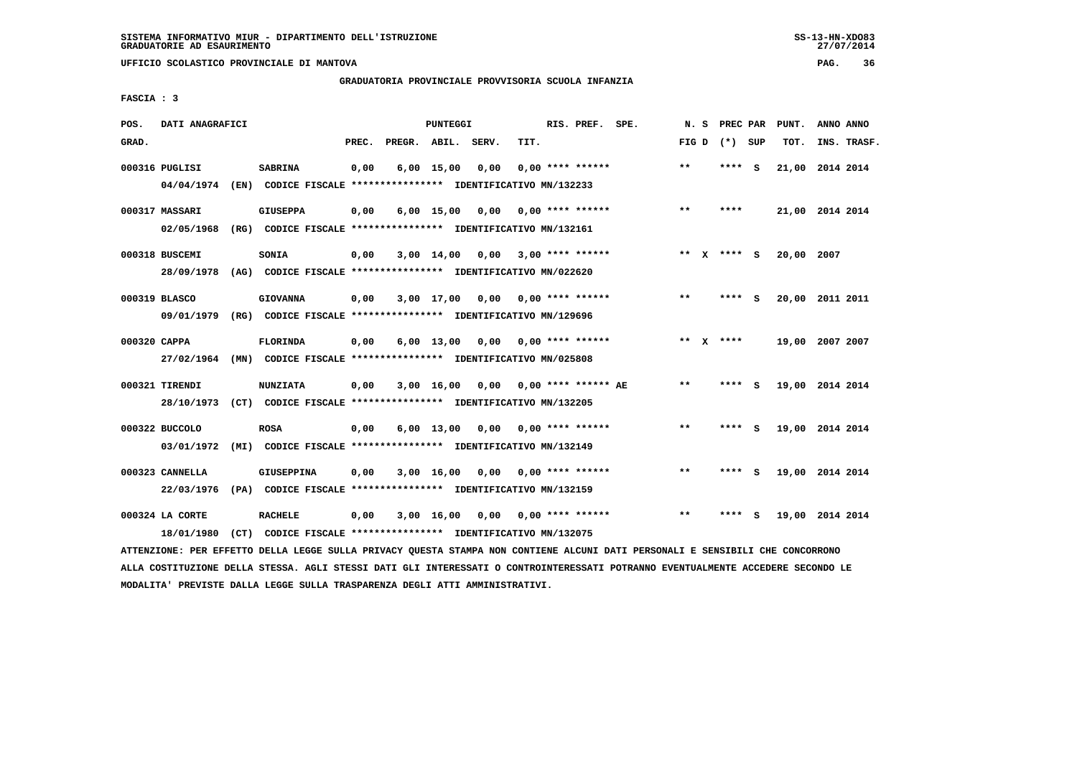**UFFICIO SCOLASTICO PROVINCIALE DI MANTOVA PAG. 36**

# **GRADUATORIA PROVINCIALE PROVVISORIA SCUOLA INFANZIA**

 **FASCIA : 3**

| POS.         | DATI ANAGRAFICI |                                                                                                                               |       |                    | PUNTEGGI     |                                    |      | RIS. PREF. SPE.              | N.S   | PREC PAR        | PUNT.           | ANNO ANNO |             |
|--------------|-----------------|-------------------------------------------------------------------------------------------------------------------------------|-------|--------------------|--------------|------------------------------------|------|------------------------------|-------|-----------------|-----------------|-----------|-------------|
| GRAD.        |                 |                                                                                                                               | PREC. | PREGR. ABIL. SERV. |              |                                    | TIT. |                              |       | FIG D $(*)$ SUP | TOT.            |           | INS. TRASF. |
|              | 000316 PUGLISI  | <b>SABRINA</b>                                                                                                                | 0,00  |                    | $6,00$ 15,00 | 0,00                               |      | $0,00$ **** ******           | $* *$ | **** S          | 21,00 2014 2014 |           |             |
|              | 04/04/1974      | (EN) CODICE FISCALE *************** IDENTIFICATIVO MN/132233                                                                  |       |                    |              |                                    |      |                              |       |                 |                 |           |             |
|              | 000317 MASSARI  | <b>GIUSEPPA</b>                                                                                                               | 0,00  |                    |              | $6,00$ 15,00 0,00 0,00 **** ****** |      |                              | $**$  | ****            | 21,00 2014 2014 |           |             |
|              | 02/05/1968      | (RG) CODICE FISCALE **************** IDENTIFICATIVO MN/132161                                                                 |       |                    |              |                                    |      |                              |       |                 |                 |           |             |
|              | 000318 BUSCEMI  | SONIA                                                                                                                         | 0,00  |                    | 3,00 14,00   |                                    |      | $0,00$ 3,00 **** ******      |       | ** x **** s     | 20,00 2007      |           |             |
|              | 28/09/1978      | (AG) CODICE FISCALE **************** IDENTIFICATIVO MN/022620                                                                 |       |                    |              |                                    |      |                              |       |                 |                 |           |             |
|              | 000319 BLASCO   | <b>GIOVANNA</b>                                                                                                               | 0,00  |                    |              | $3,00$ 17,00 0,00 0,00 **** ****** |      |                              | $***$ | **** S          | 20,00 2011 2011 |           |             |
|              | 09/01/1979      | (RG) CODICE FISCALE **************** IDENTIFICATIVO MN/129696                                                                 |       |                    |              |                                    |      |                              |       |                 |                 |           |             |
| 000320 CAPPA |                 | <b>FLORINDA</b>                                                                                                               | 0,00  |                    |              | $6,00$ 13,00 0,00 0,00 **** ****** |      |                              |       | ** $X$ ****     | 19,00 2007 2007 |           |             |
|              | 27/02/1964      | (MN) CODICE FISCALE **************** IDENTIFICATIVO MN/025808                                                                 |       |                    |              |                                    |      |                              |       |                 |                 |           |             |
|              | 000321 TIRENDI  | <b>NUNZIATA</b>                                                                                                               | 0,00  |                    | $3,00$ 16,00 |                                    |      | $0.00$ $0.00$ **** ****** AE | $* *$ | **** S          | 19,00 2014 2014 |           |             |
|              | 28/10/1973      | (CT) CODICE FISCALE *************** IDENTIFICATIVO MN/132205                                                                  |       |                    |              |                                    |      |                              |       |                 |                 |           |             |
|              | 000322 BUCCOLO  | <b>ROSA</b>                                                                                                                   | 0,00  |                    | 6,00 13,00   | 0,00                               |      | 0,00 **** ******             | $* *$ | **** S          | 19,00 2014 2014 |           |             |
|              | 03/01/1972      | (MI) CODICE FISCALE **************** IDENTIFICATIVO MN/132149                                                                 |       |                    |              |                                    |      |                              |       |                 |                 |           |             |
|              | 000323 CANNELLA | <b>GIUSEPPINA</b>                                                                                                             | 0,00  |                    |              | $3,00$ 16,00 0,00 0,00 **** ****** |      |                              | $***$ | **** S          | 19,00 2014 2014 |           |             |
|              | 22/03/1976      | (PA) CODICE FISCALE **************** IDENTIFICATIVO MN/132159                                                                 |       |                    |              |                                    |      |                              |       |                 |                 |           |             |
|              | 000324 LA CORTE | <b>RACHELE</b>                                                                                                                | 0,00  |                    | 3,00 16,00   |                                    |      | $0,00$ $0,00$ **** ******    | $***$ | **** S          | 19,00 2014 2014 |           |             |
|              | 18/01/1980      | (CT) CODICE FISCALE **************** IDENTIFICATIVO MN/132075                                                                 |       |                    |              |                                    |      |                              |       |                 |                 |           |             |
|              |                 | ATTENZIONE: PER EFFETTO DELLA LEGGE SULLA PRIVACY QUESTA STAMPA NON CONTIENE ALCUNI DATI PERSONALI E SENSIBILI CHE CONCORRONO |       |                    |              |                                    |      |                              |       |                 |                 |           |             |

 **ALLA COSTITUZIONE DELLA STESSA. AGLI STESSI DATI GLI INTERESSATI O CONTROINTERESSATI POTRANNO EVENTUALMENTE ACCEDERE SECONDO LE MODALITA' PREVISTE DALLA LEGGE SULLA TRASPARENZA DEGLI ATTI AMMINISTRATIVI.**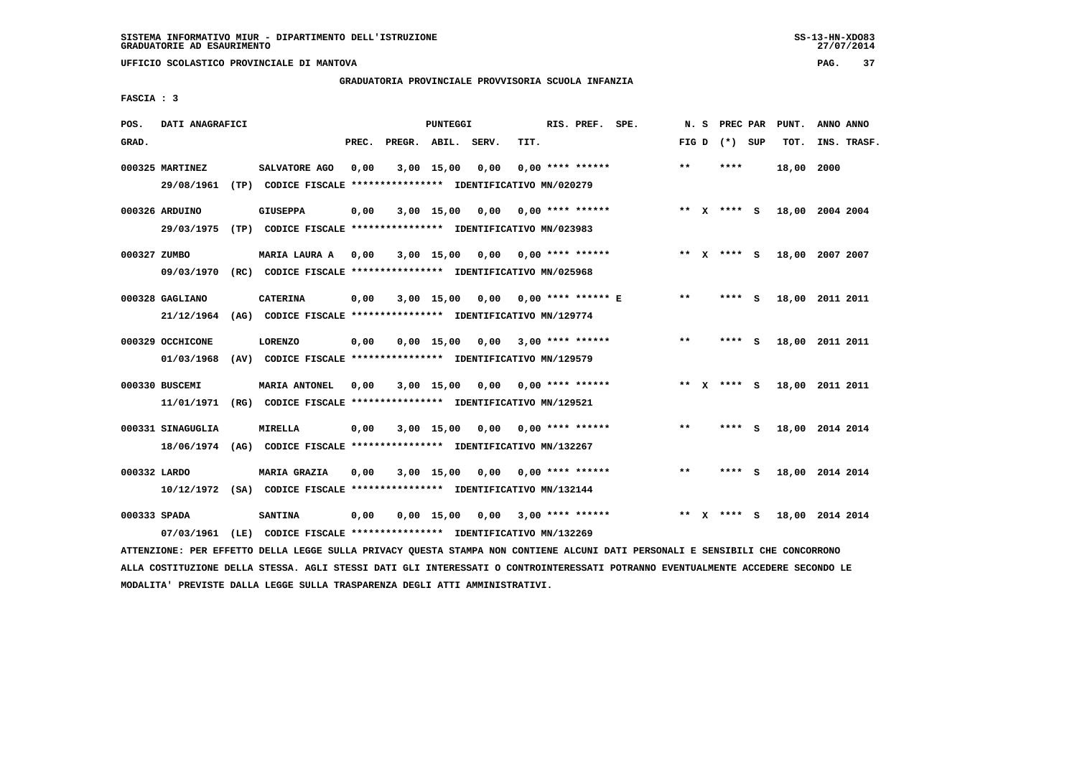**UFFICIO SCOLASTICO PROVINCIALE DI MANTOVA PAG. 37**

# **GRADUATORIA PROVINCIALE PROVVISORIA SCUOLA INFANZIA**

 **FASCIA : 3**

| POS.         | DATI ANAGRAFICI   |      |                                                                         |       |                    | <b>PUNTEGGI</b> |      |      | RIS. PREF. SPE.             |       | N.S          | PREC PAR      |          | PUNT. | ANNO ANNO       |
|--------------|-------------------|------|-------------------------------------------------------------------------|-------|--------------------|-----------------|------|------|-----------------------------|-------|--------------|---------------|----------|-------|-----------------|
| GRAD.        |                   |      |                                                                         | PREC. | PREGR. ABIL. SERV. |                 |      | TIT. |                             | FIG D |              | (*) SUP       |          | TOT.  | INS. TRASF.     |
|              | 000325 MARTINEZ   |      | SALVATORE AGO                                                           | 0,00  |                    | 3,00 15,00      | 0.00 |      | $0.00$ **** ******          | $* *$ |              | ****          |          | 18,00 | 2000            |
|              | 29/08/1961        |      | (TP) CODICE FISCALE **************** IDENTIFICATIVO MN/020279           |       |                    |                 |      |      |                             |       |              |               |          |       |                 |
|              | 000326 ARDUINO    |      | <b>GIUSEPPA</b>                                                         | 0,00  |                    | $3,00$ 15,00    | 0,00 |      | $0.00$ **** ******          |       |              | ** $X$ **** S |          |       | 18,00 2004 2004 |
|              | 29/03/1975        | (TP) | CODICE FISCALE **************** IDENTIFICATIVO MN/023983                |       |                    |                 |      |      |                             |       |              |               |          |       |                 |
| 000327 ZUMBO |                   |      | MARIA LAURA A                                                           | 0,00  |                    | 3,00 15,00      | 0,00 |      | 0,00 **** ******            |       |              | ** x **** S   |          |       | 18,00 2007 2007 |
|              | 09/03/1970        |      | (RC) CODICE FISCALE **************** IDENTIFICATIVO MN/025968           |       |                    |                 |      |      |                             |       |              |               |          |       |                 |
|              | 000328 GAGLIANO   |      | <b>CATERINA</b>                                                         | 0,00  |                    | $3,00$ 15,00    |      |      | $0.00$ $0.00$ **** ****** E | $**$  |              | ****          | <b>S</b> | 18,00 | 2011 2011       |
|              | 21/12/1964        |      | (AG) CODICE FISCALE **************** IDENTIFICATIVO MN/129774           |       |                    |                 |      |      |                             |       |              |               |          |       |                 |
|              | 000329 OCCHICONE  |      | <b>LORENZO</b>                                                          | 0,00  |                    | $0,00$ 15,00    | 0,00 |      | $3,00$ **** ******          | $**$  |              | ****          | <b>S</b> | 18,00 | 2011 2011       |
|              | 01/03/1968        |      | (AV) CODICE FISCALE **************** IDENTIFICATIVO MN/129579           |       |                    |                 |      |      |                             |       |              |               |          |       |                 |
|              | 000330 BUSCEMI    |      | <b>MARIA ANTONEL</b>                                                    | 0.00  |                    | $3,00$ 15,00    | 0.00 |      | 0,00 **** ******            | $* *$ | $\mathbf{x}$ | **** S        |          |       | 18,00 2011 2011 |
|              | 11/01/1971        |      | (RG) CODICE FISCALE **************** IDENTIFICATIVO MN/129521           |       |                    |                 |      |      |                             |       |              |               |          |       |                 |
|              | 000331 SINAGUGLIA |      | MIRELLA                                                                 | 0,00  |                    | $3,00$ 15,00    | 0,00 |      | $0.00$ **** ******          | $* *$ |              | ****          | - S      |       | 18,00 2014 2014 |
|              | 18/06/1974        | (AG) | CODICE FISCALE **************** IDENTIFICATIVO MN/132267                |       |                    |                 |      |      |                             |       |              |               |          |       |                 |
|              |                   |      |                                                                         |       |                    |                 |      |      |                             |       |              |               |          |       |                 |
| 000332 LARDO |                   |      | MARIA GRAZIA                                                            | 0,00  |                    | $3,00$ 15,00    | 0.00 |      | $0.00$ **** ******          | $**$  |              | ****          | - 5      |       | 18,00 2014 2014 |
|              |                   |      | 10/12/1972 (SA) CODICE FISCALE *************** IDENTIFICATIVO MN/132144 |       |                    |                 |      |      |                             |       |              |               |          |       |                 |
| 000333 SPADA |                   |      | <b>SANTINA</b>                                                          | 0,00  |                    | $0,00$ 15,00    | 0.00 |      | $3.00$ **** ******          | $**$  | $\mathbf{x}$ | **** S        |          | 18,00 | 2014 2014       |
|              | 07/03/1961        | (LE) | CODICE FISCALE **************** IDENTIFICATIVO MN/132269                |       |                    |                 |      |      |                             |       |              |               |          |       |                 |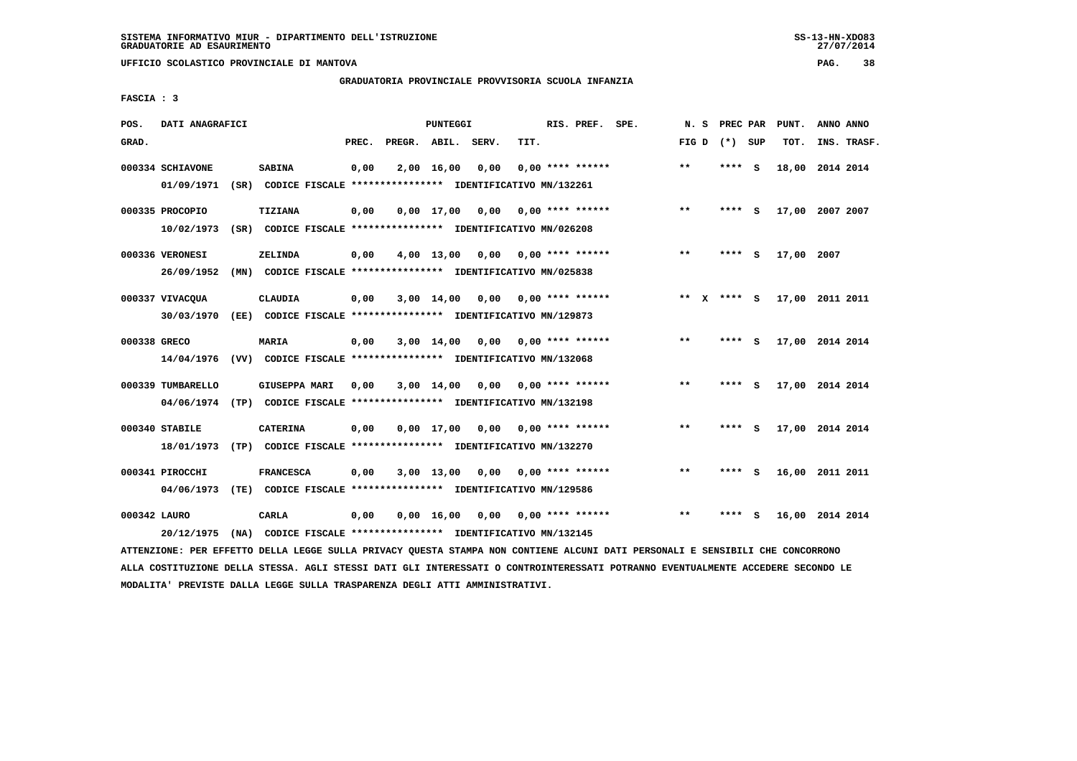**UFFICIO SCOLASTICO PROVINCIALE DI MANTOVA PAG. 38**

# **GRADUATORIA PROVINCIALE PROVVISORIA SCUOLA INFANZIA**

 **FASCIA : 3**

| POS.         | DATI ANAGRAFICI                                                                               |      |                      |       | PUNTEGGI           |                                                                       |      | RIS. PREF. SPE.    | N.S     | PREC PAR |          | PUNT.           | ANNO ANNO |             |
|--------------|-----------------------------------------------------------------------------------------------|------|----------------------|-------|--------------------|-----------------------------------------------------------------------|------|--------------------|---------|----------|----------|-----------------|-----------|-------------|
| GRAD.        |                                                                                               |      |                      | PREC. |                    | PREGR. ABIL. SERV.                                                    | TIT. |                    | FIG D   | (*) SUP  |          | TOT.            |           | INS. TRASF. |
|              | 000334 SCHIAVONE<br>01/09/1971                                                                |      | <b>SABINA</b>        | 0,00  | $2,00$ 16,00       | 0,00<br>(SR) CODICE FISCALE **************** IDENTIFICATIVO MN/132261 |      | $0.00$ **** ****** | $* *$   | **** S   |          | 18,00 2014 2014 |           |             |
|              | 000335 PROCOPIO<br>10/02/1973                                                                 | (SR) | <b>TIZIANA</b>       | 0,00  | $0.00$ 17.00       | 0,00<br>CODICE FISCALE **************** IDENTIFICATIVO MN/026208      |      | $0.00$ **** ****** | $***$   | ****     | <b>S</b> | 17,00 2007 2007 |           |             |
|              | 000336 VERONESI<br>26/09/1952                                                                 | (MN) | ZELINDA              | 0,00  | $4,00$ 13,00       | 0,00<br>CODICE FISCALE **************** IDENTIFICATIVO MN/025838      |      | 0,00 **** ******   | $***$   | ****     | - S      | 17,00 2007      |           |             |
|              | 000337 VIVACOUA<br>30/03/1970                                                                 | (EE) | <b>CLAUDIA</b>       | 0,00  | $3,00$ 14,00       | 0.00<br>CODICE FISCALE **************** IDENTIFICATIVO MN/129873      |      | $0.00$ **** ****** | $***$ X | **** S   |          | 17,00 2011 2011 |           |             |
| 000338 GRECO | 14/04/1976                                                                                    |      | MARIA                | 0,00  | $3,00$ 14,00       | 0,00<br>(VV) CODICE FISCALE **************** IDENTIFICATIVO MN/132068 |      | $0.00$ **** ****** | $***$   | ****     | - 5      | 17,00 2014 2014 |           |             |
|              | 000339 TUMBARELLO<br>04/06/1974 (TP) CODICE FISCALE **************** IDENTIFICATIVO MN/132198 |      | <b>GIUSEPPA MARI</b> | 0,00  | $3,00$ 14,00       | 0,00                                                                  |      | $0.00$ **** ****** | $***$   | ****     | - 5      | 17,00 2014 2014 |           |             |
|              | 000340 STABILE<br>18/01/1973                                                                  |      | <b>CATERINA</b>      | 0,00  | $0,00$ 17,00       | 0,00<br>(TP) CODICE FISCALE **************** IDENTIFICATIVO MN/132270 |      | $0.00$ **** ****** | $***$   | ****     | <b>S</b> | 17,00 2014 2014 |           |             |
|              | 000341 PIROCCHI<br>04/06/1973                                                                 | (TE) | <b>FRANCESCA</b>     | 0,00  | $3,00$ 13,00       | 0,00<br>CODICE FISCALE **************** IDENTIFICATIVO MN/129586      |      | $0.00$ **** ****** | $***$   | ****     | <b>S</b> | 16,00 2011 2011 |           |             |
| 000342 LAURO | 20/12/1975                                                                                    | (MA) | <b>CARLA</b>         | 0,00  | $0,00 \quad 16,00$ | 0,00<br>CODICE FISCALE **************** IDENTIFICATIVO MN/132145      |      | $0.00$ **** ****** | $**$    | ****     | - S      | 16,00           | 2014 2014 |             |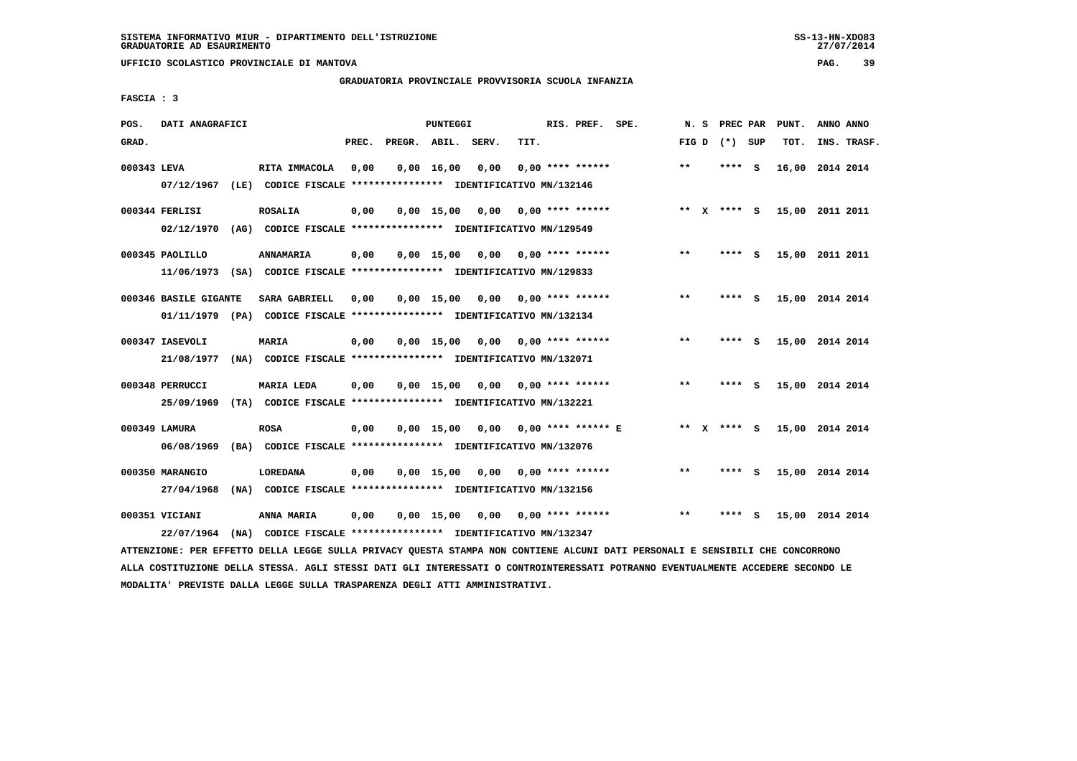**UFFICIO SCOLASTICO PROVINCIALE DI MANTOVA PAG. 39**

# **GRADUATORIA PROVINCIALE PROVVISORIA SCUOLA INFANZIA**

 **FASCIA : 3**

| POS.        | DATI ANAGRAFICI       | PUNTEGGI                                                                                                                      |       |                    |                    |      |      |  | RIS. PREF. SPE.      | N.S   | PREC PAR        |     | PUNT.           | ANNO ANNO |             |
|-------------|-----------------------|-------------------------------------------------------------------------------------------------------------------------------|-------|--------------------|--------------------|------|------|--|----------------------|-------|-----------------|-----|-----------------|-----------|-------------|
| GRAD.       |                       |                                                                                                                               | PREC. | PREGR. ABIL. SERV. |                    |      | TIT. |  |                      |       | FIG D $(*)$ SUP |     | TOT.            |           | INS. TRASF. |
| 000343 LEVA |                       | RITA IMMACOLA                                                                                                                 | 0,00  |                    | $0,00$ 16,00       | 0,00 |      |  | $0.00$ **** ******   | $***$ | $***$ S         |     | 16,00           | 2014 2014 |             |
|             | 07/12/1967            | (LE) CODICE FISCALE **************** IDENTIFICATIVO MN/132146                                                                 |       |                    |                    |      |      |  |                      |       |                 |     |                 |           |             |
|             | 000344 FERLISI        | <b>ROSALIA</b>                                                                                                                | 0,00  |                    | $0,00$ 15,00       | 0,00 |      |  | $0.00$ **** ******   | $***$ | X **** S        |     | 15,00 2011 2011 |           |             |
|             | 02/12/1970            | (AG) CODICE FISCALE **************** IDENTIFICATIVO MN/129549                                                                 |       |                    |                    |      |      |  |                      |       |                 |     |                 |           |             |
|             | 000345 PAOLILLO       | ANNAMARIA                                                                                                                     | 0,00  |                    | 0.00 15.00         | 0,00 |      |  | $0.00$ **** ******   | $* *$ | **** S          |     | 15,00 2011 2011 |           |             |
|             |                       | 11/06/1973 (SA) CODICE FISCALE *************** IDENTIFICATIVO MN/129833                                                       |       |                    |                    |      |      |  |                      |       |                 |     |                 |           |             |
|             | 000346 BASILE GIGANTE | <b>SARA GABRIELL</b>                                                                                                          | 0,00  |                    | $0,00$ 15,00       | 0,00 |      |  | $0.00$ **** ******   | **    | **** S          |     | 15,00 2014 2014 |           |             |
|             |                       | 01/11/1979 (PA) CODICE FISCALE *************** IDENTIFICATIVO MN/132134                                                       |       |                    |                    |      |      |  |                      |       |                 |     |                 |           |             |
|             | 000347 IASEVOLI       | <b>MARIA</b>                                                                                                                  | 0,00  |                    | $0,00$ 15,00       | 0,00 |      |  | 0,00 **** ******     | $***$ | **** S          |     | 15,00 2014 2014 |           |             |
|             | 21/08/1977            | (NA) CODICE FISCALE **************** IDENTIFICATIVO MN/132071                                                                 |       |                    |                    |      |      |  |                      |       |                 |     |                 |           |             |
|             | 000348 PERRUCCI       | <b>MARIA LEDA</b>                                                                                                             | 0,00  |                    | $0,00 \quad 15,00$ | 0,00 |      |  | $0.00$ **** ******   | $**$  | ****            | - S | 15,00 2014 2014 |           |             |
|             | 25/09/1969            | (TA) CODICE FISCALE **************** IDENTIFICATIVO MN/132221                                                                 |       |                    |                    |      |      |  |                      |       |                 |     |                 |           |             |
|             | 000349 LAMURA         | <b>ROSA</b>                                                                                                                   | 0,00  |                    | 0.00 15.00         | 0,00 |      |  | $0.00$ **** ****** E |       | ** x **** S     |     | 15,00 2014 2014 |           |             |
|             | 06/08/1969            | (BA) CODICE FISCALE **************** IDENTIFICATIVO MN/132076                                                                 |       |                    |                    |      |      |  |                      |       |                 |     |                 |           |             |
|             | 000350 MARANGIO       | <b>LOREDANA</b>                                                                                                               | 0,00  |                    | 0.00 15.00         | 0,00 |      |  | 0,00 **** ******     | $***$ | **** S          |     | 15,00 2014 2014 |           |             |
|             | 27/04/1968            | (NA) CODICE FISCALE **************** IDENTIFICATIVO MN/132156                                                                 |       |                    |                    |      |      |  |                      |       |                 |     |                 |           |             |
|             | 000351 VICIANI        | ANNA MARIA                                                                                                                    | 0,00  |                    | $0,00$ 15,00       | 0,00 |      |  | $0.00$ **** ******   | $* *$ | ****            | - S | 15,00 2014 2014 |           |             |
|             | 22/07/1964            | (NA) CODICE FISCALE **************** IDENTIFICATIVO MN/132347                                                                 |       |                    |                    |      |      |  |                      |       |                 |     |                 |           |             |
|             |                       | ATTENZIONE: PER EFFETTO DELLA LEGGE SULLA PRIVACY QUESTA STAMPA NON CONTIENE ALCUNI DATI PERSONALI E SENSIBILI CHE CONCORRONO |       |                    |                    |      |      |  |                      |       |                 |     |                 |           |             |

 **ALLA COSTITUZIONE DELLA STESSA. AGLI STESSI DATI GLI INTERESSATI O CONTROINTERESSATI POTRANNO EVENTUALMENTE ACCEDERE SECONDO LE MODALITA' PREVISTE DALLA LEGGE SULLA TRASPARENZA DEGLI ATTI AMMINISTRATIVI.**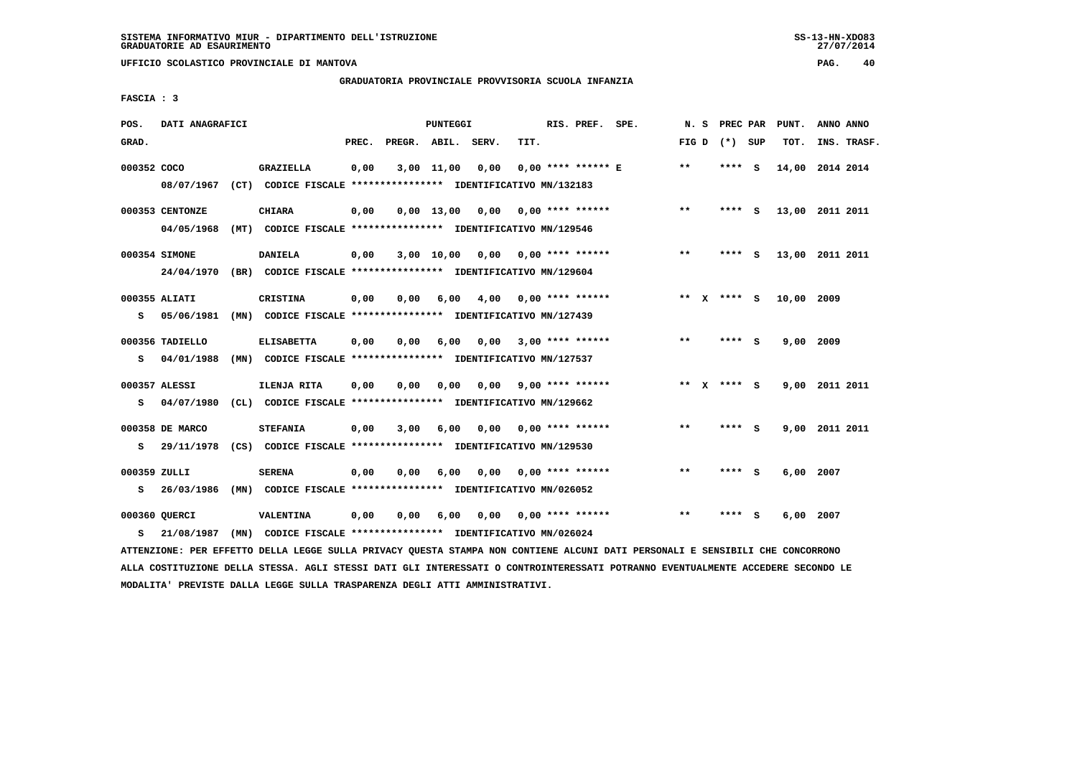**UFFICIO SCOLASTICO PROVINCIALE DI MANTOVA PAG. 40**

# **GRADUATORIA PROVINCIALE PROVVISORIA SCUOLA INFANZIA**

 **FASCIA : 3**

| POS.         | DATI ANAGRAFICI |                                                               |       |                    | PUNTEGGI           |      |      | RIS. PREF. SPE.           | N. S  |              | PREC PAR        |     | PUNT.      | ANNO ANNO       |
|--------------|-----------------|---------------------------------------------------------------|-------|--------------------|--------------------|------|------|---------------------------|-------|--------------|-----------------|-----|------------|-----------------|
| GRAD.        |                 |                                                               | PREC. | PREGR. ABIL. SERV. |                    |      | TIT. |                           |       |              | FIG D $(*)$ SUP |     | TOT.       | INS. TRASF.     |
| 000352 COCO  |                 | <b>GRAZIELLA</b>                                              | 0,00  |                    | $3,00$ 11,00       | 0,00 |      | $0.00$ **** ****** E      | $***$ |              | **** S          |     |            | 14,00 2014 2014 |
|              | 08/07/1967      | (CT) CODICE FISCALE **************** IDENTIFICATIVO MN/132183 |       |                    |                    |      |      |                           |       |              |                 |     |            |                 |
|              | 000353 CENTONZE | <b>CHIARA</b>                                                 | 0,00  |                    | $0,00 \quad 13,00$ | 0,00 |      | 0,00 **** ******          | $**$  |              | **** S          |     |            | 13,00 2011 2011 |
|              | 04/05/1968      | (MT) CODICE FISCALE **************** IDENTIFICATIVO MN/129546 |       |                    |                    |      |      |                           |       |              |                 |     |            |                 |
|              | 000354 SIMONE   | <b>DANIELA</b>                                                | 0,00  |                    | 3,00 10,00         |      |      | $0,00$ $0,00$ **** ****** | $***$ |              | **** S          |     |            | 13,00 2011 2011 |
|              | 24/04/1970      | (BR) CODICE FISCALE **************** IDENTIFICATIVO MN/129604 |       |                    |                    |      |      |                           |       |              |                 |     |            |                 |
|              | 000355 ALIATI   | <b>CRISTINA</b>                                               | 0,00  | 0.00               | 6,00               | 4,00 |      | $0.00$ **** ******        |       |              | ** $X$ **** S   |     | 10,00 2009 |                 |
| s            | 05/06/1981      | (MN) CODICE FISCALE **************** IDENTIFICATIVO MN/127439 |       |                    |                    |      |      |                           |       |              |                 |     |            |                 |
|              |                 |                                                               |       |                    |                    |      |      |                           |       |              |                 |     |            |                 |
|              | 000356 TADIELLO | <b>ELISABETTA</b>                                             | 0,00  | 0.00               | 6,00               | 0,00 |      | $3,00$ **** ******        | $**$  |              | **** S          |     | 9,00       | 2009            |
| s            | 04/01/1988      | (MN) CODICE FISCALE **************** IDENTIFICATIVO MN/127537 |       |                    |                    |      |      |                           |       |              |                 |     |            |                 |
|              | 000357 ALESSI   | ILENJA RITA                                                   | 0,00  | 0,00               | 0,00               |      |      | $0.00$ 9.00 **** ******   | $***$ | $\mathbf{x}$ | **** S          |     |            | 9,00 2011 2011  |
| s            | 04/07/1980      | (CL) CODICE FISCALE **************** IDENTIFICATIVO MN/129662 |       |                    |                    |      |      |                           |       |              |                 |     |            |                 |
|              | 000358 DE MARCO | <b>STEFANIA</b>                                               | 0,00  | 3,00               | 6,00               | 0,00 |      | $0.00$ **** ******        | **    |              | **** S          |     |            | 9,00 2011 2011  |
| s            | 29/11/1978      | (CS) CODICE FISCALE **************** IDENTIFICATIVO MN/129530 |       |                    |                    |      |      |                           |       |              |                 |     |            |                 |
| 000359 ZULLI |                 | <b>SERENA</b>                                                 | 0,00  | 0,00               | 6,00               | 0,00 |      | $0.00$ **** ******        | $**$  |              | ****            | - S | 6,00       | 2007            |
| s            | 26/03/1986      | (MN) CODICE FISCALE **************** IDENTIFICATIVO MN/026052 |       |                    |                    |      |      |                           |       |              |                 |     |            |                 |
|              |                 |                                                               |       |                    |                    |      |      |                           |       |              |                 |     |            |                 |
|              | 000360 QUERCI   | VALENTINA                                                     | 0,00  | 0.00               | 6,00               | 0.00 |      | $0.00$ **** ******        | $**$  |              | ****            | - S | 6,00       | 2007            |
| s            | 21/08/1987      | (MN) CODICE FISCALE **************** IDENTIFICATIVO MN/026024 |       |                    |                    |      |      |                           |       |              |                 |     |            |                 |